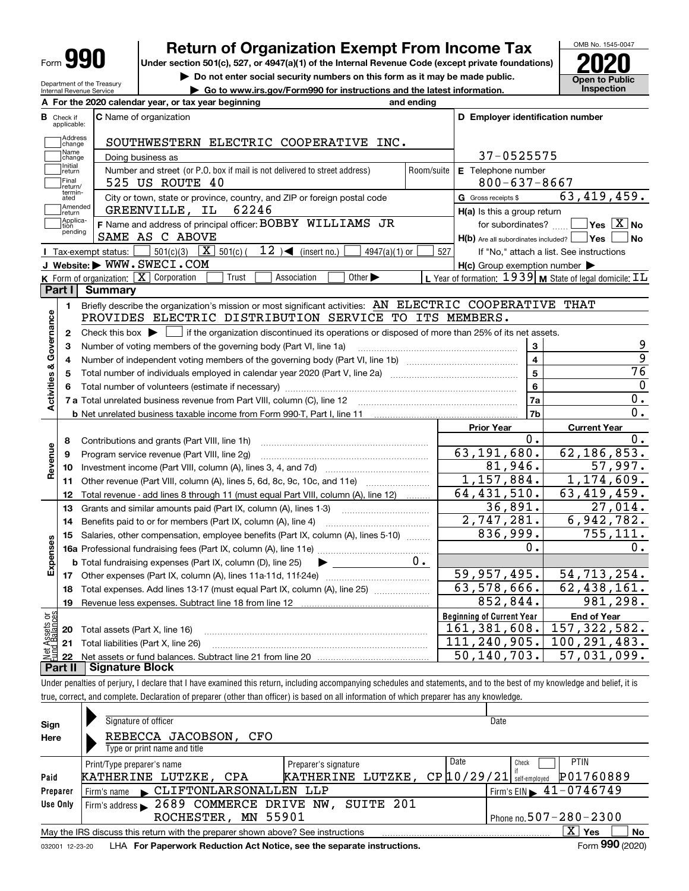| Form |
|------|
|------|

Department of the Treasury Internal Revenue Service

## **Return of Organization Exempt From Income Tax**

**Under section 501(c), 527, or 4947(a)(1) of the Internal Revenue Code (except private foundations) 2020**

**| Do not enter social security numbers on this form as it may be made public.**

**| Go to www.irs.gov/Form990 for instructions and the latest information. Inspection**



|                                                                                                                                                                                          |                          | A For the 2020 calendar year, or tax year beginning                                                                                         | and ending              |                                                     |                                                                    |  |  |  |  |  |
|------------------------------------------------------------------------------------------------------------------------------------------------------------------------------------------|--------------------------|---------------------------------------------------------------------------------------------------------------------------------------------|-------------------------|-----------------------------------------------------|--------------------------------------------------------------------|--|--|--|--|--|
| В                                                                                                                                                                                        | Check if<br>applicable:  | <b>C</b> Name of organization                                                                                                               |                         | D Employer identification number                    |                                                                    |  |  |  |  |  |
|                                                                                                                                                                                          | <b>Address</b><br>change | SOUTHWESTERN ELECTRIC COOPERATIVE INC.                                                                                                      |                         |                                                     |                                                                    |  |  |  |  |  |
| Name<br>37-0525575<br>Doing business as<br>change<br>Initial<br>Number and street (or P.O. box if mail is not delivered to street address)<br>Room/suite<br>E Telephone number<br>return |                          |                                                                                                                                             |                         |                                                     |                                                                    |  |  |  |  |  |
|                                                                                                                                                                                          |                          |                                                                                                                                             |                         |                                                     |                                                                    |  |  |  |  |  |
|                                                                                                                                                                                          | termin-<br>ated          | City or town, state or province, country, and ZIP or foreign postal code                                                                    | G Gross receipts \$     | 63,419,459.                                         |                                                                    |  |  |  |  |  |
|                                                                                                                                                                                          | Amended<br>return        | 62246<br>GREENVILLE, IL                                                                                                                     |                         | H(a) Is this a group return                         |                                                                    |  |  |  |  |  |
|                                                                                                                                                                                          | Applica-<br>tion         | F Name and address of principal officer: BOBBY WILLIAMS JR                                                                                  |                         | for subordinates?                                   | $\sqrt{}$ Yes $\sqrt{}$ X $\sqrt{}$ No                             |  |  |  |  |  |
|                                                                                                                                                                                          | pending                  | SAME AS C ABOVE                                                                                                                             |                         | $H(b)$ Are all subordinates included? $\Box$ Yes    | ∣ No                                                               |  |  |  |  |  |
|                                                                                                                                                                                          |                          | 12 $\rightarrow$ (insert no.)<br>501(c)(3) $X$ 501(c)(<br>Tax-exempt_status:<br>$4947(a)(1)$ or                                             | 527                     |                                                     | If "No," attach a list. See instructions                           |  |  |  |  |  |
|                                                                                                                                                                                          |                          | J Website: WWW.SWECI.COM                                                                                                                    |                         | $H(c)$ Group exemption number $\blacktriangleright$ |                                                                    |  |  |  |  |  |
|                                                                                                                                                                                          |                          | K Form of organization: X Corporation<br>Other $\blacktriangleright$<br>Trust<br>Association                                                |                         |                                                     | L Year of formation: $1939$ M State of legal domicile: $\text{IL}$ |  |  |  |  |  |
|                                                                                                                                                                                          | Part I                   | <b>Summary</b>                                                                                                                              |                         |                                                     |                                                                    |  |  |  |  |  |
|                                                                                                                                                                                          | 1                        | Briefly describe the organization's mission or most significant activities: AN ELECTRIC COOPERATIVE THAT                                    |                         |                                                     |                                                                    |  |  |  |  |  |
|                                                                                                                                                                                          |                          | PROVIDES ELECTRIC DISTRIBUTION SERVICE TO ITS MEMBERS.                                                                                      |                         |                                                     |                                                                    |  |  |  |  |  |
| Activities & Governance                                                                                                                                                                  | $\mathbf{2}$             | Check this box $\blacktriangleright$ $\Box$ if the organization discontinued its operations or disposed of more than 25% of its net assets. |                         |                                                     |                                                                    |  |  |  |  |  |
|                                                                                                                                                                                          | 3                        | Number of voting members of the governing body (Part VI, line 1a)                                                                           |                         | 3                                                   | 9                                                                  |  |  |  |  |  |
|                                                                                                                                                                                          | 4                        |                                                                                                                                             | $\overline{\mathbf{4}}$ | $\overline{9}$                                      |                                                                    |  |  |  |  |  |
|                                                                                                                                                                                          | 5                        |                                                                                                                                             | 5                       | $\overline{76}$                                     |                                                                    |  |  |  |  |  |
|                                                                                                                                                                                          |                          |                                                                                                                                             | 6                       | 0                                                   |                                                                    |  |  |  |  |  |
|                                                                                                                                                                                          |                          |                                                                                                                                             | 7a                      | 0.                                                  |                                                                    |  |  |  |  |  |
|                                                                                                                                                                                          |                          |                                                                                                                                             |                         | 7b                                                  | 0.                                                                 |  |  |  |  |  |
|                                                                                                                                                                                          |                          |                                                                                                                                             |                         | <b>Prior Year</b>                                   | <b>Current Year</b>                                                |  |  |  |  |  |
|                                                                                                                                                                                          | 8                        | Contributions and grants (Part VIII, line 1h)                                                                                               |                         | 0.                                                  | 0.                                                                 |  |  |  |  |  |
| Revenue                                                                                                                                                                                  | 9                        | Program service revenue (Part VIII, line 2g)                                                                                                |                         | 63, 191, 680.                                       | 62, 186, 853.                                                      |  |  |  |  |  |
|                                                                                                                                                                                          | 10                       |                                                                                                                                             |                         | 81,946.                                             | 57,997.                                                            |  |  |  |  |  |
|                                                                                                                                                                                          | 11                       | Other revenue (Part VIII, column (A), lines 5, 6d, 8c, 9c, 10c, and 11e)                                                                    |                         | 1,157,884.                                          | 1, 174, 609.                                                       |  |  |  |  |  |
|                                                                                                                                                                                          | 12                       | Total revenue - add lines 8 through 11 (must equal Part VIII, column (A), line 12)                                                          |                         | $\overline{64, 431, 510}$ .                         | 63,419,459.                                                        |  |  |  |  |  |
|                                                                                                                                                                                          | 13                       | Grants and similar amounts paid (Part IX, column (A), lines 1-3)                                                                            |                         | 36,891.                                             | 27,014.                                                            |  |  |  |  |  |
|                                                                                                                                                                                          | 14                       | Benefits paid to or for members (Part IX, column (A), line 4)                                                                               |                         | 2,747,281.                                          | 6,942,782.                                                         |  |  |  |  |  |
|                                                                                                                                                                                          | 15                       | Salaries, other compensation, employee benefits (Part IX, column (A), lines 5-10)                                                           |                         | 836,999.                                            | 755, 111.                                                          |  |  |  |  |  |
|                                                                                                                                                                                          |                          |                                                                                                                                             |                         | 0.                                                  | 0.                                                                 |  |  |  |  |  |
| Expenses                                                                                                                                                                                 |                          | <b>b</b> Total fundraising expenses (Part IX, column (D), line 25)                                                                          | 0.                      |                                                     |                                                                    |  |  |  |  |  |
|                                                                                                                                                                                          |                          |                                                                                                                                             |                         | 59,957,495.                                         | 54, 713, 254.                                                      |  |  |  |  |  |
|                                                                                                                                                                                          | 18                       | Total expenses. Add lines 13-17 (must equal Part IX, column (A), line 25)                                                                   |                         | $\overline{63,578,666}$ .                           | 62,438,161.                                                        |  |  |  |  |  |
|                                                                                                                                                                                          | 19                       |                                                                                                                                             |                         | 852,844.                                            | 981,298.                                                           |  |  |  |  |  |
| έğ                                                                                                                                                                                       |                          |                                                                                                                                             |                         | <b>Beginning of Current Year</b>                    | <b>End of Year</b>                                                 |  |  |  |  |  |
|                                                                                                                                                                                          | 20                       | Total assets (Part X, line 16)                                                                                                              |                         | 161, 381, 608.                                      | 157, 322, 582.                                                     |  |  |  |  |  |
|                                                                                                                                                                                          | 21                       | Total liabilities (Part X, line 26)                                                                                                         |                         | 111,240,905.                                        | 100, 291, 483.                                                     |  |  |  |  |  |
|                                                                                                                                                                                          | 22                       |                                                                                                                                             |                         | 50,140,703.                                         | 57,031,099.                                                        |  |  |  |  |  |
|                                                                                                                                                                                          | Part II                  | <b>Signature Block</b>                                                                                                                      |                         |                                                     |                                                                    |  |  |  |  |  |

Under penalties of perjury, I declare that I have examined this return, including accompanying schedules and statements, and to the best of my knowledge and belief, it is true, correct, and complete. Declaration of preparer (other than officer) is based on all information of which preparer has any knowledge.

| Sign     | Signature of officer                                                                                         |                             | Date                          |                                                 |  |  |  |  |  |  |  |
|----------|--------------------------------------------------------------------------------------------------------------|-----------------------------|-------------------------------|-------------------------------------------------|--|--|--|--|--|--|--|
| Here     | REBECCA JACOBSON,<br>CFO                                                                                     |                             |                               |                                                 |  |  |  |  |  |  |  |
|          | Type or print name and title                                                                                 |                             |                               |                                                 |  |  |  |  |  |  |  |
|          | Print/Type preparer's name                                                                                   | Preparer's signature        | Date                          | PTIN<br>Check                                   |  |  |  |  |  |  |  |
| Paid     | KATHERINE LUTZKE, CPA                                                                                        | LUTZKE,<br><b>KATHERINE</b> | $CP$ $10/29/21$ self-employed | P01760889                                       |  |  |  |  |  |  |  |
| Preparer | Firm's name CLIFTONLARSONALLEN                                                                               | LLP                         |                               | $1$ Firm's EIN $\blacktriangleright$ 41-0746749 |  |  |  |  |  |  |  |
| Use Only | Firm's address 2689 COMMERCE DRIVE NW, SUITE 201                                                             |                             |                               |                                                 |  |  |  |  |  |  |  |
|          | ROCHESTER, MN 55901                                                                                          |                             |                               | Phone no. $507 - 280 - 2300$                    |  |  |  |  |  |  |  |
|          | May the IRS discuss this return with the preparer shown above? See instructions                              |                             |                               | $\mathbf{x}$<br>No<br>Yes                       |  |  |  |  |  |  |  |
|          | Form 990 (2020)<br>LHA For Paperwork Reduction Act Notice, see the separate instructions.<br>032001 12-23-20 |                             |                               |                                                 |  |  |  |  |  |  |  |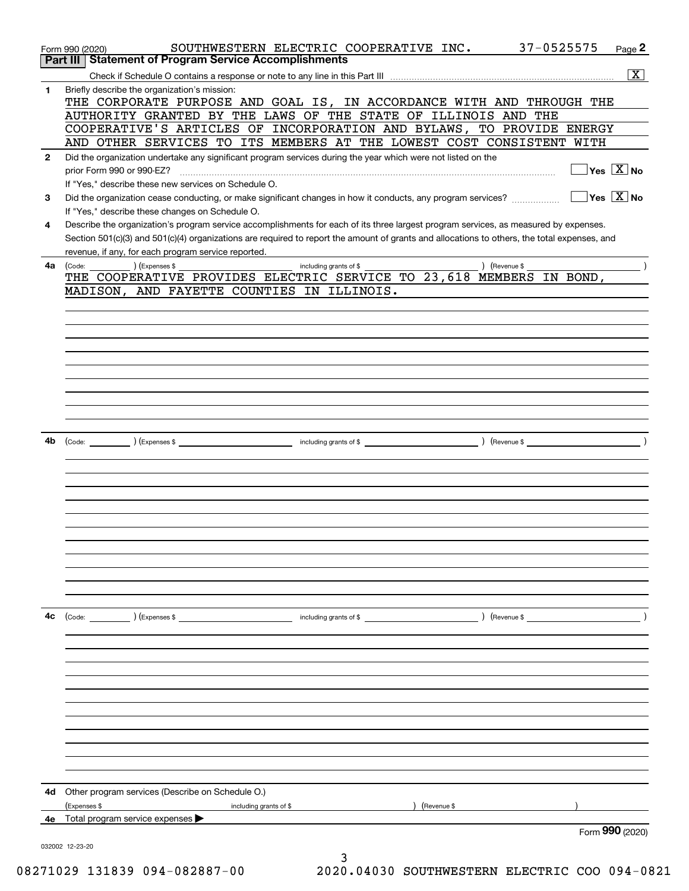|              | 37-0525575<br>SOUTHWESTERN ELECTRIC COOPERATIVE INC.<br>Page 2<br>Form 990 (2020)                                                                                                                                                                                                    |
|--------------|--------------------------------------------------------------------------------------------------------------------------------------------------------------------------------------------------------------------------------------------------------------------------------------|
|              | Part III   Statement of Program Service Accomplishments                                                                                                                                                                                                                              |
|              | $\overline{\mathbf{x}}$                                                                                                                                                                                                                                                              |
| $\mathbf{1}$ | Briefly describe the organization's mission:                                                                                                                                                                                                                                         |
|              | THE CORPORATE PURPOSE AND GOAL IS, IN ACCORDANCE WITH AND THROUGH THE                                                                                                                                                                                                                |
|              | AUTHORITY GRANTED BY THE LAWS OF THE STATE OF ILLINOIS AND THE                                                                                                                                                                                                                       |
|              | COOPERATIVE'S ARTICLES OF INCORPORATION AND BYLAWS, TO PROVIDE ENERGY                                                                                                                                                                                                                |
|              | AND OTHER SERVICES TO ITS MEMBERS AT THE LOWEST COST CONSISTENT WITH                                                                                                                                                                                                                 |
| $\mathbf{2}$ | Did the organization undertake any significant program services during the year which were not listed on the                                                                                                                                                                         |
|              | $\sqrt{\mathsf{Yes}\ \boxed{\mathrm{X}}}$ No<br>prior Form 990 or 990-EZ?                                                                                                                                                                                                            |
|              | If "Yes," describe these new services on Schedule O.<br>$\sqrt{}$ Yes $\sqrt{}$ X $\sqrt{}$ No                                                                                                                                                                                       |
| 3            | Did the organization cease conducting, or make significant changes in how it conducts, any program services?                                                                                                                                                                         |
|              | If "Yes," describe these changes on Schedule O.                                                                                                                                                                                                                                      |
| 4            | Describe the organization's program service accomplishments for each of its three largest program services, as measured by expenses.<br>Section 501(c)(3) and 501(c)(4) organizations are required to report the amount of grants and allocations to others, the total expenses, and |
|              | revenue, if any, for each program service reported.                                                                                                                                                                                                                                  |
| 4a           | $\left(\text{Revenue }$<br>including grants of \$                                                                                                                                                                                                                                    |
|              | THE COOPERATIVE PROVIDES ELECTRIC SERVICE TO 23,618 MEMBERS IN BOND,                                                                                                                                                                                                                 |
|              | MADISON, AND FAYETTE COUNTIES IN ILLINOIS.                                                                                                                                                                                                                                           |
|              |                                                                                                                                                                                                                                                                                      |
|              |                                                                                                                                                                                                                                                                                      |
|              |                                                                                                                                                                                                                                                                                      |
|              |                                                                                                                                                                                                                                                                                      |
|              |                                                                                                                                                                                                                                                                                      |
|              |                                                                                                                                                                                                                                                                                      |
|              |                                                                                                                                                                                                                                                                                      |
|              |                                                                                                                                                                                                                                                                                      |
|              |                                                                                                                                                                                                                                                                                      |
|              |                                                                                                                                                                                                                                                                                      |
| 4b           |                                                                                                                                                                                                                                                                                      |
|              |                                                                                                                                                                                                                                                                                      |
|              |                                                                                                                                                                                                                                                                                      |
|              |                                                                                                                                                                                                                                                                                      |
|              |                                                                                                                                                                                                                                                                                      |
|              |                                                                                                                                                                                                                                                                                      |
|              |                                                                                                                                                                                                                                                                                      |
|              |                                                                                                                                                                                                                                                                                      |
|              |                                                                                                                                                                                                                                                                                      |
|              |                                                                                                                                                                                                                                                                                      |
|              |                                                                                                                                                                                                                                                                                      |
|              |                                                                                                                                                                                                                                                                                      |
|              |                                                                                                                                                                                                                                                                                      |
| 4c           |                                                                                                                                                                                                                                                                                      |
|              |                                                                                                                                                                                                                                                                                      |
|              |                                                                                                                                                                                                                                                                                      |
|              |                                                                                                                                                                                                                                                                                      |
|              |                                                                                                                                                                                                                                                                                      |
|              |                                                                                                                                                                                                                                                                                      |
|              |                                                                                                                                                                                                                                                                                      |
|              |                                                                                                                                                                                                                                                                                      |
|              |                                                                                                                                                                                                                                                                                      |
|              |                                                                                                                                                                                                                                                                                      |
|              |                                                                                                                                                                                                                                                                                      |
|              |                                                                                                                                                                                                                                                                                      |
|              |                                                                                                                                                                                                                                                                                      |
|              | 4d Other program services (Describe on Schedule O.)                                                                                                                                                                                                                                  |
|              | Expenses \$<br>) (Revenue \$<br>including grants of \$                                                                                                                                                                                                                               |
|              | 4e Total program service expenses<br>Form 990 (2020)                                                                                                                                                                                                                                 |
|              |                                                                                                                                                                                                                                                                                      |
|              | 032002 12-23-20<br>3                                                                                                                                                                                                                                                                 |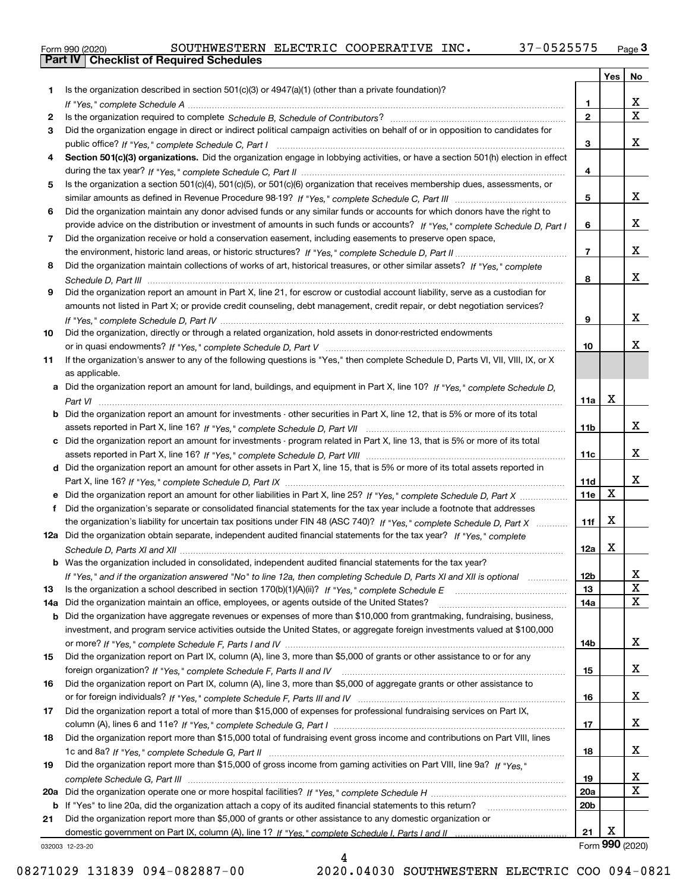|  | Form 990 (2020) |
|--|-----------------|

| Is the organization described in section $501(c)(3)$ or $4947(a)(1)$ (other than a private foundation)?<br>1.<br>х<br>1<br>$\overline{\mathbf{x}}$<br>$\overline{2}$<br>2<br>Did the organization engage in direct or indirect political campaign activities on behalf of or in opposition to candidates for<br>3<br>x<br>3<br>Section 501(c)(3) organizations. Did the organization engage in lobbying activities, or have a section 501(h) election in effect<br>4<br>4<br>Is the organization a section 501(c)(4), 501(c)(5), or 501(c)(6) organization that receives membership dues, assessments, or<br>5.<br>x<br>5<br>Did the organization maintain any donor advised funds or any similar funds or accounts for which donors have the right to<br>6<br>x<br>provide advice on the distribution or investment of amounts in such funds or accounts? If "Yes," complete Schedule D, Part I<br>6<br>Did the organization receive or hold a conservation easement, including easements to preserve open space,<br>7<br>x<br>$\overline{7}$<br>Did the organization maintain collections of works of art, historical treasures, or other similar assets? If "Yes," complete<br>8<br>x<br>8<br>Did the organization report an amount in Part X, line 21, for escrow or custodial account liability, serve as a custodian for<br>9<br>amounts not listed in Part X; or provide credit counseling, debt management, credit repair, or debt negotiation services?<br>x<br>9<br>Did the organization, directly or through a related organization, hold assets in donor-restricted endowments<br>10<br>x<br>10<br>If the organization's answer to any of the following questions is "Yes," then complete Schedule D, Parts VI, VII, VIII, IX, or X<br>11<br>as applicable.<br>Did the organization report an amount for land, buildings, and equipment in Part X, line 10? If "Yes," complete Schedule D.<br>a<br>$\mathbf X$<br>11a<br>Did the organization report an amount for investments - other securities in Part X, line 12, that is 5% or more of its total<br>b<br>x<br>11 <sub>b</sub><br>Did the organization report an amount for investments - program related in Part X, line 13, that is 5% or more of its total<br>c<br>x<br>11c<br>d Did the organization report an amount for other assets in Part X, line 15, that is 5% or more of its total assets reported in<br>x<br>11d<br>X<br>11e<br>Did the organization report an amount for other liabilities in Part X, line 25? If "Yes," complete Schedule D, Part X<br>Did the organization's separate or consolidated financial statements for the tax year include a footnote that addresses<br>f<br>X<br>the organization's liability for uncertain tax positions under FIN 48 (ASC 740)? If "Yes," complete Schedule D, Part X<br>11f<br>12a Did the organization obtain separate, independent audited financial statements for the tax year? If "Yes," complete<br>X<br>12a<br><b>b</b> Was the organization included in consolidated, independent audited financial statements for the tax year?<br>If "Yes," and if the organization answered "No" to line 12a, then completing Schedule D, Parts XI and XII is optional<br>12D<br>ᅀ<br>$\mathbf X$<br>Is the organization a school described in section $170(b)(1)(A)(ii)?$ If "Yes," complete Schedule E<br>13<br>13<br>X<br>14a<br>Did the organization maintain an office, employees, or agents outside of the United States?<br>14a<br>Did the organization have aggregate revenues or expenses of more than \$10,000 from grantmaking, fundraising, business,<br>b<br>investment, and program service activities outside the United States, or aggregate foreign investments valued at \$100,000<br>X<br>14b<br>Did the organization report on Part IX, column (A), line 3, more than \$5,000 of grants or other assistance to or for any<br>15<br>X<br>15<br>Did the organization report on Part IX, column (A), line 3, more than \$5,000 of aggregate grants or other assistance to<br>16<br>X<br>16<br>Did the organization report a total of more than \$15,000 of expenses for professional fundraising services on Part IX,<br>17<br>X<br>17<br>Did the organization report more than \$15,000 total of fundraising event gross income and contributions on Part VIII, lines<br>18<br>X<br>18<br>Did the organization report more than \$15,000 of gross income from gaming activities on Part VIII, line 9a? If "Yes."<br>19<br>x<br>19<br>$\mathbf x$<br>20a<br>20 <sub>b</sub><br>b If "Yes" to line 20a, did the organization attach a copy of its audited financial statements to this return?<br>Did the organization report more than \$5,000 of grants or other assistance to any domestic organization or<br>21<br>X<br>21<br>Form 990 (2020)<br>032003 12-23-20 |  | Yes | No |
|--------------------------------------------------------------------------------------------------------------------------------------------------------------------------------------------------------------------------------------------------------------------------------------------------------------------------------------------------------------------------------------------------------------------------------------------------------------------------------------------------------------------------------------------------------------------------------------------------------------------------------------------------------------------------------------------------------------------------------------------------------------------------------------------------------------------------------------------------------------------------------------------------------------------------------------------------------------------------------------------------------------------------------------------------------------------------------------------------------------------------------------------------------------------------------------------------------------------------------------------------------------------------------------------------------------------------------------------------------------------------------------------------------------------------------------------------------------------------------------------------------------------------------------------------------------------------------------------------------------------------------------------------------------------------------------------------------------------------------------------------------------------------------------------------------------------------------------------------------------------------------------------------------------------------------------------------------------------------------------------------------------------------------------------------------------------------------------------------------------------------------------------------------------------------------------------------------------------------------------------------------------------------------------------------------------------------------------------------------------------------------------------------------------------------------------------------------------------------------------------------------------------------------------------------------------------------------------------------------------------------------------------------------------------------------------------------------------------------------------------------------------------------------------------------------------------------------------------------------------------------------------------------------------------------------------------------------------------------------------------------------------------------------------------------------------------------------------------------------------------------------------------------------------------------------------------------------------------------------------------------------------------------------------------------------------------------------------------------------------------------------------------------------------------------------------------------------------------------------------------------------------------------------------------------------------------------------------------------------------------------------------------------------------------------------------------------------------------------------------------------------------------------------------------------------------------------------------------------------------------------------------------------------------------------------------------------------------------------------------------------------------------------------------------------------------------------------------------------------------------------------------------------------------------------------------------------------------------------------------------------------------------------------------------------------------------------------------------------------------------------------------------------------------------------------------------------------------------------------------------------------------------------------------------------------------------------------------------------------------------------------------------------------------------------------------------------------------------------------------------------------------------------------------------------------------|--|-----|----|
|                                                                                                                                                                                                                                                                                                                                                                                                                                                                                                                                                                                                                                                                                                                                                                                                                                                                                                                                                                                                                                                                                                                                                                                                                                                                                                                                                                                                                                                                                                                                                                                                                                                                                                                                                                                                                                                                                                                                                                                                                                                                                                                                                                                                                                                                                                                                                                                                                                                                                                                                                                                                                                                                                                                                                                                                                                                                                                                                                                                                                                                                                                                                                                                                                                                                                                                                                                                                                                                                                                                                                                                                                                                                                                                                                                                                                                                                                                                                                                                                                                                                                                                                                                                                                                                                                                                                                                                                                                                                                                                                                                                                                                                                                                                                                                                                              |  |     |    |
|                                                                                                                                                                                                                                                                                                                                                                                                                                                                                                                                                                                                                                                                                                                                                                                                                                                                                                                                                                                                                                                                                                                                                                                                                                                                                                                                                                                                                                                                                                                                                                                                                                                                                                                                                                                                                                                                                                                                                                                                                                                                                                                                                                                                                                                                                                                                                                                                                                                                                                                                                                                                                                                                                                                                                                                                                                                                                                                                                                                                                                                                                                                                                                                                                                                                                                                                                                                                                                                                                                                                                                                                                                                                                                                                                                                                                                                                                                                                                                                                                                                                                                                                                                                                                                                                                                                                                                                                                                                                                                                                                                                                                                                                                                                                                                                                              |  |     |    |
|                                                                                                                                                                                                                                                                                                                                                                                                                                                                                                                                                                                                                                                                                                                                                                                                                                                                                                                                                                                                                                                                                                                                                                                                                                                                                                                                                                                                                                                                                                                                                                                                                                                                                                                                                                                                                                                                                                                                                                                                                                                                                                                                                                                                                                                                                                                                                                                                                                                                                                                                                                                                                                                                                                                                                                                                                                                                                                                                                                                                                                                                                                                                                                                                                                                                                                                                                                                                                                                                                                                                                                                                                                                                                                                                                                                                                                                                                                                                                                                                                                                                                                                                                                                                                                                                                                                                                                                                                                                                                                                                                                                                                                                                                                                                                                                                              |  |     |    |
|                                                                                                                                                                                                                                                                                                                                                                                                                                                                                                                                                                                                                                                                                                                                                                                                                                                                                                                                                                                                                                                                                                                                                                                                                                                                                                                                                                                                                                                                                                                                                                                                                                                                                                                                                                                                                                                                                                                                                                                                                                                                                                                                                                                                                                                                                                                                                                                                                                                                                                                                                                                                                                                                                                                                                                                                                                                                                                                                                                                                                                                                                                                                                                                                                                                                                                                                                                                                                                                                                                                                                                                                                                                                                                                                                                                                                                                                                                                                                                                                                                                                                                                                                                                                                                                                                                                                                                                                                                                                                                                                                                                                                                                                                                                                                                                                              |  |     |    |
|                                                                                                                                                                                                                                                                                                                                                                                                                                                                                                                                                                                                                                                                                                                                                                                                                                                                                                                                                                                                                                                                                                                                                                                                                                                                                                                                                                                                                                                                                                                                                                                                                                                                                                                                                                                                                                                                                                                                                                                                                                                                                                                                                                                                                                                                                                                                                                                                                                                                                                                                                                                                                                                                                                                                                                                                                                                                                                                                                                                                                                                                                                                                                                                                                                                                                                                                                                                                                                                                                                                                                                                                                                                                                                                                                                                                                                                                                                                                                                                                                                                                                                                                                                                                                                                                                                                                                                                                                                                                                                                                                                                                                                                                                                                                                                                                              |  |     |    |
|                                                                                                                                                                                                                                                                                                                                                                                                                                                                                                                                                                                                                                                                                                                                                                                                                                                                                                                                                                                                                                                                                                                                                                                                                                                                                                                                                                                                                                                                                                                                                                                                                                                                                                                                                                                                                                                                                                                                                                                                                                                                                                                                                                                                                                                                                                                                                                                                                                                                                                                                                                                                                                                                                                                                                                                                                                                                                                                                                                                                                                                                                                                                                                                                                                                                                                                                                                                                                                                                                                                                                                                                                                                                                                                                                                                                                                                                                                                                                                                                                                                                                                                                                                                                                                                                                                                                                                                                                                                                                                                                                                                                                                                                                                                                                                                                              |  |     |    |
|                                                                                                                                                                                                                                                                                                                                                                                                                                                                                                                                                                                                                                                                                                                                                                                                                                                                                                                                                                                                                                                                                                                                                                                                                                                                                                                                                                                                                                                                                                                                                                                                                                                                                                                                                                                                                                                                                                                                                                                                                                                                                                                                                                                                                                                                                                                                                                                                                                                                                                                                                                                                                                                                                                                                                                                                                                                                                                                                                                                                                                                                                                                                                                                                                                                                                                                                                                                                                                                                                                                                                                                                                                                                                                                                                                                                                                                                                                                                                                                                                                                                                                                                                                                                                                                                                                                                                                                                                                                                                                                                                                                                                                                                                                                                                                                                              |  |     |    |
|                                                                                                                                                                                                                                                                                                                                                                                                                                                                                                                                                                                                                                                                                                                                                                                                                                                                                                                                                                                                                                                                                                                                                                                                                                                                                                                                                                                                                                                                                                                                                                                                                                                                                                                                                                                                                                                                                                                                                                                                                                                                                                                                                                                                                                                                                                                                                                                                                                                                                                                                                                                                                                                                                                                                                                                                                                                                                                                                                                                                                                                                                                                                                                                                                                                                                                                                                                                                                                                                                                                                                                                                                                                                                                                                                                                                                                                                                                                                                                                                                                                                                                                                                                                                                                                                                                                                                                                                                                                                                                                                                                                                                                                                                                                                                                                                              |  |     |    |
|                                                                                                                                                                                                                                                                                                                                                                                                                                                                                                                                                                                                                                                                                                                                                                                                                                                                                                                                                                                                                                                                                                                                                                                                                                                                                                                                                                                                                                                                                                                                                                                                                                                                                                                                                                                                                                                                                                                                                                                                                                                                                                                                                                                                                                                                                                                                                                                                                                                                                                                                                                                                                                                                                                                                                                                                                                                                                                                                                                                                                                                                                                                                                                                                                                                                                                                                                                                                                                                                                                                                                                                                                                                                                                                                                                                                                                                                                                                                                                                                                                                                                                                                                                                                                                                                                                                                                                                                                                                                                                                                                                                                                                                                                                                                                                                                              |  |     |    |
|                                                                                                                                                                                                                                                                                                                                                                                                                                                                                                                                                                                                                                                                                                                                                                                                                                                                                                                                                                                                                                                                                                                                                                                                                                                                                                                                                                                                                                                                                                                                                                                                                                                                                                                                                                                                                                                                                                                                                                                                                                                                                                                                                                                                                                                                                                                                                                                                                                                                                                                                                                                                                                                                                                                                                                                                                                                                                                                                                                                                                                                                                                                                                                                                                                                                                                                                                                                                                                                                                                                                                                                                                                                                                                                                                                                                                                                                                                                                                                                                                                                                                                                                                                                                                                                                                                                                                                                                                                                                                                                                                                                                                                                                                                                                                                                                              |  |     |    |
|                                                                                                                                                                                                                                                                                                                                                                                                                                                                                                                                                                                                                                                                                                                                                                                                                                                                                                                                                                                                                                                                                                                                                                                                                                                                                                                                                                                                                                                                                                                                                                                                                                                                                                                                                                                                                                                                                                                                                                                                                                                                                                                                                                                                                                                                                                                                                                                                                                                                                                                                                                                                                                                                                                                                                                                                                                                                                                                                                                                                                                                                                                                                                                                                                                                                                                                                                                                                                                                                                                                                                                                                                                                                                                                                                                                                                                                                                                                                                                                                                                                                                                                                                                                                                                                                                                                                                                                                                                                                                                                                                                                                                                                                                                                                                                                                              |  |     |    |
|                                                                                                                                                                                                                                                                                                                                                                                                                                                                                                                                                                                                                                                                                                                                                                                                                                                                                                                                                                                                                                                                                                                                                                                                                                                                                                                                                                                                                                                                                                                                                                                                                                                                                                                                                                                                                                                                                                                                                                                                                                                                                                                                                                                                                                                                                                                                                                                                                                                                                                                                                                                                                                                                                                                                                                                                                                                                                                                                                                                                                                                                                                                                                                                                                                                                                                                                                                                                                                                                                                                                                                                                                                                                                                                                                                                                                                                                                                                                                                                                                                                                                                                                                                                                                                                                                                                                                                                                                                                                                                                                                                                                                                                                                                                                                                                                              |  |     |    |
|                                                                                                                                                                                                                                                                                                                                                                                                                                                                                                                                                                                                                                                                                                                                                                                                                                                                                                                                                                                                                                                                                                                                                                                                                                                                                                                                                                                                                                                                                                                                                                                                                                                                                                                                                                                                                                                                                                                                                                                                                                                                                                                                                                                                                                                                                                                                                                                                                                                                                                                                                                                                                                                                                                                                                                                                                                                                                                                                                                                                                                                                                                                                                                                                                                                                                                                                                                                                                                                                                                                                                                                                                                                                                                                                                                                                                                                                                                                                                                                                                                                                                                                                                                                                                                                                                                                                                                                                                                                                                                                                                                                                                                                                                                                                                                                                              |  |     |    |
|                                                                                                                                                                                                                                                                                                                                                                                                                                                                                                                                                                                                                                                                                                                                                                                                                                                                                                                                                                                                                                                                                                                                                                                                                                                                                                                                                                                                                                                                                                                                                                                                                                                                                                                                                                                                                                                                                                                                                                                                                                                                                                                                                                                                                                                                                                                                                                                                                                                                                                                                                                                                                                                                                                                                                                                                                                                                                                                                                                                                                                                                                                                                                                                                                                                                                                                                                                                                                                                                                                                                                                                                                                                                                                                                                                                                                                                                                                                                                                                                                                                                                                                                                                                                                                                                                                                                                                                                                                                                                                                                                                                                                                                                                                                                                                                                              |  |     |    |
|                                                                                                                                                                                                                                                                                                                                                                                                                                                                                                                                                                                                                                                                                                                                                                                                                                                                                                                                                                                                                                                                                                                                                                                                                                                                                                                                                                                                                                                                                                                                                                                                                                                                                                                                                                                                                                                                                                                                                                                                                                                                                                                                                                                                                                                                                                                                                                                                                                                                                                                                                                                                                                                                                                                                                                                                                                                                                                                                                                                                                                                                                                                                                                                                                                                                                                                                                                                                                                                                                                                                                                                                                                                                                                                                                                                                                                                                                                                                                                                                                                                                                                                                                                                                                                                                                                                                                                                                                                                                                                                                                                                                                                                                                                                                                                                                              |  |     |    |
|                                                                                                                                                                                                                                                                                                                                                                                                                                                                                                                                                                                                                                                                                                                                                                                                                                                                                                                                                                                                                                                                                                                                                                                                                                                                                                                                                                                                                                                                                                                                                                                                                                                                                                                                                                                                                                                                                                                                                                                                                                                                                                                                                                                                                                                                                                                                                                                                                                                                                                                                                                                                                                                                                                                                                                                                                                                                                                                                                                                                                                                                                                                                                                                                                                                                                                                                                                                                                                                                                                                                                                                                                                                                                                                                                                                                                                                                                                                                                                                                                                                                                                                                                                                                                                                                                                                                                                                                                                                                                                                                                                                                                                                                                                                                                                                                              |  |     |    |
|                                                                                                                                                                                                                                                                                                                                                                                                                                                                                                                                                                                                                                                                                                                                                                                                                                                                                                                                                                                                                                                                                                                                                                                                                                                                                                                                                                                                                                                                                                                                                                                                                                                                                                                                                                                                                                                                                                                                                                                                                                                                                                                                                                                                                                                                                                                                                                                                                                                                                                                                                                                                                                                                                                                                                                                                                                                                                                                                                                                                                                                                                                                                                                                                                                                                                                                                                                                                                                                                                                                                                                                                                                                                                                                                                                                                                                                                                                                                                                                                                                                                                                                                                                                                                                                                                                                                                                                                                                                                                                                                                                                                                                                                                                                                                                                                              |  |     |    |
|                                                                                                                                                                                                                                                                                                                                                                                                                                                                                                                                                                                                                                                                                                                                                                                                                                                                                                                                                                                                                                                                                                                                                                                                                                                                                                                                                                                                                                                                                                                                                                                                                                                                                                                                                                                                                                                                                                                                                                                                                                                                                                                                                                                                                                                                                                                                                                                                                                                                                                                                                                                                                                                                                                                                                                                                                                                                                                                                                                                                                                                                                                                                                                                                                                                                                                                                                                                                                                                                                                                                                                                                                                                                                                                                                                                                                                                                                                                                                                                                                                                                                                                                                                                                                                                                                                                                                                                                                                                                                                                                                                                                                                                                                                                                                                                                              |  |     |    |
|                                                                                                                                                                                                                                                                                                                                                                                                                                                                                                                                                                                                                                                                                                                                                                                                                                                                                                                                                                                                                                                                                                                                                                                                                                                                                                                                                                                                                                                                                                                                                                                                                                                                                                                                                                                                                                                                                                                                                                                                                                                                                                                                                                                                                                                                                                                                                                                                                                                                                                                                                                                                                                                                                                                                                                                                                                                                                                                                                                                                                                                                                                                                                                                                                                                                                                                                                                                                                                                                                                                                                                                                                                                                                                                                                                                                                                                                                                                                                                                                                                                                                                                                                                                                                                                                                                                                                                                                                                                                                                                                                                                                                                                                                                                                                                                                              |  |     |    |
|                                                                                                                                                                                                                                                                                                                                                                                                                                                                                                                                                                                                                                                                                                                                                                                                                                                                                                                                                                                                                                                                                                                                                                                                                                                                                                                                                                                                                                                                                                                                                                                                                                                                                                                                                                                                                                                                                                                                                                                                                                                                                                                                                                                                                                                                                                                                                                                                                                                                                                                                                                                                                                                                                                                                                                                                                                                                                                                                                                                                                                                                                                                                                                                                                                                                                                                                                                                                                                                                                                                                                                                                                                                                                                                                                                                                                                                                                                                                                                                                                                                                                                                                                                                                                                                                                                                                                                                                                                                                                                                                                                                                                                                                                                                                                                                                              |  |     |    |
|                                                                                                                                                                                                                                                                                                                                                                                                                                                                                                                                                                                                                                                                                                                                                                                                                                                                                                                                                                                                                                                                                                                                                                                                                                                                                                                                                                                                                                                                                                                                                                                                                                                                                                                                                                                                                                                                                                                                                                                                                                                                                                                                                                                                                                                                                                                                                                                                                                                                                                                                                                                                                                                                                                                                                                                                                                                                                                                                                                                                                                                                                                                                                                                                                                                                                                                                                                                                                                                                                                                                                                                                                                                                                                                                                                                                                                                                                                                                                                                                                                                                                                                                                                                                                                                                                                                                                                                                                                                                                                                                                                                                                                                                                                                                                                                                              |  |     |    |
|                                                                                                                                                                                                                                                                                                                                                                                                                                                                                                                                                                                                                                                                                                                                                                                                                                                                                                                                                                                                                                                                                                                                                                                                                                                                                                                                                                                                                                                                                                                                                                                                                                                                                                                                                                                                                                                                                                                                                                                                                                                                                                                                                                                                                                                                                                                                                                                                                                                                                                                                                                                                                                                                                                                                                                                                                                                                                                                                                                                                                                                                                                                                                                                                                                                                                                                                                                                                                                                                                                                                                                                                                                                                                                                                                                                                                                                                                                                                                                                                                                                                                                                                                                                                                                                                                                                                                                                                                                                                                                                                                                                                                                                                                                                                                                                                              |  |     |    |
|                                                                                                                                                                                                                                                                                                                                                                                                                                                                                                                                                                                                                                                                                                                                                                                                                                                                                                                                                                                                                                                                                                                                                                                                                                                                                                                                                                                                                                                                                                                                                                                                                                                                                                                                                                                                                                                                                                                                                                                                                                                                                                                                                                                                                                                                                                                                                                                                                                                                                                                                                                                                                                                                                                                                                                                                                                                                                                                                                                                                                                                                                                                                                                                                                                                                                                                                                                                                                                                                                                                                                                                                                                                                                                                                                                                                                                                                                                                                                                                                                                                                                                                                                                                                                                                                                                                                                                                                                                                                                                                                                                                                                                                                                                                                                                                                              |  |     |    |
|                                                                                                                                                                                                                                                                                                                                                                                                                                                                                                                                                                                                                                                                                                                                                                                                                                                                                                                                                                                                                                                                                                                                                                                                                                                                                                                                                                                                                                                                                                                                                                                                                                                                                                                                                                                                                                                                                                                                                                                                                                                                                                                                                                                                                                                                                                                                                                                                                                                                                                                                                                                                                                                                                                                                                                                                                                                                                                                                                                                                                                                                                                                                                                                                                                                                                                                                                                                                                                                                                                                                                                                                                                                                                                                                                                                                                                                                                                                                                                                                                                                                                                                                                                                                                                                                                                                                                                                                                                                                                                                                                                                                                                                                                                                                                                                                              |  |     |    |
|                                                                                                                                                                                                                                                                                                                                                                                                                                                                                                                                                                                                                                                                                                                                                                                                                                                                                                                                                                                                                                                                                                                                                                                                                                                                                                                                                                                                                                                                                                                                                                                                                                                                                                                                                                                                                                                                                                                                                                                                                                                                                                                                                                                                                                                                                                                                                                                                                                                                                                                                                                                                                                                                                                                                                                                                                                                                                                                                                                                                                                                                                                                                                                                                                                                                                                                                                                                                                                                                                                                                                                                                                                                                                                                                                                                                                                                                                                                                                                                                                                                                                                                                                                                                                                                                                                                                                                                                                                                                                                                                                                                                                                                                                                                                                                                                              |  |     |    |
|                                                                                                                                                                                                                                                                                                                                                                                                                                                                                                                                                                                                                                                                                                                                                                                                                                                                                                                                                                                                                                                                                                                                                                                                                                                                                                                                                                                                                                                                                                                                                                                                                                                                                                                                                                                                                                                                                                                                                                                                                                                                                                                                                                                                                                                                                                                                                                                                                                                                                                                                                                                                                                                                                                                                                                                                                                                                                                                                                                                                                                                                                                                                                                                                                                                                                                                                                                                                                                                                                                                                                                                                                                                                                                                                                                                                                                                                                                                                                                                                                                                                                                                                                                                                                                                                                                                                                                                                                                                                                                                                                                                                                                                                                                                                                                                                              |  |     |    |
|                                                                                                                                                                                                                                                                                                                                                                                                                                                                                                                                                                                                                                                                                                                                                                                                                                                                                                                                                                                                                                                                                                                                                                                                                                                                                                                                                                                                                                                                                                                                                                                                                                                                                                                                                                                                                                                                                                                                                                                                                                                                                                                                                                                                                                                                                                                                                                                                                                                                                                                                                                                                                                                                                                                                                                                                                                                                                                                                                                                                                                                                                                                                                                                                                                                                                                                                                                                                                                                                                                                                                                                                                                                                                                                                                                                                                                                                                                                                                                                                                                                                                                                                                                                                                                                                                                                                                                                                                                                                                                                                                                                                                                                                                                                                                                                                              |  |     |    |
|                                                                                                                                                                                                                                                                                                                                                                                                                                                                                                                                                                                                                                                                                                                                                                                                                                                                                                                                                                                                                                                                                                                                                                                                                                                                                                                                                                                                                                                                                                                                                                                                                                                                                                                                                                                                                                                                                                                                                                                                                                                                                                                                                                                                                                                                                                                                                                                                                                                                                                                                                                                                                                                                                                                                                                                                                                                                                                                                                                                                                                                                                                                                                                                                                                                                                                                                                                                                                                                                                                                                                                                                                                                                                                                                                                                                                                                                                                                                                                                                                                                                                                                                                                                                                                                                                                                                                                                                                                                                                                                                                                                                                                                                                                                                                                                                              |  |     |    |
|                                                                                                                                                                                                                                                                                                                                                                                                                                                                                                                                                                                                                                                                                                                                                                                                                                                                                                                                                                                                                                                                                                                                                                                                                                                                                                                                                                                                                                                                                                                                                                                                                                                                                                                                                                                                                                                                                                                                                                                                                                                                                                                                                                                                                                                                                                                                                                                                                                                                                                                                                                                                                                                                                                                                                                                                                                                                                                                                                                                                                                                                                                                                                                                                                                                                                                                                                                                                                                                                                                                                                                                                                                                                                                                                                                                                                                                                                                                                                                                                                                                                                                                                                                                                                                                                                                                                                                                                                                                                                                                                                                                                                                                                                                                                                                                                              |  |     |    |
|                                                                                                                                                                                                                                                                                                                                                                                                                                                                                                                                                                                                                                                                                                                                                                                                                                                                                                                                                                                                                                                                                                                                                                                                                                                                                                                                                                                                                                                                                                                                                                                                                                                                                                                                                                                                                                                                                                                                                                                                                                                                                                                                                                                                                                                                                                                                                                                                                                                                                                                                                                                                                                                                                                                                                                                                                                                                                                                                                                                                                                                                                                                                                                                                                                                                                                                                                                                                                                                                                                                                                                                                                                                                                                                                                                                                                                                                                                                                                                                                                                                                                                                                                                                                                                                                                                                                                                                                                                                                                                                                                                                                                                                                                                                                                                                                              |  |     |    |
|                                                                                                                                                                                                                                                                                                                                                                                                                                                                                                                                                                                                                                                                                                                                                                                                                                                                                                                                                                                                                                                                                                                                                                                                                                                                                                                                                                                                                                                                                                                                                                                                                                                                                                                                                                                                                                                                                                                                                                                                                                                                                                                                                                                                                                                                                                                                                                                                                                                                                                                                                                                                                                                                                                                                                                                                                                                                                                                                                                                                                                                                                                                                                                                                                                                                                                                                                                                                                                                                                                                                                                                                                                                                                                                                                                                                                                                                                                                                                                                                                                                                                                                                                                                                                                                                                                                                                                                                                                                                                                                                                                                                                                                                                                                                                                                                              |  |     |    |
|                                                                                                                                                                                                                                                                                                                                                                                                                                                                                                                                                                                                                                                                                                                                                                                                                                                                                                                                                                                                                                                                                                                                                                                                                                                                                                                                                                                                                                                                                                                                                                                                                                                                                                                                                                                                                                                                                                                                                                                                                                                                                                                                                                                                                                                                                                                                                                                                                                                                                                                                                                                                                                                                                                                                                                                                                                                                                                                                                                                                                                                                                                                                                                                                                                                                                                                                                                                                                                                                                                                                                                                                                                                                                                                                                                                                                                                                                                                                                                                                                                                                                                                                                                                                                                                                                                                                                                                                                                                                                                                                                                                                                                                                                                                                                                                                              |  |     |    |
|                                                                                                                                                                                                                                                                                                                                                                                                                                                                                                                                                                                                                                                                                                                                                                                                                                                                                                                                                                                                                                                                                                                                                                                                                                                                                                                                                                                                                                                                                                                                                                                                                                                                                                                                                                                                                                                                                                                                                                                                                                                                                                                                                                                                                                                                                                                                                                                                                                                                                                                                                                                                                                                                                                                                                                                                                                                                                                                                                                                                                                                                                                                                                                                                                                                                                                                                                                                                                                                                                                                                                                                                                                                                                                                                                                                                                                                                                                                                                                                                                                                                                                                                                                                                                                                                                                                                                                                                                                                                                                                                                                                                                                                                                                                                                                                                              |  |     |    |
|                                                                                                                                                                                                                                                                                                                                                                                                                                                                                                                                                                                                                                                                                                                                                                                                                                                                                                                                                                                                                                                                                                                                                                                                                                                                                                                                                                                                                                                                                                                                                                                                                                                                                                                                                                                                                                                                                                                                                                                                                                                                                                                                                                                                                                                                                                                                                                                                                                                                                                                                                                                                                                                                                                                                                                                                                                                                                                                                                                                                                                                                                                                                                                                                                                                                                                                                                                                                                                                                                                                                                                                                                                                                                                                                                                                                                                                                                                                                                                                                                                                                                                                                                                                                                                                                                                                                                                                                                                                                                                                                                                                                                                                                                                                                                                                                              |  |     |    |
|                                                                                                                                                                                                                                                                                                                                                                                                                                                                                                                                                                                                                                                                                                                                                                                                                                                                                                                                                                                                                                                                                                                                                                                                                                                                                                                                                                                                                                                                                                                                                                                                                                                                                                                                                                                                                                                                                                                                                                                                                                                                                                                                                                                                                                                                                                                                                                                                                                                                                                                                                                                                                                                                                                                                                                                                                                                                                                                                                                                                                                                                                                                                                                                                                                                                                                                                                                                                                                                                                                                                                                                                                                                                                                                                                                                                                                                                                                                                                                                                                                                                                                                                                                                                                                                                                                                                                                                                                                                                                                                                                                                                                                                                                                                                                                                                              |  |     |    |
|                                                                                                                                                                                                                                                                                                                                                                                                                                                                                                                                                                                                                                                                                                                                                                                                                                                                                                                                                                                                                                                                                                                                                                                                                                                                                                                                                                                                                                                                                                                                                                                                                                                                                                                                                                                                                                                                                                                                                                                                                                                                                                                                                                                                                                                                                                                                                                                                                                                                                                                                                                                                                                                                                                                                                                                                                                                                                                                                                                                                                                                                                                                                                                                                                                                                                                                                                                                                                                                                                                                                                                                                                                                                                                                                                                                                                                                                                                                                                                                                                                                                                                                                                                                                                                                                                                                                                                                                                                                                                                                                                                                                                                                                                                                                                                                                              |  |     |    |
|                                                                                                                                                                                                                                                                                                                                                                                                                                                                                                                                                                                                                                                                                                                                                                                                                                                                                                                                                                                                                                                                                                                                                                                                                                                                                                                                                                                                                                                                                                                                                                                                                                                                                                                                                                                                                                                                                                                                                                                                                                                                                                                                                                                                                                                                                                                                                                                                                                                                                                                                                                                                                                                                                                                                                                                                                                                                                                                                                                                                                                                                                                                                                                                                                                                                                                                                                                                                                                                                                                                                                                                                                                                                                                                                                                                                                                                                                                                                                                                                                                                                                                                                                                                                                                                                                                                                                                                                                                                                                                                                                                                                                                                                                                                                                                                                              |  |     |    |
|                                                                                                                                                                                                                                                                                                                                                                                                                                                                                                                                                                                                                                                                                                                                                                                                                                                                                                                                                                                                                                                                                                                                                                                                                                                                                                                                                                                                                                                                                                                                                                                                                                                                                                                                                                                                                                                                                                                                                                                                                                                                                                                                                                                                                                                                                                                                                                                                                                                                                                                                                                                                                                                                                                                                                                                                                                                                                                                                                                                                                                                                                                                                                                                                                                                                                                                                                                                                                                                                                                                                                                                                                                                                                                                                                                                                                                                                                                                                                                                                                                                                                                                                                                                                                                                                                                                                                                                                                                                                                                                                                                                                                                                                                                                                                                                                              |  |     |    |
|                                                                                                                                                                                                                                                                                                                                                                                                                                                                                                                                                                                                                                                                                                                                                                                                                                                                                                                                                                                                                                                                                                                                                                                                                                                                                                                                                                                                                                                                                                                                                                                                                                                                                                                                                                                                                                                                                                                                                                                                                                                                                                                                                                                                                                                                                                                                                                                                                                                                                                                                                                                                                                                                                                                                                                                                                                                                                                                                                                                                                                                                                                                                                                                                                                                                                                                                                                                                                                                                                                                                                                                                                                                                                                                                                                                                                                                                                                                                                                                                                                                                                                                                                                                                                                                                                                                                                                                                                                                                                                                                                                                                                                                                                                                                                                                                              |  |     |    |
|                                                                                                                                                                                                                                                                                                                                                                                                                                                                                                                                                                                                                                                                                                                                                                                                                                                                                                                                                                                                                                                                                                                                                                                                                                                                                                                                                                                                                                                                                                                                                                                                                                                                                                                                                                                                                                                                                                                                                                                                                                                                                                                                                                                                                                                                                                                                                                                                                                                                                                                                                                                                                                                                                                                                                                                                                                                                                                                                                                                                                                                                                                                                                                                                                                                                                                                                                                                                                                                                                                                                                                                                                                                                                                                                                                                                                                                                                                                                                                                                                                                                                                                                                                                                                                                                                                                                                                                                                                                                                                                                                                                                                                                                                                                                                                                                              |  |     |    |
|                                                                                                                                                                                                                                                                                                                                                                                                                                                                                                                                                                                                                                                                                                                                                                                                                                                                                                                                                                                                                                                                                                                                                                                                                                                                                                                                                                                                                                                                                                                                                                                                                                                                                                                                                                                                                                                                                                                                                                                                                                                                                                                                                                                                                                                                                                                                                                                                                                                                                                                                                                                                                                                                                                                                                                                                                                                                                                                                                                                                                                                                                                                                                                                                                                                                                                                                                                                                                                                                                                                                                                                                                                                                                                                                                                                                                                                                                                                                                                                                                                                                                                                                                                                                                                                                                                                                                                                                                                                                                                                                                                                                                                                                                                                                                                                                              |  |     |    |
|                                                                                                                                                                                                                                                                                                                                                                                                                                                                                                                                                                                                                                                                                                                                                                                                                                                                                                                                                                                                                                                                                                                                                                                                                                                                                                                                                                                                                                                                                                                                                                                                                                                                                                                                                                                                                                                                                                                                                                                                                                                                                                                                                                                                                                                                                                                                                                                                                                                                                                                                                                                                                                                                                                                                                                                                                                                                                                                                                                                                                                                                                                                                                                                                                                                                                                                                                                                                                                                                                                                                                                                                                                                                                                                                                                                                                                                                                                                                                                                                                                                                                                                                                                                                                                                                                                                                                                                                                                                                                                                                                                                                                                                                                                                                                                                                              |  |     |    |
|                                                                                                                                                                                                                                                                                                                                                                                                                                                                                                                                                                                                                                                                                                                                                                                                                                                                                                                                                                                                                                                                                                                                                                                                                                                                                                                                                                                                                                                                                                                                                                                                                                                                                                                                                                                                                                                                                                                                                                                                                                                                                                                                                                                                                                                                                                                                                                                                                                                                                                                                                                                                                                                                                                                                                                                                                                                                                                                                                                                                                                                                                                                                                                                                                                                                                                                                                                                                                                                                                                                                                                                                                                                                                                                                                                                                                                                                                                                                                                                                                                                                                                                                                                                                                                                                                                                                                                                                                                                                                                                                                                                                                                                                                                                                                                                                              |  |     |    |
|                                                                                                                                                                                                                                                                                                                                                                                                                                                                                                                                                                                                                                                                                                                                                                                                                                                                                                                                                                                                                                                                                                                                                                                                                                                                                                                                                                                                                                                                                                                                                                                                                                                                                                                                                                                                                                                                                                                                                                                                                                                                                                                                                                                                                                                                                                                                                                                                                                                                                                                                                                                                                                                                                                                                                                                                                                                                                                                                                                                                                                                                                                                                                                                                                                                                                                                                                                                                                                                                                                                                                                                                                                                                                                                                                                                                                                                                                                                                                                                                                                                                                                                                                                                                                                                                                                                                                                                                                                                                                                                                                                                                                                                                                                                                                                                                              |  |     |    |
|                                                                                                                                                                                                                                                                                                                                                                                                                                                                                                                                                                                                                                                                                                                                                                                                                                                                                                                                                                                                                                                                                                                                                                                                                                                                                                                                                                                                                                                                                                                                                                                                                                                                                                                                                                                                                                                                                                                                                                                                                                                                                                                                                                                                                                                                                                                                                                                                                                                                                                                                                                                                                                                                                                                                                                                                                                                                                                                                                                                                                                                                                                                                                                                                                                                                                                                                                                                                                                                                                                                                                                                                                                                                                                                                                                                                                                                                                                                                                                                                                                                                                                                                                                                                                                                                                                                                                                                                                                                                                                                                                                                                                                                                                                                                                                                                              |  |     |    |
|                                                                                                                                                                                                                                                                                                                                                                                                                                                                                                                                                                                                                                                                                                                                                                                                                                                                                                                                                                                                                                                                                                                                                                                                                                                                                                                                                                                                                                                                                                                                                                                                                                                                                                                                                                                                                                                                                                                                                                                                                                                                                                                                                                                                                                                                                                                                                                                                                                                                                                                                                                                                                                                                                                                                                                                                                                                                                                                                                                                                                                                                                                                                                                                                                                                                                                                                                                                                                                                                                                                                                                                                                                                                                                                                                                                                                                                                                                                                                                                                                                                                                                                                                                                                                                                                                                                                                                                                                                                                                                                                                                                                                                                                                                                                                                                                              |  |     |    |
|                                                                                                                                                                                                                                                                                                                                                                                                                                                                                                                                                                                                                                                                                                                                                                                                                                                                                                                                                                                                                                                                                                                                                                                                                                                                                                                                                                                                                                                                                                                                                                                                                                                                                                                                                                                                                                                                                                                                                                                                                                                                                                                                                                                                                                                                                                                                                                                                                                                                                                                                                                                                                                                                                                                                                                                                                                                                                                                                                                                                                                                                                                                                                                                                                                                                                                                                                                                                                                                                                                                                                                                                                                                                                                                                                                                                                                                                                                                                                                                                                                                                                                                                                                                                                                                                                                                                                                                                                                                                                                                                                                                                                                                                                                                                                                                                              |  |     |    |
|                                                                                                                                                                                                                                                                                                                                                                                                                                                                                                                                                                                                                                                                                                                                                                                                                                                                                                                                                                                                                                                                                                                                                                                                                                                                                                                                                                                                                                                                                                                                                                                                                                                                                                                                                                                                                                                                                                                                                                                                                                                                                                                                                                                                                                                                                                                                                                                                                                                                                                                                                                                                                                                                                                                                                                                                                                                                                                                                                                                                                                                                                                                                                                                                                                                                                                                                                                                                                                                                                                                                                                                                                                                                                                                                                                                                                                                                                                                                                                                                                                                                                                                                                                                                                                                                                                                                                                                                                                                                                                                                                                                                                                                                                                                                                                                                              |  |     |    |
|                                                                                                                                                                                                                                                                                                                                                                                                                                                                                                                                                                                                                                                                                                                                                                                                                                                                                                                                                                                                                                                                                                                                                                                                                                                                                                                                                                                                                                                                                                                                                                                                                                                                                                                                                                                                                                                                                                                                                                                                                                                                                                                                                                                                                                                                                                                                                                                                                                                                                                                                                                                                                                                                                                                                                                                                                                                                                                                                                                                                                                                                                                                                                                                                                                                                                                                                                                                                                                                                                                                                                                                                                                                                                                                                                                                                                                                                                                                                                                                                                                                                                                                                                                                                                                                                                                                                                                                                                                                                                                                                                                                                                                                                                                                                                                                                              |  |     |    |
|                                                                                                                                                                                                                                                                                                                                                                                                                                                                                                                                                                                                                                                                                                                                                                                                                                                                                                                                                                                                                                                                                                                                                                                                                                                                                                                                                                                                                                                                                                                                                                                                                                                                                                                                                                                                                                                                                                                                                                                                                                                                                                                                                                                                                                                                                                                                                                                                                                                                                                                                                                                                                                                                                                                                                                                                                                                                                                                                                                                                                                                                                                                                                                                                                                                                                                                                                                                                                                                                                                                                                                                                                                                                                                                                                                                                                                                                                                                                                                                                                                                                                                                                                                                                                                                                                                                                                                                                                                                                                                                                                                                                                                                                                                                                                                                                              |  |     |    |
|                                                                                                                                                                                                                                                                                                                                                                                                                                                                                                                                                                                                                                                                                                                                                                                                                                                                                                                                                                                                                                                                                                                                                                                                                                                                                                                                                                                                                                                                                                                                                                                                                                                                                                                                                                                                                                                                                                                                                                                                                                                                                                                                                                                                                                                                                                                                                                                                                                                                                                                                                                                                                                                                                                                                                                                                                                                                                                                                                                                                                                                                                                                                                                                                                                                                                                                                                                                                                                                                                                                                                                                                                                                                                                                                                                                                                                                                                                                                                                                                                                                                                                                                                                                                                                                                                                                                                                                                                                                                                                                                                                                                                                                                                                                                                                                                              |  |     |    |
|                                                                                                                                                                                                                                                                                                                                                                                                                                                                                                                                                                                                                                                                                                                                                                                                                                                                                                                                                                                                                                                                                                                                                                                                                                                                                                                                                                                                                                                                                                                                                                                                                                                                                                                                                                                                                                                                                                                                                                                                                                                                                                                                                                                                                                                                                                                                                                                                                                                                                                                                                                                                                                                                                                                                                                                                                                                                                                                                                                                                                                                                                                                                                                                                                                                                                                                                                                                                                                                                                                                                                                                                                                                                                                                                                                                                                                                                                                                                                                                                                                                                                                                                                                                                                                                                                                                                                                                                                                                                                                                                                                                                                                                                                                                                                                                                              |  |     |    |
|                                                                                                                                                                                                                                                                                                                                                                                                                                                                                                                                                                                                                                                                                                                                                                                                                                                                                                                                                                                                                                                                                                                                                                                                                                                                                                                                                                                                                                                                                                                                                                                                                                                                                                                                                                                                                                                                                                                                                                                                                                                                                                                                                                                                                                                                                                                                                                                                                                                                                                                                                                                                                                                                                                                                                                                                                                                                                                                                                                                                                                                                                                                                                                                                                                                                                                                                                                                                                                                                                                                                                                                                                                                                                                                                                                                                                                                                                                                                                                                                                                                                                                                                                                                                                                                                                                                                                                                                                                                                                                                                                                                                                                                                                                                                                                                                              |  |     |    |
|                                                                                                                                                                                                                                                                                                                                                                                                                                                                                                                                                                                                                                                                                                                                                                                                                                                                                                                                                                                                                                                                                                                                                                                                                                                                                                                                                                                                                                                                                                                                                                                                                                                                                                                                                                                                                                                                                                                                                                                                                                                                                                                                                                                                                                                                                                                                                                                                                                                                                                                                                                                                                                                                                                                                                                                                                                                                                                                                                                                                                                                                                                                                                                                                                                                                                                                                                                                                                                                                                                                                                                                                                                                                                                                                                                                                                                                                                                                                                                                                                                                                                                                                                                                                                                                                                                                                                                                                                                                                                                                                                                                                                                                                                                                                                                                                              |  |     |    |

032003 12-23-20

4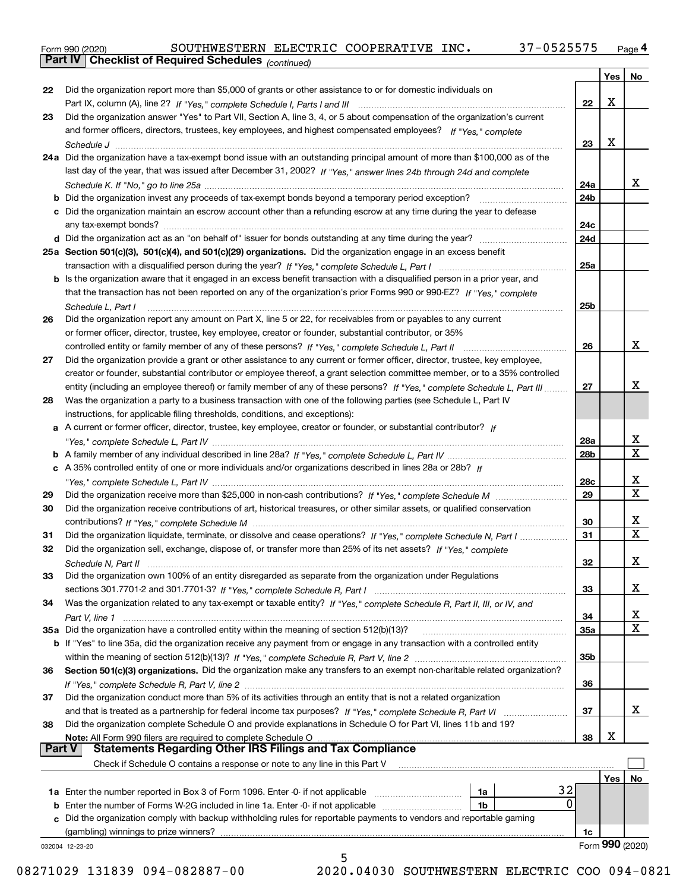Form 990 (2020) SOUTHWESTERN ELECTRIC COOPERATIVE INC**.** 37-0525575 <sub>Page</sub> 4<br>**Part IV | Checklist of Required Schedules** <sub>(continued)</sub>

*(continued)*

|        |                                                                                                                              |                 | Yes | No              |
|--------|------------------------------------------------------------------------------------------------------------------------------|-----------------|-----|-----------------|
| 22     | Did the organization report more than \$5,000 of grants or other assistance to or for domestic individuals on                |                 |     |                 |
|        |                                                                                                                              | 22              | Х   |                 |
| 23     | Did the organization answer "Yes" to Part VII, Section A, line 3, 4, or 5 about compensation of the organization's current   |                 |     |                 |
|        | and former officers, directors, trustees, key employees, and highest compensated employees? If "Yes." complete               |                 |     |                 |
|        |                                                                                                                              | 23              | X   |                 |
|        | 24a Did the organization have a tax-exempt bond issue with an outstanding principal amount of more than \$100,000 as of the  |                 |     |                 |
|        | last day of the year, that was issued after December 31, 2002? If "Yes," answer lines 24b through 24d and complete           |                 |     |                 |
|        |                                                                                                                              | 24a             |     | x               |
|        |                                                                                                                              | 24 <sub>b</sub> |     |                 |
|        | c Did the organization maintain an escrow account other than a refunding escrow at any time during the year to defease       |                 |     |                 |
|        |                                                                                                                              | 24c             |     |                 |
|        |                                                                                                                              |                 |     |                 |
|        |                                                                                                                              | 24d             |     |                 |
|        | 25a Section 501(c)(3), 501(c)(4), and 501(c)(29) organizations. Did the organization engage in an excess benefit             |                 |     |                 |
|        |                                                                                                                              | 25a             |     |                 |
|        | b Is the organization aware that it engaged in an excess benefit transaction with a disqualified person in a prior year, and |                 |     |                 |
|        | that the transaction has not been reported on any of the organization's prior Forms 990 or 990-EZ? If "Yes," complete        |                 |     |                 |
|        | Schedule L, Part I                                                                                                           | 25b             |     |                 |
| 26     | Did the organization report any amount on Part X, line 5 or 22, for receivables from or payables to any current              |                 |     |                 |
|        | or former officer, director, trustee, key employee, creator or founder, substantial contributor, or 35%                      |                 |     |                 |
|        | controlled entity or family member of any of these persons? If "Yes," complete Schedule L, Part II                           | 26              |     | x               |
| 27     | Did the organization provide a grant or other assistance to any current or former officer, director, trustee, key employee,  |                 |     |                 |
|        | creator or founder, substantial contributor or employee thereof, a grant selection committee member, or to a 35% controlled  |                 |     |                 |
|        | entity (including an employee thereof) or family member of any of these persons? If "Yes," complete Schedule L, Part III     | 27              |     | x               |
| 28     | Was the organization a party to a business transaction with one of the following parties (see Schedule L, Part IV            |                 |     |                 |
|        | instructions, for applicable filing thresholds, conditions, and exceptions):                                                 |                 |     |                 |
|        | a A current or former officer, director, trustee, key employee, creator or founder, or substantial contributor? If           |                 |     |                 |
|        |                                                                                                                              | 28a             |     | x               |
|        |                                                                                                                              | 28 <sub>b</sub> |     | X               |
|        | c A 35% controlled entity of one or more individuals and/or organizations described in lines 28a or 28b? If                  |                 |     |                 |
|        |                                                                                                                              | 28c             |     | х               |
| 29     |                                                                                                                              | 29              |     | $\mathbf X$     |
| 30     | Did the organization receive contributions of art, historical treasures, or other similar assets, or qualified conservation  |                 |     |                 |
|        |                                                                                                                              | 30              |     | х               |
| 31     | Did the organization liquidate, terminate, or dissolve and cease operations? If "Yes," complete Schedule N, Part I           | 31              |     | X               |
| 32     | Did the organization sell, exchange, dispose of, or transfer more than 25% of its net assets? If "Yes," complete             |                 |     |                 |
|        |                                                                                                                              | 32              |     | х               |
| 33     | Did the organization own 100% of an entity disregarded as separate from the organization under Regulations                   |                 |     |                 |
|        |                                                                                                                              | 33              |     | x               |
| 34     | Was the organization related to any tax-exempt or taxable entity? If "Yes," complete Schedule R, Part II, III, or IV, and    |                 |     |                 |
|        |                                                                                                                              | 34              |     | x               |
|        | 35a Did the organization have a controlled entity within the meaning of section 512(b)(13)?                                  |                 |     | Χ               |
|        |                                                                                                                              | 35a             |     |                 |
|        | b If "Yes" to line 35a, did the organization receive any payment from or engage in any transaction with a controlled entity  |                 |     |                 |
|        |                                                                                                                              | 35 <sub>b</sub> |     |                 |
| 36     | Section 501(c)(3) organizations. Did the organization make any transfers to an exempt non-charitable related organization?   |                 |     |                 |
|        |                                                                                                                              | 36              |     |                 |
| 37     | Did the organization conduct more than 5% of its activities through an entity that is not a related organization             |                 |     |                 |
|        |                                                                                                                              | 37              |     | X.              |
| 38     | Did the organization complete Schedule O and provide explanations in Schedule O for Part VI, lines 11b and 19?               |                 |     |                 |
|        | Note: All Form 990 filers are required to complete Schedule O                                                                | 38              | х   |                 |
| Part V | <b>Statements Regarding Other IRS Filings and Tax Compliance</b>                                                             |                 |     |                 |
|        | Check if Schedule O contains a response or note to any line in this Part V                                                   |                 |     |                 |
|        |                                                                                                                              |                 | Yes | No              |
|        | 32<br>1a                                                                                                                     |                 |     |                 |
|        | 0<br><b>b</b> Enter the number of Forms W-2G included in line 1a. Enter -0- if not applicable<br>1b                          |                 |     |                 |
|        | c Did the organization comply with backup withholding rules for reportable payments to vendors and reportable gaming         |                 |     |                 |
|        | (gambling) winnings to prize winners?                                                                                        | 1c              |     |                 |
|        | 032004 12-23-20                                                                                                              |                 |     | Form 990 (2020) |
|        | 5                                                                                                                            |                 |     |                 |

 <sup>08271029 131839 094-082887-00 2020.04030</sup> SOUTHWESTERN ELECTRIC COO 094-0821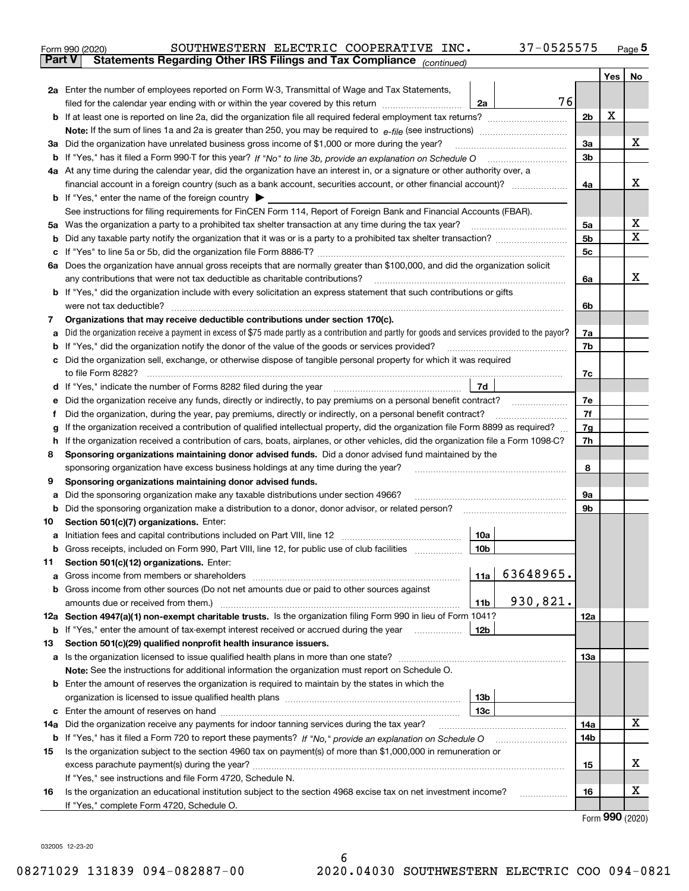|               | SOUTHWESTERN ELECTRIC COOPERATIVE INC.<br>37-0525575<br>Form 990 (2020)                                                                                                    |     |     | $_{\text{Page}}$ 5 |  |  |  |  |
|---------------|----------------------------------------------------------------------------------------------------------------------------------------------------------------------------|-----|-----|--------------------|--|--|--|--|
| <b>Part V</b> | Statements Regarding Other IRS Filings and Tax Compliance (continued)                                                                                                      |     |     |                    |  |  |  |  |
|               |                                                                                                                                                                            |     | Yes | No                 |  |  |  |  |
|               | 2a Enter the number of employees reported on Form W-3, Transmittal of Wage and Tax Statements,                                                                             |     |     |                    |  |  |  |  |
|               | 76<br>filed for the calendar year ending with or within the year covered by this return<br>2a                                                                              |     |     |                    |  |  |  |  |
|               |                                                                                                                                                                            | 2b  | х   |                    |  |  |  |  |
|               |                                                                                                                                                                            |     |     |                    |  |  |  |  |
|               | 3a Did the organization have unrelated business gross income of \$1,000 or more during the year?                                                                           | 3a  |     | х                  |  |  |  |  |
|               |                                                                                                                                                                            | 3b  |     |                    |  |  |  |  |
|               | 4a At any time during the calendar year, did the organization have an interest in, or a signature or other authority over, a                                               |     |     |                    |  |  |  |  |
|               | financial account in a foreign country (such as a bank account, securities account, or other financial account)?                                                           | 4a  |     | х                  |  |  |  |  |
|               | <b>b</b> If "Yes," enter the name of the foreign country $\blacktriangleright$                                                                                             |     |     |                    |  |  |  |  |
|               | See instructions for filing requirements for FinCEN Form 114, Report of Foreign Bank and Financial Accounts (FBAR).                                                        |     |     |                    |  |  |  |  |
|               |                                                                                                                                                                            | 5a  |     | х                  |  |  |  |  |
| b             |                                                                                                                                                                            | 5b  |     | X                  |  |  |  |  |
| c             |                                                                                                                                                                            | 5c  |     |                    |  |  |  |  |
|               | 6a Does the organization have annual gross receipts that are normally greater than \$100,000, and did the organization solicit                                             |     |     |                    |  |  |  |  |
|               |                                                                                                                                                                            | 6a  |     | х                  |  |  |  |  |
|               | <b>b</b> If "Yes," did the organization include with every solicitation an express statement that such contributions or gifts                                              |     |     |                    |  |  |  |  |
|               | were not tax deductible?                                                                                                                                                   | 6b  |     |                    |  |  |  |  |
| 7             | Organizations that may receive deductible contributions under section 170(c).                                                                                              |     |     |                    |  |  |  |  |
| а             | Did the organization receive a payment in excess of \$75 made partly as a contribution and partly for goods and services provided to the payor?                            | 7a  |     |                    |  |  |  |  |
| b             | If "Yes," did the organization notify the donor of the value of the goods or services provided?                                                                            | 7b  |     |                    |  |  |  |  |
|               | c Did the organization sell, exchange, or otherwise dispose of tangible personal property for which it was required                                                        |     |     |                    |  |  |  |  |
|               |                                                                                                                                                                            | 7c  |     |                    |  |  |  |  |
|               | 7d                                                                                                                                                                         |     |     |                    |  |  |  |  |
| е             | Did the organization receive any funds, directly or indirectly, to pay premiums on a personal benefit contract?                                                            | 7e  |     |                    |  |  |  |  |
| f             | Did the organization, during the year, pay premiums, directly or indirectly, on a personal benefit contract?                                                               | 7f  |     |                    |  |  |  |  |
| g             | If the organization received a contribution of qualified intellectual property, did the organization file Form 8899 as required?                                           |     |     |                    |  |  |  |  |
| h.            | If the organization received a contribution of cars, boats, airplanes, or other vehicles, did the organization file a Form 1098-C?                                         |     |     |                    |  |  |  |  |
| 8             | Sponsoring organizations maintaining donor advised funds. Did a donor advised fund maintained by the                                                                       |     |     |                    |  |  |  |  |
|               | sponsoring organization have excess business holdings at any time during the year?                                                                                         |     |     |                    |  |  |  |  |
| 9             | Sponsoring organizations maintaining donor advised funds.                                                                                                                  |     |     |                    |  |  |  |  |
| а             | Did the sponsoring organization make any taxable distributions under section 4966?                                                                                         | 9а  |     |                    |  |  |  |  |
| b             | Did the sponsoring organization make a distribution to a donor, donor advisor, or related person?                                                                          | 9b  |     |                    |  |  |  |  |
| 10            | Section 501(c)(7) organizations. Enter:                                                                                                                                    |     |     |                    |  |  |  |  |
|               | 10a<br>a Initiation fees and capital contributions included on Part VIII, line 12 [111] [11] [11] Initiation fees and capital contributions included on Part VIII, line 12 |     |     |                    |  |  |  |  |
|               | 10 <sub>b</sub>  <br>Gross receipts, included on Form 990, Part VIII, line 12, for public use of club facilities                                                           |     |     |                    |  |  |  |  |
| 11            | Section 501(c)(12) organizations. Enter:                                                                                                                                   |     |     |                    |  |  |  |  |
| a             | 63648965.<br>11a $\vert$                                                                                                                                                   |     |     |                    |  |  |  |  |
|               | b Gross income from other sources (Do not net amounts due or paid to other sources against                                                                                 |     |     |                    |  |  |  |  |
|               | 930,821.<br>11 <sub>b</sub>                                                                                                                                                |     |     |                    |  |  |  |  |
|               | 12a Section 4947(a)(1) non-exempt charitable trusts. Is the organization filing Form 990 in lieu of Form 1041?                                                             | 12a |     |                    |  |  |  |  |
|               | 12b<br><b>b</b> If "Yes," enter the amount of tax-exempt interest received or accrued during the year <i>manument</i>                                                      |     |     |                    |  |  |  |  |
| 13            | Section 501(c)(29) qualified nonprofit health insurance issuers.                                                                                                           |     |     |                    |  |  |  |  |
|               | a Is the organization licensed to issue qualified health plans in more than one state?                                                                                     | 13a |     |                    |  |  |  |  |
|               | Note: See the instructions for additional information the organization must report on Schedule O.                                                                          |     |     |                    |  |  |  |  |
|               | <b>b</b> Enter the amount of reserves the organization is required to maintain by the states in which the                                                                  |     |     |                    |  |  |  |  |
|               | 13b                                                                                                                                                                        |     |     |                    |  |  |  |  |
|               | 13 <sub>c</sub>                                                                                                                                                            |     |     |                    |  |  |  |  |
| 14a           | Did the organization receive any payments for indoor tanning services during the tax year?                                                                                 | 14a |     | х                  |  |  |  |  |
|               | <b>b</b> If "Yes," has it filed a Form 720 to report these payments? If "No," provide an explanation on Schedule O                                                         | 14b |     |                    |  |  |  |  |
| 15            | Is the organization subject to the section 4960 tax on payment(s) of more than \$1,000,000 in remuneration or                                                              |     |     |                    |  |  |  |  |
|               |                                                                                                                                                                            | 15  |     | x                  |  |  |  |  |
|               | If "Yes," see instructions and file Form 4720, Schedule N.                                                                                                                 |     |     |                    |  |  |  |  |
| 16            | Is the organization an educational institution subject to the section 4968 excise tax on net investment income?                                                            | 16  |     | х                  |  |  |  |  |
|               | If "Yes," complete Form 4720, Schedule O.                                                                                                                                  |     |     |                    |  |  |  |  |

6

Form (2020) **990**

032005 12-23-20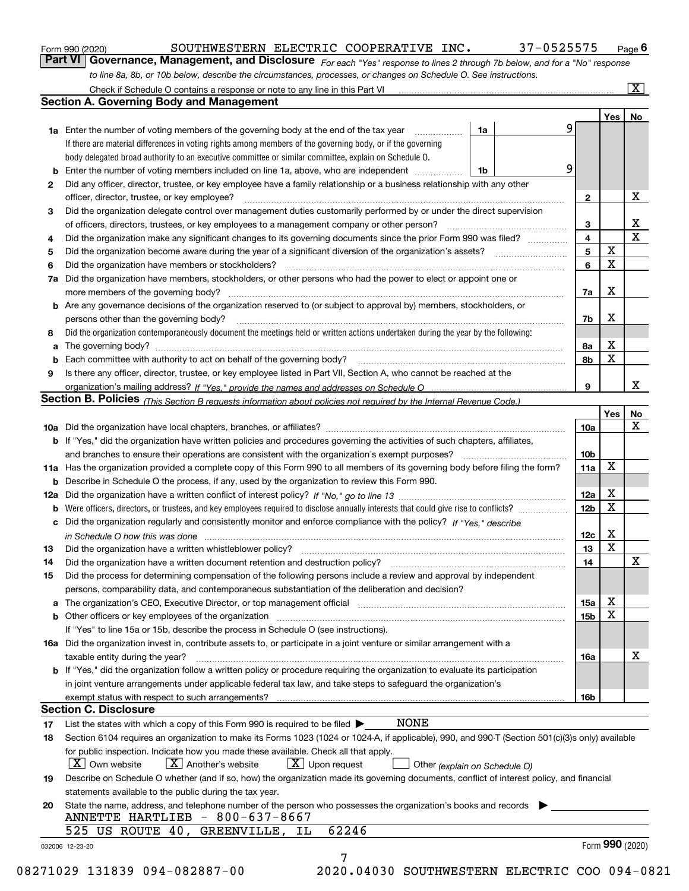|  | Form 990 (2020) |
|--|-----------------|
|  |                 |

#### SOUTHWESTERN ELECTRIC COOPERATIVE INC. 37-0525575

*For each "Yes" response to lines 2 through 7b below, and for a "No" response to line 8a, 8b, or 10b below, describe the circumstances, processes, or changes on Schedule O. See instructions.* Form 990 (2020) **Contingly to the SOUTHWESTERN ELECTRIC COOPERATIVE INC.** 37 – 0525575 Page 6<br>**Part VI** | Governance, Management, and Disclosure *For each "Yes" response to lines 2 through 7b below, and for a "No" response* Check if Schedule O contains a response or note to any line in this Part VI

|    |                                                                                                                                                                               |    |  |   |                 | Yes   No        |             |
|----|-------------------------------------------------------------------------------------------------------------------------------------------------------------------------------|----|--|---|-----------------|-----------------|-------------|
|    | <b>1a</b> Enter the number of voting members of the governing body at the end of the tax year                                                                                 | 1a |  | 9 |                 |                 |             |
|    | If there are material differences in voting rights among members of the governing body, or if the governing                                                                   |    |  |   |                 |                 |             |
|    | body delegated broad authority to an executive committee or similar committee, explain on Schedule O.                                                                         |    |  |   |                 |                 |             |
|    |                                                                                                                                                                               | 1b |  | 9 |                 |                 |             |
| 2  | Did any officer, director, trustee, or key employee have a family relationship or a business relationship with any other                                                      |    |  |   |                 |                 |             |
|    | officer, director, trustee, or key employee?                                                                                                                                  |    |  |   | $\mathbf{2}$    |                 | X           |
| 3  | Did the organization delegate control over management duties customarily performed by or under the direct supervision                                                         |    |  |   |                 |                 |             |
|    |                                                                                                                                                                               |    |  |   | 3               |                 | X           |
| 4  | Did the organization make any significant changes to its governing documents since the prior Form 990 was filed?                                                              |    |  |   | $\overline{4}$  |                 | $\mathbf X$ |
| 5  |                                                                                                                                                                               |    |  |   | 5               | $\mathbf X$     |             |
| 6  | Did the organization have members or stockholders?                                                                                                                            |    |  |   | 6               | $\mathbf X$     |             |
| 7a | Did the organization have members, stockholders, or other persons who had the power to elect or appoint one or                                                                |    |  |   |                 |                 |             |
|    |                                                                                                                                                                               |    |  |   | 7a              | х               |             |
|    | <b>b</b> Are any governance decisions of the organization reserved to (or subject to approval by) members, stockholders, or                                                   |    |  |   |                 |                 |             |
|    | persons other than the governing body?                                                                                                                                        |    |  |   | 7b              | Х               |             |
| 8  | Did the organization contemporaneously document the meetings held or written actions undertaken during the year by the following:                                             |    |  |   |                 |                 |             |
| a  |                                                                                                                                                                               |    |  |   | 8a              | X               |             |
| b  |                                                                                                                                                                               |    |  |   | 8b              | X               |             |
| 9  | Is there any officer, director, trustee, or key employee listed in Part VII, Section A, who cannot be reached at the                                                          |    |  |   |                 |                 |             |
|    |                                                                                                                                                                               |    |  |   | 9               |                 | x           |
|    | Section B. Policies (This Section B requests information about policies not required by the Internal Revenue Code.)                                                           |    |  |   |                 |                 |             |
|    |                                                                                                                                                                               |    |  |   |                 | Yes             | No          |
|    |                                                                                                                                                                               |    |  |   | 10a             |                 | X           |
|    | <b>b</b> If "Yes," did the organization have written policies and procedures governing the activities of such chapters, affiliates,                                           |    |  |   |                 |                 |             |
|    |                                                                                                                                                                               |    |  |   |                 |                 |             |
|    | 11a Has the organization provided a complete copy of this Form 990 to all members of its governing body before filing the form?                                               |    |  |   | 11a             | X               |             |
|    | <b>b</b> Describe in Schedule O the process, if any, used by the organization to review this Form 990.                                                                        |    |  |   |                 |                 |             |
|    |                                                                                                                                                                               |    |  |   | 12a             | X               |             |
| b  |                                                                                                                                                                               |    |  |   | 12 <sub>b</sub> | X               |             |
|    | c Did the organization regularly and consistently monitor and enforce compliance with the policy? If "Yes." describe                                                          |    |  |   |                 |                 |             |
|    | in Schedule O how this was done manufactured and continuum control of the Schedule O how this was done manufactured and continuum control of the Schedule O how this was done |    |  |   | 12c             | X               |             |
| 13 |                                                                                                                                                                               |    |  |   | 13              | $\mathbf X$     |             |
| 14 | Did the organization have a written document retention and destruction policy? manufactured and the organization have a written document retention and destruction policy?    |    |  |   | 14              |                 | X           |
| 15 | Did the process for determining compensation of the following persons include a review and approval by independent                                                            |    |  |   |                 |                 |             |
|    | persons, comparability data, and contemporaneous substantiation of the deliberation and decision?                                                                             |    |  |   |                 |                 |             |
|    |                                                                                                                                                                               |    |  |   | 15a             | X               |             |
|    |                                                                                                                                                                               |    |  |   | 15 <sub>b</sub> | X               |             |
|    | If "Yes" to line 15a or 15b, describe the process in Schedule O (see instructions).                                                                                           |    |  |   |                 |                 |             |
|    | 16a Did the organization invest in, contribute assets to, or participate in a joint venture or similar arrangement with a                                                     |    |  |   |                 |                 |             |
|    | taxable entity during the year?                                                                                                                                               |    |  |   | 16a             |                 | X           |
|    | b If "Yes," did the organization follow a written policy or procedure requiring the organization to evaluate its participation                                                |    |  |   |                 |                 |             |
|    | in joint venture arrangements under applicable federal tax law, and take steps to safequard the organization's                                                                |    |  |   |                 |                 |             |
|    | exempt status with respect to such arrangements?                                                                                                                              |    |  |   | 16 <sub>b</sub> |                 |             |
|    | <b>Section C. Disclosure</b>                                                                                                                                                  |    |  |   |                 |                 |             |
| 17 | <b>NONE</b><br>List the states with which a copy of this Form 990 is required to be filed $\blacktriangleright$                                                               |    |  |   |                 |                 |             |
| 18 | Section 6104 requires an organization to make its Forms 1023 (1024 or 1024-A, if applicable), 990, and 990-T (Section 501(c)(3)s only) available                              |    |  |   |                 |                 |             |
|    | for public inspection. Indicate how you made these available. Check all that apply.                                                                                           |    |  |   |                 |                 |             |
|    | $X$ Upon request<br>$ X $ Own website<br>$X$ Another's website                                                                                                                |    |  |   |                 |                 |             |
|    | Other (explain on Schedule O)                                                                                                                                                 |    |  |   |                 |                 |             |
| 19 | Describe on Schedule O whether (and if so, how) the organization made its governing documents, conflict of interest policy, and financial                                     |    |  |   |                 |                 |             |
|    | statements available to the public during the tax year.                                                                                                                       |    |  |   |                 |                 |             |
| 20 | State the name, address, and telephone number of the person who possesses the organization's books and records<br>ANNETTE HARTLIEB - 800-637-8667                             |    |  |   |                 |                 |             |
|    | 62246                                                                                                                                                                         |    |  |   |                 |                 |             |
|    | 525 US ROUTE 40, GREENVILLE, IL                                                                                                                                               |    |  |   |                 | Form 990 (2020) |             |
|    | 032006 12-23-20                                                                                                                                                               |    |  |   |                 |                 |             |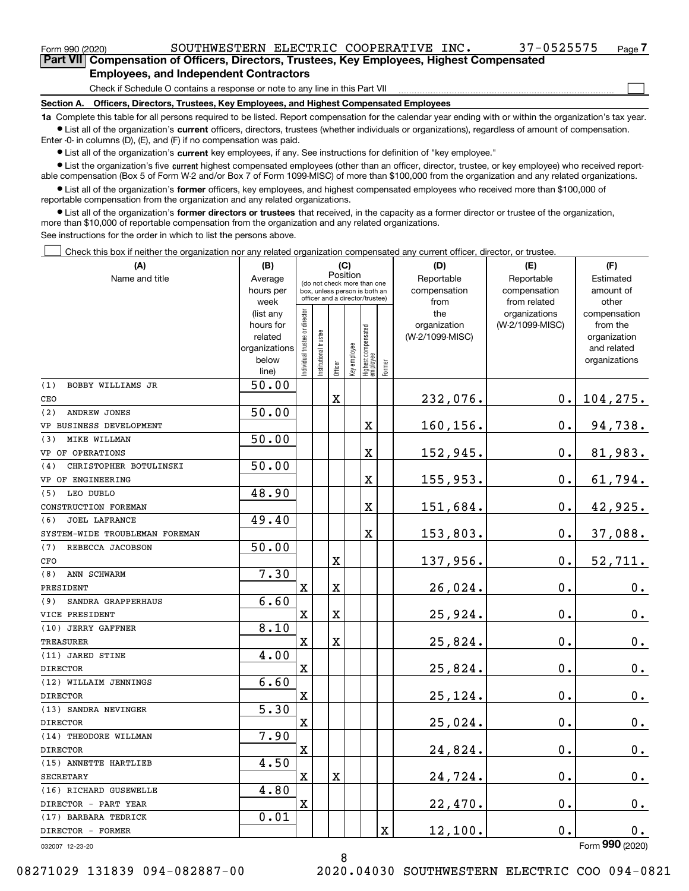| Form 990 (2020)                                                                            | SOUTHWESTERN ELECTRIC COOPERATIVE INC.                                       |  |  |  | 37-0525575 | Page <i>I</i> |  |  |  |
|--------------------------------------------------------------------------------------------|------------------------------------------------------------------------------|--|--|--|------------|---------------|--|--|--|
| Part VII Compensation of Officers, Directors, Trustees, Key Employees, Highest Compensated |                                                                              |  |  |  |            |               |  |  |  |
| <b>Employees, and Independent Contractors</b>                                              |                                                                              |  |  |  |            |               |  |  |  |
|                                                                                            | Check if Schedule O contains a response or note to any line in this Part VII |  |  |  |            |               |  |  |  |

**Section A. Officers, Directors, Trustees, Key Employees, and Highest Compensated Employees**

**1a**  Complete this table for all persons required to be listed. Report compensation for the calendar year ending with or within the organization's tax year. **•** List all of the organization's current officers, directors, trustees (whether individuals or organizations), regardless of amount of compensation.

Enter -0- in columns (D), (E), and (F) if no compensation was paid.

 $\bullet$  List all of the organization's  $\,$ current key employees, if any. See instructions for definition of "key employee."

**•** List the organization's five current highest compensated employees (other than an officer, director, trustee, or key employee) who received reportable compensation (Box 5 of Form W-2 and/or Box 7 of Form 1099-MISC) of more than \$100,000 from the organization and any related organizations.

**•** List all of the organization's former officers, key employees, and highest compensated employees who received more than \$100,000 of reportable compensation from the organization and any related organizations.

**former directors or trustees**  ¥ List all of the organization's that received, in the capacity as a former director or trustee of the organization, more than \$10,000 of reportable compensation from the organization and any related organizations.

See instructions for the order in which to list the persons above.

Check this box if neither the organization nor any related organization compensated any current officer, director, or trustee.  $\mathcal{L}^{\text{max}}$ 

| (A)                            | (B)                  |                                                                  |                       | (C)                     |              |                                  |             | (D)                                          | (E)             | (F)                      |
|--------------------------------|----------------------|------------------------------------------------------------------|-----------------------|-------------------------|--------------|----------------------------------|-------------|----------------------------------------------|-----------------|--------------------------|
| Name and title                 | Average              | Position<br>(do not check more than one                          |                       |                         |              |                                  |             | Reportable                                   | Reportable      | Estimated                |
|                                | hours per            | box, unless person is both an<br>officer and a director/trustee) |                       |                         |              |                                  |             | compensation                                 | compensation    | amount of                |
|                                | week                 |                                                                  |                       |                         |              |                                  |             | from<br>from related<br>the<br>organizations |                 | other                    |
|                                | (list any            |                                                                  |                       |                         |              |                                  |             |                                              |                 | compensation             |
|                                | hours for<br>related |                                                                  |                       |                         |              |                                  |             | organization<br>(W-2/1099-MISC)              | (W-2/1099-MISC) | from the<br>organization |
|                                | organizations        |                                                                  |                       |                         |              |                                  |             |                                              |                 | and related              |
|                                | below                |                                                                  |                       |                         |              |                                  |             |                                              |                 | organizations            |
|                                | line)                | Individual trustee or director                                   | Institutional trustee | Officer                 | Key employee | Highest compensated<br> employee | Former      |                                              |                 |                          |
| (1)<br>BOBBY WILLIAMS JR       | 50.00                |                                                                  |                       |                         |              |                                  |             |                                              |                 |                          |
| CEO                            |                      |                                                                  |                       | $\mathbf X$             |              |                                  |             | 232,076.                                     | $0$ .           | 104, 275.                |
| (2)<br>ANDREW JONES            | 50.00                |                                                                  |                       |                         |              |                                  |             |                                              |                 |                          |
| VP BUSINESS DEVELOPMENT        |                      |                                                                  |                       |                         |              | X                                |             | 160,156.                                     | $0$ .           | 94,738.                  |
| MIKE WILLMAN<br>(3)            | 50.00                |                                                                  |                       |                         |              |                                  |             |                                              |                 |                          |
| VP OF OPERATIONS               |                      |                                                                  |                       |                         |              | $\overline{\text{X}}$            |             | 152,945.                                     | $\mathbf 0$ .   | 81,983.                  |
| CHRISTOPHER BOTULINSKI<br>(4)  | 50.00                |                                                                  |                       |                         |              |                                  |             |                                              |                 |                          |
| VP OF ENGINEERING              |                      |                                                                  |                       |                         |              | X                                |             | 155,953.                                     | 0.              | 61,794.                  |
| (5)<br>LEO DUBLO               | 48.90                |                                                                  |                       |                         |              |                                  |             |                                              |                 |                          |
| CONSTRUCTION FOREMAN           |                      |                                                                  |                       |                         |              | X                                |             | 151,684.                                     | $\mathbf{0}$ .  | 42,925.                  |
| JOEL LAFRANCE<br>(6)           | 49.40                |                                                                  |                       |                         |              |                                  |             |                                              |                 |                          |
| SYSTEM-WIDE TROUBLEMAN FOREMAN |                      |                                                                  |                       |                         |              | X                                |             | 153,803.                                     | 0.              | 37,088.                  |
| (7)<br>REBECCA JACOBSON        | 50.00                |                                                                  |                       |                         |              |                                  |             |                                              |                 |                          |
| CFO                            |                      |                                                                  |                       | $\overline{\mathbf{X}}$ |              |                                  |             | 137,956.                                     | 0.              | 52,711.                  |
| ANN SCHWARM<br>(8)             | 7.30                 |                                                                  |                       |                         |              |                                  |             |                                              |                 |                          |
| PRESIDENT                      |                      | $\overline{\text{X}}$                                            |                       | $\mathbf X$             |              |                                  |             | 26,024.                                      | $\mathbf{0}$ .  | 0.                       |
| SANDRA GRAPPERHAUS<br>(9)      | 6.60                 |                                                                  |                       |                         |              |                                  |             |                                              |                 |                          |
| VICE PRESIDENT                 |                      | $\mathbf X$                                                      |                       | $\mathbf X$             |              |                                  |             | 25,924.                                      | $\mathbf{0}$ .  | 0.                       |
| (10) JERRY GAFFNER             | 8.10                 |                                                                  |                       |                         |              |                                  |             |                                              |                 |                          |
| <b>TREASURER</b>               |                      | X                                                                |                       | $\rm X$                 |              |                                  |             | 25,824.                                      | $\mathbf{0}$ .  | 0.                       |
| (11) JARED STINE               | 4.00                 |                                                                  |                       |                         |              |                                  |             |                                              |                 |                          |
| <b>DIRECTOR</b>                |                      | $\mathbf X$                                                      |                       |                         |              |                                  |             | 25,824.                                      | $\mathbf{0}$ .  | $\mathbf 0$ .            |
| (12) WILLAIM JENNINGS          | 6.60                 |                                                                  |                       |                         |              |                                  |             |                                              |                 |                          |
| <b>DIRECTOR</b>                |                      | X                                                                |                       |                         |              |                                  |             | 25,124.                                      | $\mathbf{0}$ .  | 0.                       |
| (13) SANDRA NEVINGER           | 5.30                 |                                                                  |                       |                         |              |                                  |             |                                              |                 |                          |
| <b>DIRECTOR</b>                |                      | $\mathbf X$                                                      |                       |                         |              |                                  |             | 25,024.                                      | $\mathbf{0}$ .  | $0_{.}$                  |
| (14) THEODORE WILLMAN          | 7.90                 |                                                                  |                       |                         |              |                                  |             |                                              |                 |                          |
| <b>DIRECTOR</b>                |                      | $\overline{\mathbf{X}}$                                          |                       |                         |              |                                  |             | 24,824.                                      | $\mathbf{0}$ .  | $\mathbf 0$ .            |
| (15) ANNETTE HARTLIEB          | 4.50                 |                                                                  |                       |                         |              |                                  |             |                                              |                 |                          |
| <b>SECRETARY</b>               |                      | $\mathbf X$                                                      |                       | $\mathbf X$             |              |                                  |             | 24,724.                                      | $\mathbf 0$ .   | 0.                       |
| (16) RICHARD GUSEWELLE         | 4.80                 |                                                                  |                       |                         |              |                                  |             |                                              |                 |                          |
| DIRECTOR - PART YEAR           |                      | $\mathbf X$                                                      |                       |                         |              |                                  |             | 22, 470.                                     | $\mathbf{0}$ .  | $\mathbf 0$ .            |
| (17) BARBARA TEDRICK           | 0.01                 |                                                                  |                       |                         |              |                                  |             |                                              |                 |                          |
| DIRECTOR - FORMER              |                      |                                                                  |                       |                         |              |                                  | $\mathbf X$ | 12,100.                                      | 0.              | 0.                       |
| 032007 12-23-20                |                      |                                                                  |                       |                         |              |                                  |             |                                              |                 | Form 990 (2020)          |

032007 12-23-20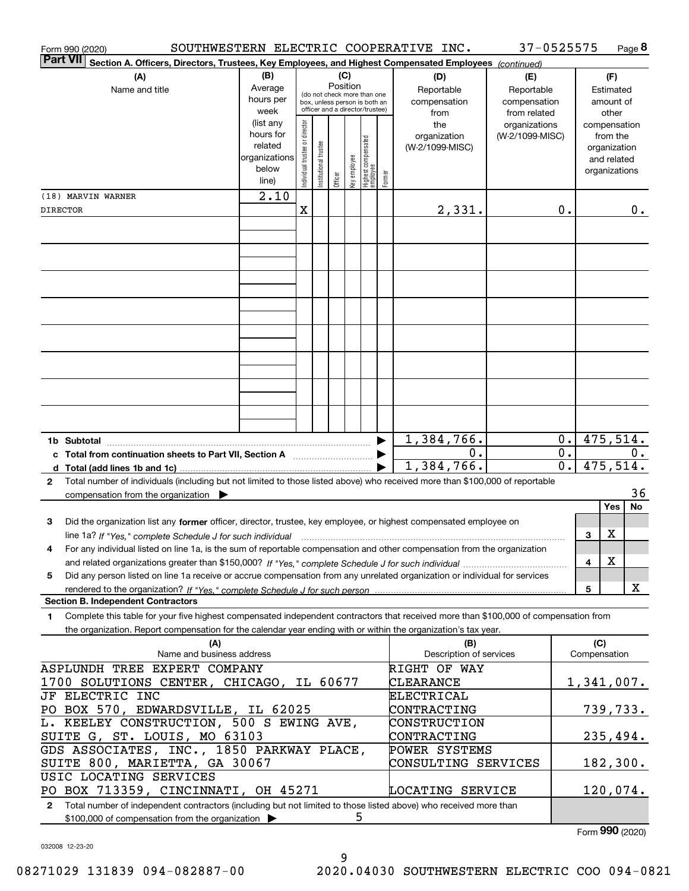| Section A. Officers, Directors, Trustees, Key Employees, and Highest Compensated Employees (continued)<br>(B)<br>(C)<br>(A)<br>(D)<br>(F)<br>(E)<br>Position<br>Average<br>Name and title<br>Reportable<br>Reportable<br>Estimated<br>(do not check more than one<br>hours per<br>compensation<br>compensation<br>amount of<br>box, unless person is both an<br>officer and a director/trustee)<br>week<br>from related<br>from<br>other<br>(list any<br>Individual trustee or director<br>the<br>organizations<br>compensation<br>hours for<br>organization<br>(W-2/1099-MISC)<br>from the<br>  Highest compensated<br>  employee<br>Institutional trustee<br>related<br>(W-2/1099-MISC)<br>organization<br>key employee<br>organizations<br>and related<br>below<br>organizations<br>Former<br>Officer<br>line)<br>2.10<br>(18) MARVIN WARNER<br>Χ<br>2,331.<br>0.<br>0.<br><b>DIRECTOR</b><br>475,514.<br>1,384,766.<br>0.<br>1b Subtotal<br>$\overline{0}$ .<br>0.<br>0.<br>$\overline{0}$ .<br>1,384,766.<br>475,514.<br>Total number of individuals (including but not limited to those listed above) who received more than \$100,000 of reportable<br>$\mathbf{2}$<br>36<br>compensation from the organization<br>Yes<br>No<br>Did the organization list any former officer, director, trustee, key employee, or highest compensated employee on<br>З<br>X<br>3<br>line 1a? If "Yes," complete Schedule J for such individual manufactured contained and the Ves," complete Schedule J for such individual<br>For any individual listed on line 1a, is the sum of reportable compensation and other compensation from the organization<br>4<br>X<br>4<br>Did any person listed on line 1a receive or accrue compensation from any unrelated organization or individual for services<br>5<br>X<br>$\overline{\mathbf{5}}$<br><b>Section B. Independent Contractors</b><br>Complete this table for your five highest compensated independent contractors that received more than \$100,000 of compensation from<br>1<br>the organization. Report compensation for the calendar year ending with or within the organization's tax year.<br>(C)<br>(A)<br>(B)<br>Compensation<br>Name and business address<br>Description of services<br>ASPLUNDH TREE EXPERT COMPANY<br>RIGHT OF WAY<br>$1,341,007$ .<br>1700 SOLUTIONS CENTER, CHICAGO, IL 60677<br>CLEARANCE<br>JF ELECTRIC INC<br>ELECTRICAL<br>CONTRACTING<br>739,733.<br>PO BOX 570, EDWARDSVILLE, IL 62025<br>L. KEELEY CONSTRUCTION, 500 S EWING AVE,<br>CONSTRUCTION<br>SUITE G, ST. LOUIS, MO 63103<br>CONTRACTING<br>235,494.<br>GDS ASSOCIATES, INC., 1850 PARKWAY PLACE,<br>POWER SYSTEMS<br>SUITE 800, MARIETTA, GA 30067<br>CONSULTING SERVICES<br>182,300.<br>USIC LOCATING SERVICES<br>PO BOX 713359, CINCINNATI, OH 45271<br>120,074.<br>LOCATING SERVICE<br>Total number of independent contractors (including but not limited to those listed above) who received more than<br>$\mathbf{2}$<br>5<br>\$100,000 of compensation from the organization<br>$F_{\text{sum}}$ 990 (2020) | Form 990 (2020) |  |  |  |  |  |  |  | SOUTHWESTERN ELECTRIC COOPERATIVE INC. | 37-0525575 |  | Page 8 |  |
|------------------------------------------------------------------------------------------------------------------------------------------------------------------------------------------------------------------------------------------------------------------------------------------------------------------------------------------------------------------------------------------------------------------------------------------------------------------------------------------------------------------------------------------------------------------------------------------------------------------------------------------------------------------------------------------------------------------------------------------------------------------------------------------------------------------------------------------------------------------------------------------------------------------------------------------------------------------------------------------------------------------------------------------------------------------------------------------------------------------------------------------------------------------------------------------------------------------------------------------------------------------------------------------------------------------------------------------------------------------------------------------------------------------------------------------------------------------------------------------------------------------------------------------------------------------------------------------------------------------------------------------------------------------------------------------------------------------------------------------------------------------------------------------------------------------------------------------------------------------------------------------------------------------------------------------------------------------------------------------------------------------------------------------------------------------------------------------------------------------------------------------------------------------------------------------------------------------------------------------------------------------------------------------------------------------------------------------------------------------------------------------------------------------------------------------------------------------------------------------------------------------------------------------------------------------------------------------------------------------------------------------------------------------------------------------------------------------------------------------------------------------------------------------------------------------------------------------------------------------------------------------------------------------------------------------------------------------------------------------------------------------------------------------------------------|-----------------|--|--|--|--|--|--|--|----------------------------------------|------------|--|--------|--|
|                                                                                                                                                                                                                                                                                                                                                                                                                                                                                                                                                                                                                                                                                                                                                                                                                                                                                                                                                                                                                                                                                                                                                                                                                                                                                                                                                                                                                                                                                                                                                                                                                                                                                                                                                                                                                                                                                                                                                                                                                                                                                                                                                                                                                                                                                                                                                                                                                                                                                                                                                                                                                                                                                                                                                                                                                                                                                                                                                                                                                                                            | <b>Part VII</b> |  |  |  |  |  |  |  |                                        |            |  |        |  |
|                                                                                                                                                                                                                                                                                                                                                                                                                                                                                                                                                                                                                                                                                                                                                                                                                                                                                                                                                                                                                                                                                                                                                                                                                                                                                                                                                                                                                                                                                                                                                                                                                                                                                                                                                                                                                                                                                                                                                                                                                                                                                                                                                                                                                                                                                                                                                                                                                                                                                                                                                                                                                                                                                                                                                                                                                                                                                                                                                                                                                                                            |                 |  |  |  |  |  |  |  |                                        |            |  |        |  |
|                                                                                                                                                                                                                                                                                                                                                                                                                                                                                                                                                                                                                                                                                                                                                                                                                                                                                                                                                                                                                                                                                                                                                                                                                                                                                                                                                                                                                                                                                                                                                                                                                                                                                                                                                                                                                                                                                                                                                                                                                                                                                                                                                                                                                                                                                                                                                                                                                                                                                                                                                                                                                                                                                                                                                                                                                                                                                                                                                                                                                                                            |                 |  |  |  |  |  |  |  |                                        |            |  |        |  |
|                                                                                                                                                                                                                                                                                                                                                                                                                                                                                                                                                                                                                                                                                                                                                                                                                                                                                                                                                                                                                                                                                                                                                                                                                                                                                                                                                                                                                                                                                                                                                                                                                                                                                                                                                                                                                                                                                                                                                                                                                                                                                                                                                                                                                                                                                                                                                                                                                                                                                                                                                                                                                                                                                                                                                                                                                                                                                                                                                                                                                                                            |                 |  |  |  |  |  |  |  |                                        |            |  |        |  |
|                                                                                                                                                                                                                                                                                                                                                                                                                                                                                                                                                                                                                                                                                                                                                                                                                                                                                                                                                                                                                                                                                                                                                                                                                                                                                                                                                                                                                                                                                                                                                                                                                                                                                                                                                                                                                                                                                                                                                                                                                                                                                                                                                                                                                                                                                                                                                                                                                                                                                                                                                                                                                                                                                                                                                                                                                                                                                                                                                                                                                                                            |                 |  |  |  |  |  |  |  |                                        |            |  |        |  |
|                                                                                                                                                                                                                                                                                                                                                                                                                                                                                                                                                                                                                                                                                                                                                                                                                                                                                                                                                                                                                                                                                                                                                                                                                                                                                                                                                                                                                                                                                                                                                                                                                                                                                                                                                                                                                                                                                                                                                                                                                                                                                                                                                                                                                                                                                                                                                                                                                                                                                                                                                                                                                                                                                                                                                                                                                                                                                                                                                                                                                                                            |                 |  |  |  |  |  |  |  |                                        |            |  |        |  |
|                                                                                                                                                                                                                                                                                                                                                                                                                                                                                                                                                                                                                                                                                                                                                                                                                                                                                                                                                                                                                                                                                                                                                                                                                                                                                                                                                                                                                                                                                                                                                                                                                                                                                                                                                                                                                                                                                                                                                                                                                                                                                                                                                                                                                                                                                                                                                                                                                                                                                                                                                                                                                                                                                                                                                                                                                                                                                                                                                                                                                                                            |                 |  |  |  |  |  |  |  |                                        |            |  |        |  |
|                                                                                                                                                                                                                                                                                                                                                                                                                                                                                                                                                                                                                                                                                                                                                                                                                                                                                                                                                                                                                                                                                                                                                                                                                                                                                                                                                                                                                                                                                                                                                                                                                                                                                                                                                                                                                                                                                                                                                                                                                                                                                                                                                                                                                                                                                                                                                                                                                                                                                                                                                                                                                                                                                                                                                                                                                                                                                                                                                                                                                                                            |                 |  |  |  |  |  |  |  |                                        |            |  |        |  |
|                                                                                                                                                                                                                                                                                                                                                                                                                                                                                                                                                                                                                                                                                                                                                                                                                                                                                                                                                                                                                                                                                                                                                                                                                                                                                                                                                                                                                                                                                                                                                                                                                                                                                                                                                                                                                                                                                                                                                                                                                                                                                                                                                                                                                                                                                                                                                                                                                                                                                                                                                                                                                                                                                                                                                                                                                                                                                                                                                                                                                                                            |                 |  |  |  |  |  |  |  |                                        |            |  |        |  |
|                                                                                                                                                                                                                                                                                                                                                                                                                                                                                                                                                                                                                                                                                                                                                                                                                                                                                                                                                                                                                                                                                                                                                                                                                                                                                                                                                                                                                                                                                                                                                                                                                                                                                                                                                                                                                                                                                                                                                                                                                                                                                                                                                                                                                                                                                                                                                                                                                                                                                                                                                                                                                                                                                                                                                                                                                                                                                                                                                                                                                                                            |                 |  |  |  |  |  |  |  |                                        |            |  |        |  |
|                                                                                                                                                                                                                                                                                                                                                                                                                                                                                                                                                                                                                                                                                                                                                                                                                                                                                                                                                                                                                                                                                                                                                                                                                                                                                                                                                                                                                                                                                                                                                                                                                                                                                                                                                                                                                                                                                                                                                                                                                                                                                                                                                                                                                                                                                                                                                                                                                                                                                                                                                                                                                                                                                                                                                                                                                                                                                                                                                                                                                                                            |                 |  |  |  |  |  |  |  |                                        |            |  |        |  |
|                                                                                                                                                                                                                                                                                                                                                                                                                                                                                                                                                                                                                                                                                                                                                                                                                                                                                                                                                                                                                                                                                                                                                                                                                                                                                                                                                                                                                                                                                                                                                                                                                                                                                                                                                                                                                                                                                                                                                                                                                                                                                                                                                                                                                                                                                                                                                                                                                                                                                                                                                                                                                                                                                                                                                                                                                                                                                                                                                                                                                                                            |                 |  |  |  |  |  |  |  |                                        |            |  |        |  |
|                                                                                                                                                                                                                                                                                                                                                                                                                                                                                                                                                                                                                                                                                                                                                                                                                                                                                                                                                                                                                                                                                                                                                                                                                                                                                                                                                                                                                                                                                                                                                                                                                                                                                                                                                                                                                                                                                                                                                                                                                                                                                                                                                                                                                                                                                                                                                                                                                                                                                                                                                                                                                                                                                                                                                                                                                                                                                                                                                                                                                                                            |                 |  |  |  |  |  |  |  |                                        |            |  |        |  |
|                                                                                                                                                                                                                                                                                                                                                                                                                                                                                                                                                                                                                                                                                                                                                                                                                                                                                                                                                                                                                                                                                                                                                                                                                                                                                                                                                                                                                                                                                                                                                                                                                                                                                                                                                                                                                                                                                                                                                                                                                                                                                                                                                                                                                                                                                                                                                                                                                                                                                                                                                                                                                                                                                                                                                                                                                                                                                                                                                                                                                                                            |                 |  |  |  |  |  |  |  |                                        |            |  |        |  |
|                                                                                                                                                                                                                                                                                                                                                                                                                                                                                                                                                                                                                                                                                                                                                                                                                                                                                                                                                                                                                                                                                                                                                                                                                                                                                                                                                                                                                                                                                                                                                                                                                                                                                                                                                                                                                                                                                                                                                                                                                                                                                                                                                                                                                                                                                                                                                                                                                                                                                                                                                                                                                                                                                                                                                                                                                                                                                                                                                                                                                                                            |                 |  |  |  |  |  |  |  |                                        |            |  |        |  |
|                                                                                                                                                                                                                                                                                                                                                                                                                                                                                                                                                                                                                                                                                                                                                                                                                                                                                                                                                                                                                                                                                                                                                                                                                                                                                                                                                                                                                                                                                                                                                                                                                                                                                                                                                                                                                                                                                                                                                                                                                                                                                                                                                                                                                                                                                                                                                                                                                                                                                                                                                                                                                                                                                                                                                                                                                                                                                                                                                                                                                                                            |                 |  |  |  |  |  |  |  |                                        |            |  |        |  |
|                                                                                                                                                                                                                                                                                                                                                                                                                                                                                                                                                                                                                                                                                                                                                                                                                                                                                                                                                                                                                                                                                                                                                                                                                                                                                                                                                                                                                                                                                                                                                                                                                                                                                                                                                                                                                                                                                                                                                                                                                                                                                                                                                                                                                                                                                                                                                                                                                                                                                                                                                                                                                                                                                                                                                                                                                                                                                                                                                                                                                                                            |                 |  |  |  |  |  |  |  |                                        |            |  |        |  |
|                                                                                                                                                                                                                                                                                                                                                                                                                                                                                                                                                                                                                                                                                                                                                                                                                                                                                                                                                                                                                                                                                                                                                                                                                                                                                                                                                                                                                                                                                                                                                                                                                                                                                                                                                                                                                                                                                                                                                                                                                                                                                                                                                                                                                                                                                                                                                                                                                                                                                                                                                                                                                                                                                                                                                                                                                                                                                                                                                                                                                                                            |                 |  |  |  |  |  |  |  |                                        |            |  |        |  |
|                                                                                                                                                                                                                                                                                                                                                                                                                                                                                                                                                                                                                                                                                                                                                                                                                                                                                                                                                                                                                                                                                                                                                                                                                                                                                                                                                                                                                                                                                                                                                                                                                                                                                                                                                                                                                                                                                                                                                                                                                                                                                                                                                                                                                                                                                                                                                                                                                                                                                                                                                                                                                                                                                                                                                                                                                                                                                                                                                                                                                                                            |                 |  |  |  |  |  |  |  |                                        |            |  |        |  |
|                                                                                                                                                                                                                                                                                                                                                                                                                                                                                                                                                                                                                                                                                                                                                                                                                                                                                                                                                                                                                                                                                                                                                                                                                                                                                                                                                                                                                                                                                                                                                                                                                                                                                                                                                                                                                                                                                                                                                                                                                                                                                                                                                                                                                                                                                                                                                                                                                                                                                                                                                                                                                                                                                                                                                                                                                                                                                                                                                                                                                                                            |                 |  |  |  |  |  |  |  |                                        |            |  |        |  |
|                                                                                                                                                                                                                                                                                                                                                                                                                                                                                                                                                                                                                                                                                                                                                                                                                                                                                                                                                                                                                                                                                                                                                                                                                                                                                                                                                                                                                                                                                                                                                                                                                                                                                                                                                                                                                                                                                                                                                                                                                                                                                                                                                                                                                                                                                                                                                                                                                                                                                                                                                                                                                                                                                                                                                                                                                                                                                                                                                                                                                                                            |                 |  |  |  |  |  |  |  |                                        |            |  |        |  |
|                                                                                                                                                                                                                                                                                                                                                                                                                                                                                                                                                                                                                                                                                                                                                                                                                                                                                                                                                                                                                                                                                                                                                                                                                                                                                                                                                                                                                                                                                                                                                                                                                                                                                                                                                                                                                                                                                                                                                                                                                                                                                                                                                                                                                                                                                                                                                                                                                                                                                                                                                                                                                                                                                                                                                                                                                                                                                                                                                                                                                                                            |                 |  |  |  |  |  |  |  |                                        |            |  |        |  |
|                                                                                                                                                                                                                                                                                                                                                                                                                                                                                                                                                                                                                                                                                                                                                                                                                                                                                                                                                                                                                                                                                                                                                                                                                                                                                                                                                                                                                                                                                                                                                                                                                                                                                                                                                                                                                                                                                                                                                                                                                                                                                                                                                                                                                                                                                                                                                                                                                                                                                                                                                                                                                                                                                                                                                                                                                                                                                                                                                                                                                                                            |                 |  |  |  |  |  |  |  |                                        |            |  |        |  |
|                                                                                                                                                                                                                                                                                                                                                                                                                                                                                                                                                                                                                                                                                                                                                                                                                                                                                                                                                                                                                                                                                                                                                                                                                                                                                                                                                                                                                                                                                                                                                                                                                                                                                                                                                                                                                                                                                                                                                                                                                                                                                                                                                                                                                                                                                                                                                                                                                                                                                                                                                                                                                                                                                                                                                                                                                                                                                                                                                                                                                                                            |                 |  |  |  |  |  |  |  |                                        |            |  |        |  |
|                                                                                                                                                                                                                                                                                                                                                                                                                                                                                                                                                                                                                                                                                                                                                                                                                                                                                                                                                                                                                                                                                                                                                                                                                                                                                                                                                                                                                                                                                                                                                                                                                                                                                                                                                                                                                                                                                                                                                                                                                                                                                                                                                                                                                                                                                                                                                                                                                                                                                                                                                                                                                                                                                                                                                                                                                                                                                                                                                                                                                                                            |                 |  |  |  |  |  |  |  |                                        |            |  |        |  |
|                                                                                                                                                                                                                                                                                                                                                                                                                                                                                                                                                                                                                                                                                                                                                                                                                                                                                                                                                                                                                                                                                                                                                                                                                                                                                                                                                                                                                                                                                                                                                                                                                                                                                                                                                                                                                                                                                                                                                                                                                                                                                                                                                                                                                                                                                                                                                                                                                                                                                                                                                                                                                                                                                                                                                                                                                                                                                                                                                                                                                                                            |                 |  |  |  |  |  |  |  |                                        |            |  |        |  |
|                                                                                                                                                                                                                                                                                                                                                                                                                                                                                                                                                                                                                                                                                                                                                                                                                                                                                                                                                                                                                                                                                                                                                                                                                                                                                                                                                                                                                                                                                                                                                                                                                                                                                                                                                                                                                                                                                                                                                                                                                                                                                                                                                                                                                                                                                                                                                                                                                                                                                                                                                                                                                                                                                                                                                                                                                                                                                                                                                                                                                                                            |                 |  |  |  |  |  |  |  |                                        |            |  |        |  |
|                                                                                                                                                                                                                                                                                                                                                                                                                                                                                                                                                                                                                                                                                                                                                                                                                                                                                                                                                                                                                                                                                                                                                                                                                                                                                                                                                                                                                                                                                                                                                                                                                                                                                                                                                                                                                                                                                                                                                                                                                                                                                                                                                                                                                                                                                                                                                                                                                                                                                                                                                                                                                                                                                                                                                                                                                                                                                                                                                                                                                                                            |                 |  |  |  |  |  |  |  |                                        |            |  |        |  |
|                                                                                                                                                                                                                                                                                                                                                                                                                                                                                                                                                                                                                                                                                                                                                                                                                                                                                                                                                                                                                                                                                                                                                                                                                                                                                                                                                                                                                                                                                                                                                                                                                                                                                                                                                                                                                                                                                                                                                                                                                                                                                                                                                                                                                                                                                                                                                                                                                                                                                                                                                                                                                                                                                                                                                                                                                                                                                                                                                                                                                                                            |                 |  |  |  |  |  |  |  |                                        |            |  |        |  |
|                                                                                                                                                                                                                                                                                                                                                                                                                                                                                                                                                                                                                                                                                                                                                                                                                                                                                                                                                                                                                                                                                                                                                                                                                                                                                                                                                                                                                                                                                                                                                                                                                                                                                                                                                                                                                                                                                                                                                                                                                                                                                                                                                                                                                                                                                                                                                                                                                                                                                                                                                                                                                                                                                                                                                                                                                                                                                                                                                                                                                                                            |                 |  |  |  |  |  |  |  |                                        |            |  |        |  |
|                                                                                                                                                                                                                                                                                                                                                                                                                                                                                                                                                                                                                                                                                                                                                                                                                                                                                                                                                                                                                                                                                                                                                                                                                                                                                                                                                                                                                                                                                                                                                                                                                                                                                                                                                                                                                                                                                                                                                                                                                                                                                                                                                                                                                                                                                                                                                                                                                                                                                                                                                                                                                                                                                                                                                                                                                                                                                                                                                                                                                                                            |                 |  |  |  |  |  |  |  |                                        |            |  |        |  |
|                                                                                                                                                                                                                                                                                                                                                                                                                                                                                                                                                                                                                                                                                                                                                                                                                                                                                                                                                                                                                                                                                                                                                                                                                                                                                                                                                                                                                                                                                                                                                                                                                                                                                                                                                                                                                                                                                                                                                                                                                                                                                                                                                                                                                                                                                                                                                                                                                                                                                                                                                                                                                                                                                                                                                                                                                                                                                                                                                                                                                                                            |                 |  |  |  |  |  |  |  |                                        |            |  |        |  |
|                                                                                                                                                                                                                                                                                                                                                                                                                                                                                                                                                                                                                                                                                                                                                                                                                                                                                                                                                                                                                                                                                                                                                                                                                                                                                                                                                                                                                                                                                                                                                                                                                                                                                                                                                                                                                                                                                                                                                                                                                                                                                                                                                                                                                                                                                                                                                                                                                                                                                                                                                                                                                                                                                                                                                                                                                                                                                                                                                                                                                                                            |                 |  |  |  |  |  |  |  |                                        |            |  |        |  |
|                                                                                                                                                                                                                                                                                                                                                                                                                                                                                                                                                                                                                                                                                                                                                                                                                                                                                                                                                                                                                                                                                                                                                                                                                                                                                                                                                                                                                                                                                                                                                                                                                                                                                                                                                                                                                                                                                                                                                                                                                                                                                                                                                                                                                                                                                                                                                                                                                                                                                                                                                                                                                                                                                                                                                                                                                                                                                                                                                                                                                                                            |                 |  |  |  |  |  |  |  |                                        |            |  |        |  |
|                                                                                                                                                                                                                                                                                                                                                                                                                                                                                                                                                                                                                                                                                                                                                                                                                                                                                                                                                                                                                                                                                                                                                                                                                                                                                                                                                                                                                                                                                                                                                                                                                                                                                                                                                                                                                                                                                                                                                                                                                                                                                                                                                                                                                                                                                                                                                                                                                                                                                                                                                                                                                                                                                                                                                                                                                                                                                                                                                                                                                                                            |                 |  |  |  |  |  |  |  |                                        |            |  |        |  |
|                                                                                                                                                                                                                                                                                                                                                                                                                                                                                                                                                                                                                                                                                                                                                                                                                                                                                                                                                                                                                                                                                                                                                                                                                                                                                                                                                                                                                                                                                                                                                                                                                                                                                                                                                                                                                                                                                                                                                                                                                                                                                                                                                                                                                                                                                                                                                                                                                                                                                                                                                                                                                                                                                                                                                                                                                                                                                                                                                                                                                                                            |                 |  |  |  |  |  |  |  |                                        |            |  |        |  |
|                                                                                                                                                                                                                                                                                                                                                                                                                                                                                                                                                                                                                                                                                                                                                                                                                                                                                                                                                                                                                                                                                                                                                                                                                                                                                                                                                                                                                                                                                                                                                                                                                                                                                                                                                                                                                                                                                                                                                                                                                                                                                                                                                                                                                                                                                                                                                                                                                                                                                                                                                                                                                                                                                                                                                                                                                                                                                                                                                                                                                                                            |                 |  |  |  |  |  |  |  |                                        |            |  |        |  |
|                                                                                                                                                                                                                                                                                                                                                                                                                                                                                                                                                                                                                                                                                                                                                                                                                                                                                                                                                                                                                                                                                                                                                                                                                                                                                                                                                                                                                                                                                                                                                                                                                                                                                                                                                                                                                                                                                                                                                                                                                                                                                                                                                                                                                                                                                                                                                                                                                                                                                                                                                                                                                                                                                                                                                                                                                                                                                                                                                                                                                                                            |                 |  |  |  |  |  |  |  |                                        |            |  |        |  |
|                                                                                                                                                                                                                                                                                                                                                                                                                                                                                                                                                                                                                                                                                                                                                                                                                                                                                                                                                                                                                                                                                                                                                                                                                                                                                                                                                                                                                                                                                                                                                                                                                                                                                                                                                                                                                                                                                                                                                                                                                                                                                                                                                                                                                                                                                                                                                                                                                                                                                                                                                                                                                                                                                                                                                                                                                                                                                                                                                                                                                                                            |                 |  |  |  |  |  |  |  |                                        |            |  |        |  |
|                                                                                                                                                                                                                                                                                                                                                                                                                                                                                                                                                                                                                                                                                                                                                                                                                                                                                                                                                                                                                                                                                                                                                                                                                                                                                                                                                                                                                                                                                                                                                                                                                                                                                                                                                                                                                                                                                                                                                                                                                                                                                                                                                                                                                                                                                                                                                                                                                                                                                                                                                                                                                                                                                                                                                                                                                                                                                                                                                                                                                                                            |                 |  |  |  |  |  |  |  |                                        |            |  |        |  |
|                                                                                                                                                                                                                                                                                                                                                                                                                                                                                                                                                                                                                                                                                                                                                                                                                                                                                                                                                                                                                                                                                                                                                                                                                                                                                                                                                                                                                                                                                                                                                                                                                                                                                                                                                                                                                                                                                                                                                                                                                                                                                                                                                                                                                                                                                                                                                                                                                                                                                                                                                                                                                                                                                                                                                                                                                                                                                                                                                                                                                                                            |                 |  |  |  |  |  |  |  |                                        |            |  |        |  |
|                                                                                                                                                                                                                                                                                                                                                                                                                                                                                                                                                                                                                                                                                                                                                                                                                                                                                                                                                                                                                                                                                                                                                                                                                                                                                                                                                                                                                                                                                                                                                                                                                                                                                                                                                                                                                                                                                                                                                                                                                                                                                                                                                                                                                                                                                                                                                                                                                                                                                                                                                                                                                                                                                                                                                                                                                                                                                                                                                                                                                                                            |                 |  |  |  |  |  |  |  |                                        |            |  |        |  |
|                                                                                                                                                                                                                                                                                                                                                                                                                                                                                                                                                                                                                                                                                                                                                                                                                                                                                                                                                                                                                                                                                                                                                                                                                                                                                                                                                                                                                                                                                                                                                                                                                                                                                                                                                                                                                                                                                                                                                                                                                                                                                                                                                                                                                                                                                                                                                                                                                                                                                                                                                                                                                                                                                                                                                                                                                                                                                                                                                                                                                                                            |                 |  |  |  |  |  |  |  |                                        |            |  |        |  |
|                                                                                                                                                                                                                                                                                                                                                                                                                                                                                                                                                                                                                                                                                                                                                                                                                                                                                                                                                                                                                                                                                                                                                                                                                                                                                                                                                                                                                                                                                                                                                                                                                                                                                                                                                                                                                                                                                                                                                                                                                                                                                                                                                                                                                                                                                                                                                                                                                                                                                                                                                                                                                                                                                                                                                                                                                                                                                                                                                                                                                                                            |                 |  |  |  |  |  |  |  |                                        |            |  |        |  |
|                                                                                                                                                                                                                                                                                                                                                                                                                                                                                                                                                                                                                                                                                                                                                                                                                                                                                                                                                                                                                                                                                                                                                                                                                                                                                                                                                                                                                                                                                                                                                                                                                                                                                                                                                                                                                                                                                                                                                                                                                                                                                                                                                                                                                                                                                                                                                                                                                                                                                                                                                                                                                                                                                                                                                                                                                                                                                                                                                                                                                                                            |                 |  |  |  |  |  |  |  |                                        |            |  |        |  |
|                                                                                                                                                                                                                                                                                                                                                                                                                                                                                                                                                                                                                                                                                                                                                                                                                                                                                                                                                                                                                                                                                                                                                                                                                                                                                                                                                                                                                                                                                                                                                                                                                                                                                                                                                                                                                                                                                                                                                                                                                                                                                                                                                                                                                                                                                                                                                                                                                                                                                                                                                                                                                                                                                                                                                                                                                                                                                                                                                                                                                                                            |                 |  |  |  |  |  |  |  |                                        |            |  |        |  |
|                                                                                                                                                                                                                                                                                                                                                                                                                                                                                                                                                                                                                                                                                                                                                                                                                                                                                                                                                                                                                                                                                                                                                                                                                                                                                                                                                                                                                                                                                                                                                                                                                                                                                                                                                                                                                                                                                                                                                                                                                                                                                                                                                                                                                                                                                                                                                                                                                                                                                                                                                                                                                                                                                                                                                                                                                                                                                                                                                                                                                                                            |                 |  |  |  |  |  |  |  |                                        |            |  |        |  |
|                                                                                                                                                                                                                                                                                                                                                                                                                                                                                                                                                                                                                                                                                                                                                                                                                                                                                                                                                                                                                                                                                                                                                                                                                                                                                                                                                                                                                                                                                                                                                                                                                                                                                                                                                                                                                                                                                                                                                                                                                                                                                                                                                                                                                                                                                                                                                                                                                                                                                                                                                                                                                                                                                                                                                                                                                                                                                                                                                                                                                                                            |                 |  |  |  |  |  |  |  |                                        |            |  |        |  |
|                                                                                                                                                                                                                                                                                                                                                                                                                                                                                                                                                                                                                                                                                                                                                                                                                                                                                                                                                                                                                                                                                                                                                                                                                                                                                                                                                                                                                                                                                                                                                                                                                                                                                                                                                                                                                                                                                                                                                                                                                                                                                                                                                                                                                                                                                                                                                                                                                                                                                                                                                                                                                                                                                                                                                                                                                                                                                                                                                                                                                                                            |                 |  |  |  |  |  |  |  |                                        |            |  |        |  |
|                                                                                                                                                                                                                                                                                                                                                                                                                                                                                                                                                                                                                                                                                                                                                                                                                                                                                                                                                                                                                                                                                                                                                                                                                                                                                                                                                                                                                                                                                                                                                                                                                                                                                                                                                                                                                                                                                                                                                                                                                                                                                                                                                                                                                                                                                                                                                                                                                                                                                                                                                                                                                                                                                                                                                                                                                                                                                                                                                                                                                                                            |                 |  |  |  |  |  |  |  |                                        |            |  |        |  |
|                                                                                                                                                                                                                                                                                                                                                                                                                                                                                                                                                                                                                                                                                                                                                                                                                                                                                                                                                                                                                                                                                                                                                                                                                                                                                                                                                                                                                                                                                                                                                                                                                                                                                                                                                                                                                                                                                                                                                                                                                                                                                                                                                                                                                                                                                                                                                                                                                                                                                                                                                                                                                                                                                                                                                                                                                                                                                                                                                                                                                                                            |                 |  |  |  |  |  |  |  |                                        |            |  |        |  |
|                                                                                                                                                                                                                                                                                                                                                                                                                                                                                                                                                                                                                                                                                                                                                                                                                                                                                                                                                                                                                                                                                                                                                                                                                                                                                                                                                                                                                                                                                                                                                                                                                                                                                                                                                                                                                                                                                                                                                                                                                                                                                                                                                                                                                                                                                                                                                                                                                                                                                                                                                                                                                                                                                                                                                                                                                                                                                                                                                                                                                                                            |                 |  |  |  |  |  |  |  |                                        |            |  |        |  |

032008 12-23-20

Form (2020) **990**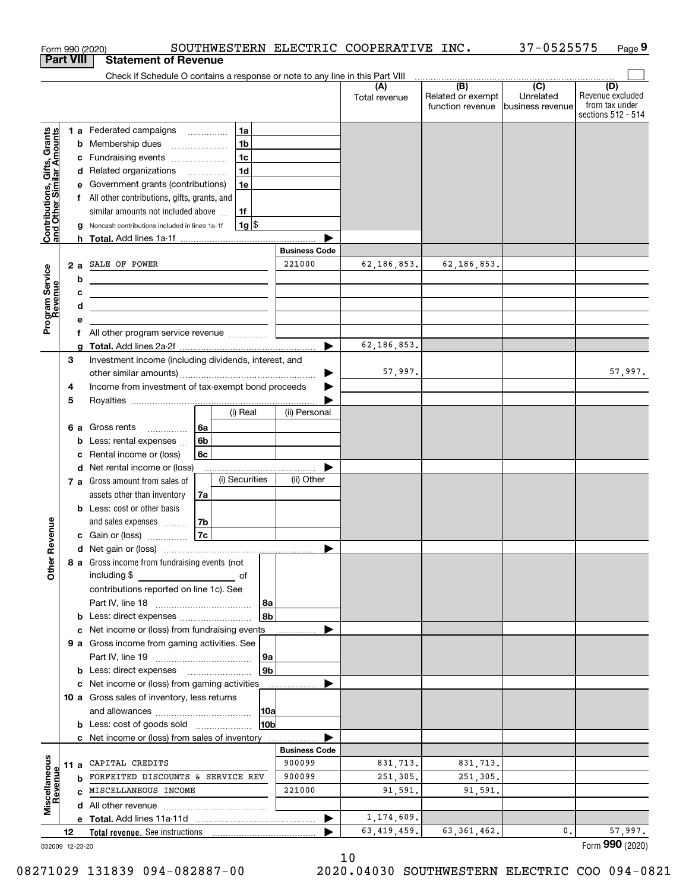|                                                           |                  | SOUTHWESTERN ELECTRIC COOPERATIVE INC.<br>Form 990 (2020)                       |                      |                      |                                                                                               | 37-0525575                    | Page 9                                                          |
|-----------------------------------------------------------|------------------|---------------------------------------------------------------------------------|----------------------|----------------------|-----------------------------------------------------------------------------------------------|-------------------------------|-----------------------------------------------------------------|
|                                                           | <b>Part VIII</b> | <b>Statement of Revenue</b>                                                     |                      |                      |                                                                                               |                               |                                                                 |
|                                                           |                  | Check if Schedule O contains a response or note to any line in this Part VIII   |                      |                      | $\begin{array}{c c c c c c} \hline \text{ } & \text{(B)} & \text{(C)} & \text{ } \end{array}$ |                               |                                                                 |
|                                                           |                  |                                                                                 |                      | (A)<br>Total revenue | Related or exempt<br>function revenue                                                         | Unrelated<br>business revenue | (D)<br>Revenue excluded<br>from tax under<br>sections 512 - 514 |
|                                                           |                  | 1 a Federated campaigns<br>1a                                                   |                      |                      |                                                                                               |                               |                                                                 |
|                                                           |                  | 1 <sub>b</sub><br>Membership dues<br>b                                          |                      |                      |                                                                                               |                               |                                                                 |
|                                                           |                  | 1 <sub>c</sub><br>Fundraising events<br>c                                       |                      |                      |                                                                                               |                               |                                                                 |
|                                                           |                  | 1 <sub>d</sub><br>d Related organizations                                       |                      |                      |                                                                                               |                               |                                                                 |
|                                                           |                  | Government grants (contributions)<br>1e<br>е                                    |                      |                      |                                                                                               |                               |                                                                 |
|                                                           |                  | f All other contributions, gifts, grants, and                                   |                      |                      |                                                                                               |                               |                                                                 |
|                                                           |                  | similar amounts not included above<br>1f                                        |                      |                      |                                                                                               |                               |                                                                 |
| Contributions, Gifts, Grants<br>and Other Similar Amounts | g                | $1g$ \$<br>Noncash contributions included in lines 1a-1f                        |                      |                      |                                                                                               |                               |                                                                 |
|                                                           |                  | h                                                                               | <b>Business Code</b> |                      |                                                                                               |                               |                                                                 |
|                                                           | 2 a              | SALE OF POWER                                                                   | 221000               | 62,186,853.          | 62,186,853.                                                                                   |                               |                                                                 |
| Program Service<br>Revenue                                | b                | the contract of the contract of the contract of the contract of the contract of |                      |                      |                                                                                               |                               |                                                                 |
|                                                           | с                | <u> 1989 - Johann John Stone, markin fizik eta idazlearia (h. 1982).</u>        |                      |                      |                                                                                               |                               |                                                                 |
|                                                           | d                | <u> 1989 - Johann Stoff, fransk politik (d. 1989)</u>                           |                      |                      |                                                                                               |                               |                                                                 |
|                                                           | е                |                                                                                 |                      |                      |                                                                                               |                               |                                                                 |
|                                                           |                  | f All other program service revenue                                             |                      |                      |                                                                                               |                               |                                                                 |
|                                                           | a                |                                                                                 |                      | 62,186,853.          |                                                                                               |                               |                                                                 |
|                                                           | 3                | Investment income (including dividends, interest, and                           |                      |                      |                                                                                               |                               |                                                                 |
|                                                           |                  |                                                                                 |                      | 57,997.              |                                                                                               |                               | 57,997.                                                         |
|                                                           | 4                | Income from investment of tax-exempt bond proceeds                              |                      |                      |                                                                                               |                               |                                                                 |
|                                                           | 5                | (i) Real                                                                        | (ii) Personal        |                      |                                                                                               |                               |                                                                 |
|                                                           |                  | 6а<br>6 a Gross rents                                                           |                      |                      |                                                                                               |                               |                                                                 |
|                                                           |                  | 6b<br>Less: rental expenses<br>b                                                |                      |                      |                                                                                               |                               |                                                                 |
|                                                           | с                | Rental income or (loss)<br>6c                                                   |                      |                      |                                                                                               |                               |                                                                 |
|                                                           |                  | d Net rental income or (loss)                                                   |                      |                      |                                                                                               |                               |                                                                 |
|                                                           |                  | (i) Securities<br>7 a Gross amount from sales of                                | (ii) Other           |                      |                                                                                               |                               |                                                                 |
|                                                           |                  | assets other than inventory<br>7a                                               |                      |                      |                                                                                               |                               |                                                                 |
|                                                           |                  | <b>b</b> Less: cost or other basis                                              |                      |                      |                                                                                               |                               |                                                                 |
|                                                           |                  | 7b<br>and sales expenses                                                        |                      |                      |                                                                                               |                               |                                                                 |
| evenue                                                    |                  | 7c<br>c Gain or (loss)                                                          |                      |                      |                                                                                               |                               |                                                                 |
| Œ                                                         |                  | d Net gain or (loss)                                                            |                      |                      |                                                                                               |                               |                                                                 |
| <b>Other</b>                                              |                  | 8 a Gross income from fundraising events (not                                   |                      |                      |                                                                                               |                               |                                                                 |
|                                                           |                  | including \$<br>contributions reported on line 1c). See                         |                      |                      |                                                                                               |                               |                                                                 |
|                                                           |                  | 8a                                                                              |                      |                      |                                                                                               |                               |                                                                 |
|                                                           |                  | 8b<br><b>b</b> Less: direct expenses <i>manually contained</i>                  |                      |                      |                                                                                               |                               |                                                                 |
|                                                           |                  | c Net income or (loss) from fundraising events                                  |                      |                      |                                                                                               |                               |                                                                 |
|                                                           |                  | 9 a Gross income from gaming activities. See                                    |                      |                      |                                                                                               |                               |                                                                 |
|                                                           |                  | 9a                                                                              |                      |                      |                                                                                               |                               |                                                                 |
|                                                           |                  | 9b                                                                              |                      |                      |                                                                                               |                               |                                                                 |
|                                                           |                  | c Net income or (loss) from gaming activities                                   |                      |                      |                                                                                               |                               |                                                                 |
|                                                           |                  | 10 a Gross sales of inventory, less returns                                     |                      |                      |                                                                                               |                               |                                                                 |
|                                                           |                  | 10a                                                                             |                      |                      |                                                                                               |                               |                                                                 |
|                                                           |                  | 10b<br><b>b</b> Less: cost of goods sold                                        |                      |                      |                                                                                               |                               |                                                                 |
|                                                           |                  | c Net income or (loss) from sales of inventory                                  | <b>Business Code</b> |                      |                                                                                               |                               |                                                                 |
|                                                           |                  | 11 a CAPITAL CREDITS                                                            | 900099               | 831,713.             | 831,713.                                                                                      |                               |                                                                 |
| Miscellaneous<br>Revenue                                  |                  | <b>b</b> FORFEITED DISCOUNTS & SERVICE REV                                      | 900099               | 251,305.             | 251,305.                                                                                      |                               |                                                                 |
|                                                           |                  | C MISCELLANEOUS INCOME                                                          | 221000               | 91,591.              | 91,591.                                                                                       |                               |                                                                 |
|                                                           |                  |                                                                                 |                      |                      |                                                                                               |                               |                                                                 |
|                                                           |                  |                                                                                 |                      | 1,174,609.           |                                                                                               |                               |                                                                 |
|                                                           | 12               | Total revenue. See instructions                                                 |                      | 63, 419, 459.        | 63, 361, 462.                                                                                 | 0.                            | 57,997.                                                         |
|                                                           | 032009 12-23-20  |                                                                                 |                      |                      |                                                                                               |                               | Form 990 (2020)                                                 |

10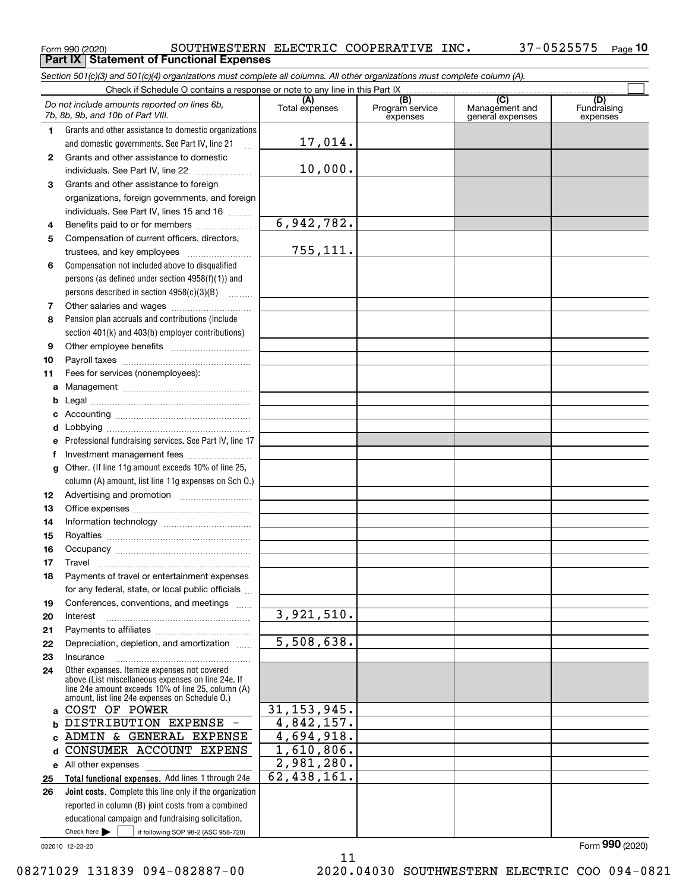**Part IX Statement of Functional Expenses**

Form 990 (2020) SOUTHWESTERN ELECTRIC COOPERATIVE INC 37-0525575 Page **10**

Check here  $\bullet$  if following SOP 98-2 (ASC 958-720) **Total functional expenses.**  Add lines 1 through 24e **Joint costs.** Complete this line only if the organization **(A)**<br>Total expenses **(B) (C) (D) 1234567891011abcdefg12131415161718192021222324abc**ADMIN & GENERAL EXPENSE **d** CONSUMER ACCOUNT EXPENS **e** All other expenses **2526***Section 501(c)(3) and 501(c)(4) organizations must complete all columns. All other organizations must complete column (A).* Grants and other assistance to domestic organizations and domestic governments. See Part IV, line 21 Compensation not included above to disqualified persons (as defined under section 4958(f)(1)) and persons described in section 4958(c)(3)(B)  $\quad \ldots \ldots \ldots$ Pension plan accruals and contributions (include section 401(k) and 403(b) employer contributions) Professional fundraising services. See Part IV, line 17 Other. (If line 11g amount exceeds 10% of line 25, column (A) amount, list line 11g expenses on Sch O.) Other expenses. Itemize expenses not covered above (List miscellaneous expenses on line 24e. If line 24e amount exceeds 10% of line 25, column (A) amount, list line 24e expenses on Schedule O.) reported in column (B) joint costs from a combined educational campaign and fundraising solicitation. Check if Schedule O contains a response or note to any line in this Part IX Program service expensesManagement and general expenses Fundraising expensesGrants and other assistance to domestic individuals. See Part IV, line 22 ~~~~~~~ Grants and other assistance to foreign organizations, foreign governments, and foreign individuals. See Part IV, lines 15 and 16  $\ldots$ Benefits paid to or for members .................... Compensation of current officers, directors, trustees, and key employees  $\ldots$   $\ldots$   $\ldots$   $\ldots$   $\ldots$ Other salaries and wages ~~~~~~~~~~ Other employee benefits ~~~~~~~~~~ Payroll taxes ~~~~~~~~~~~~~~~~ Fees for services (nonemployees): Management ~~~~~~~~~~~~~~~~ Legal ~~~~~~~~~~~~~~~~~~~~Accounting ~~~~~~~~~~~~~~~~~ Lobbying ~~~~~~~~~~~~~~~~~~ lnvestment management fees ....................... Advertising and promotion \_\_\_\_\_\_\_\_\_\_\_\_\_\_\_\_\_\_\_ Office expenses ~~~~~~~~~~~~~~~ Information technology ~~~~~~~~~~~ Royalties ~~~~~~~~~~~~~~~~~~ Occupancy ~~~~~~~~~~~~~~~~~ Travel ……………………………………………… Payments of travel or entertainment expenses for any federal, state, or local public officials ... Conferences, conventions, and meetings InterestPayments to affiliates ~~~~~~~~~~~~ ~~~~~~~~~~~~~~~~~~Depreciation, depletion, and amortization  $\,\,\ldots\,\,$ Insurance~~~~~~~~~~~~~~~~~ $Check here$   $\blacktriangleright$ *Do not include amounts reported on lines 6b, 7b, 8b, 9b, and 10b of Part VIII.*  $\mathcal{L}^{\text{max}}$ 17,014. 10,000. 6,942,782. 755,111. 3,921,510. 5,508,638. 31,153,945. 4,842,157. 4,694,918. 1,610,806. 2,981,280. 62,438,161. COST OF POWER DISTRIBUTION EXPENSE -

032010 12-23-20

11 08271029 131839 094-082887-00 2020.04030 SOUTHWESTERN ELECTRIC COO 094-0821

Form (2020) **990**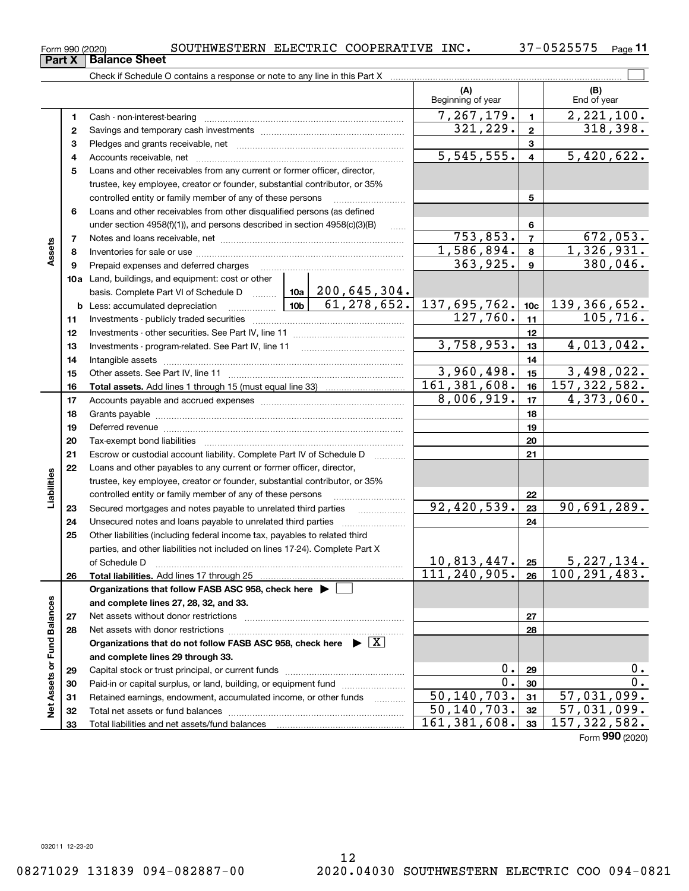Form 990 (2020) SOUTHWESTERN ELECTRIC COOPERATIVE INC 37-0525575 Page

**11**

|                             |          | Check if Schedule O contains a response or note to any line in this Part X                                                                                                                                                     |                                                                                 |  |  |  |  |                                                                                                                 |                 |                                                 |                              |                  |
|-----------------------------|----------|--------------------------------------------------------------------------------------------------------------------------------------------------------------------------------------------------------------------------------|---------------------------------------------------------------------------------|--|--|--|--|-----------------------------------------------------------------------------------------------------------------|-----------------|-------------------------------------------------|------------------------------|------------------|
|                             |          |                                                                                                                                                                                                                                |                                                                                 |  |  |  |  | (A)<br>Beginning of year                                                                                        |                 |                                                 | (B)<br>End of year           |                  |
|                             | 1        |                                                                                                                                                                                                                                |                                                                                 |  |  |  |  | 7, 267, 179.                                                                                                    | $\blacksquare$  |                                                 | $\overline{2,221},100.$      |                  |
|                             | 2        |                                                                                                                                                                                                                                |                                                                                 |  |  |  |  | 321, 229.                                                                                                       | $\mathbf 2$     |                                                 | 318,398.                     |                  |
|                             | з        |                                                                                                                                                                                                                                |                                                                                 |  |  |  |  |                                                                                                                 | 3               |                                                 |                              |                  |
|                             | 4        |                                                                                                                                                                                                                                |                                                                                 |  |  |  |  | 5, 545, 555.                                                                                                    | $\overline{4}$  |                                                 | 5,420,622.                   |                  |
|                             | 5        | Loans and other receivables from any current or former officer, director,                                                                                                                                                      |                                                                                 |  |  |  |  |                                                                                                                 |                 |                                                 |                              |                  |
|                             |          | trustee, key employee, creator or founder, substantial contributor, or 35%                                                                                                                                                     |                                                                                 |  |  |  |  |                                                                                                                 |                 |                                                 |                              |                  |
|                             |          | controlled entity or family member of any of these persons                                                                                                                                                                     |                                                                                 |  |  |  |  |                                                                                                                 | 5               |                                                 |                              |                  |
|                             | 6        | Loans and other receivables from other disqualified persons (as defined                                                                                                                                                        |                                                                                 |  |  |  |  |                                                                                                                 |                 |                                                 |                              |                  |
|                             |          | under section $4958(f)(1)$ , and persons described in section $4958(c)(3)(B)$                                                                                                                                                  |                                                                                 |  |  |  |  |                                                                                                                 | 6               |                                                 |                              |                  |
|                             | 7        |                                                                                                                                                                                                                                |                                                                                 |  |  |  |  | 753,853.                                                                                                        | $\overline{7}$  |                                                 | 672,053.                     |                  |
| Assets                      | 8        |                                                                                                                                                                                                                                |                                                                                 |  |  |  |  | 1,586,894.                                                                                                      | 8               |                                                 | 1,326,931.                   |                  |
|                             | 9        | Prepaid expenses and deferred charges                                                                                                                                                                                          |                                                                                 |  |  |  |  | 363,925.                                                                                                        | $\mathbf{9}$    |                                                 | 380,046.                     |                  |
|                             |          | 10a Land, buildings, and equipment: cost or other                                                                                                                                                                              |                                                                                 |  |  |  |  |                                                                                                                 |                 |                                                 |                              |                  |
|                             |          | basis. Complete Part VI of Schedule D  10a   200, 645, 304.                                                                                                                                                                    |                                                                                 |  |  |  |  |                                                                                                                 |                 |                                                 |                              |                  |
|                             |          |                                                                                                                                                                                                                                | 61,278,652.<br><b>b</b> Less: accumulated depreciation <b>container and Lab</b> |  |  |  |  | 137,695,762.<br>127,760.                                                                                        | 10 <sub>c</sub> |                                                 | 139, 366, 652.<br>105, 716.  |                  |
|                             | 11       |                                                                                                                                                                                                                                |                                                                                 |  |  |  |  |                                                                                                                 | 11              |                                                 |                              |                  |
|                             | 12       |                                                                                                                                                                                                                                |                                                                                 |  |  |  |  | 3,758,953.                                                                                                      | 12              |                                                 | 4,013,042.                   |                  |
|                             | 13       | Investments - program-related. See Part IV, line 11                                                                                                                                                                            |                                                                                 |  |  |  |  |                                                                                                                 | 13              |                                                 |                              |                  |
|                             | 14       |                                                                                                                                                                                                                                |                                                                                 |  |  |  |  | 3,960,498.                                                                                                      | 14<br>15        |                                                 |                              |                  |
|                             | 15<br>16 |                                                                                                                                                                                                                                |                                                                                 |  |  |  |  | 161, 381, 608.                                                                                                  | 16              |                                                 | $3,498,022.$<br>157,322,582. |                  |
|                             | 17       |                                                                                                                                                                                                                                |                                                                                 |  |  |  |  | 8,006,919.                                                                                                      | 17              |                                                 | 4,373,060.                   |                  |
|                             | 18       |                                                                                                                                                                                                                                |                                                                                 |  |  |  |  |                                                                                                                 | 18              |                                                 |                              |                  |
|                             | 19       | Deferred revenue material contracts and a contract of the contract of the contract of the contract of the contract of the contract of the contract of the contract of the contract of the contract of the contract of the cont |                                                                                 |  |  |  |  |                                                                                                                 | 19              |                                                 |                              |                  |
|                             | 20       |                                                                                                                                                                                                                                |                                                                                 |  |  |  |  |                                                                                                                 | 20              |                                                 |                              |                  |
|                             | 21       | Escrow or custodial account liability. Complete Part IV of Schedule D<br>1.1.1.1.1.1.1.1.1                                                                                                                                     |                                                                                 |  |  |  |  |                                                                                                                 | 21              |                                                 |                              |                  |
|                             | 22       | Loans and other payables to any current or former officer, director,                                                                                                                                                           |                                                                                 |  |  |  |  |                                                                                                                 |                 |                                                 |                              |                  |
| Liabilities                 |          | trustee, key employee, creator or founder, substantial contributor, or 35%                                                                                                                                                     |                                                                                 |  |  |  |  |                                                                                                                 |                 |                                                 |                              |                  |
|                             |          | controlled entity or family member of any of these persons                                                                                                                                                                     |                                                                                 |  |  |  |  |                                                                                                                 | 22              |                                                 |                              |                  |
|                             | 23       | Secured mortgages and notes payable to unrelated third parties                                                                                                                                                                 |                                                                                 |  |  |  |  | 92,420,539.                                                                                                     | 23              |                                                 | 90,691,289.                  |                  |
|                             | 24       | Unsecured notes and loans payable to unrelated third parties                                                                                                                                                                   |                                                                                 |  |  |  |  |                                                                                                                 | 24              |                                                 |                              |                  |
|                             | 25       | Other liabilities (including federal income tax, payables to related third                                                                                                                                                     |                                                                                 |  |  |  |  |                                                                                                                 |                 |                                                 |                              |                  |
|                             |          | parties, and other liabilities not included on lines 17-24). Complete Part X                                                                                                                                                   |                                                                                 |  |  |  |  |                                                                                                                 |                 |                                                 |                              |                  |
|                             |          | of Schedule D                                                                                                                                                                                                                  |                                                                                 |  |  |  |  | $\begin{array}{ c c c c c }\hline 10,813,447. &\text{25} \ \hline 111,240,905. &\text{26} \ \hline \end{array}$ |                 | $\frac{25}{26}$ $\frac{5,227,134}{100,291,483}$ |                              |                  |
|                             | 26       | Total liabilities. Add lines 17 through 25                                                                                                                                                                                     |                                                                                 |  |  |  |  |                                                                                                                 |                 |                                                 |                              |                  |
|                             |          | Organizations that follow FASB ASC 958, check here $\blacktriangleright$                                                                                                                                                       |                                                                                 |  |  |  |  |                                                                                                                 |                 |                                                 |                              |                  |
|                             |          | and complete lines 27, 28, 32, and 33.                                                                                                                                                                                         |                                                                                 |  |  |  |  |                                                                                                                 |                 |                                                 |                              |                  |
|                             | 27       |                                                                                                                                                                                                                                |                                                                                 |  |  |  |  |                                                                                                                 | 27              |                                                 |                              |                  |
|                             | 28       | Net assets with donor restrictions                                                                                                                                                                                             |                                                                                 |  |  |  |  |                                                                                                                 | 28              |                                                 |                              |                  |
|                             |          | Organizations that do not follow FASB ASC 958, check here $\blacktriangleright \boxed{X}$                                                                                                                                      |                                                                                 |  |  |  |  |                                                                                                                 |                 |                                                 |                              |                  |
|                             |          | and complete lines 29 through 33.                                                                                                                                                                                              |                                                                                 |  |  |  |  |                                                                                                                 | 0.<br>29        |                                                 |                              | 0.               |
|                             | 29<br>30 | Paid-in or capital surplus, or land, building, or equipment fund                                                                                                                                                               |                                                                                 |  |  |  |  | 0.                                                                                                              | 30              |                                                 |                              | $\overline{0}$ . |
|                             | 31       | Retained earnings, endowment, accumulated income, or other funds                                                                                                                                                               |                                                                                 |  |  |  |  | 50, 140, 703.                                                                                                   | 31              |                                                 | 57,031,099.                  |                  |
| Net Assets or Fund Balances | 32       | Total net assets or fund balances                                                                                                                                                                                              |                                                                                 |  |  |  |  | 50,140,703.                                                                                                     | 32              |                                                 | $\overline{57}$ , 031, 099.  |                  |
|                             | 33       |                                                                                                                                                                                                                                |                                                                                 |  |  |  |  | 161, 381, 608.                                                                                                  | 33              |                                                 | 157, 322, 582.               |                  |
|                             |          |                                                                                                                                                                                                                                |                                                                                 |  |  |  |  |                                                                                                                 |                 |                                                 | Form 990 (2020)              |                  |

**Part X** | Balance Sheet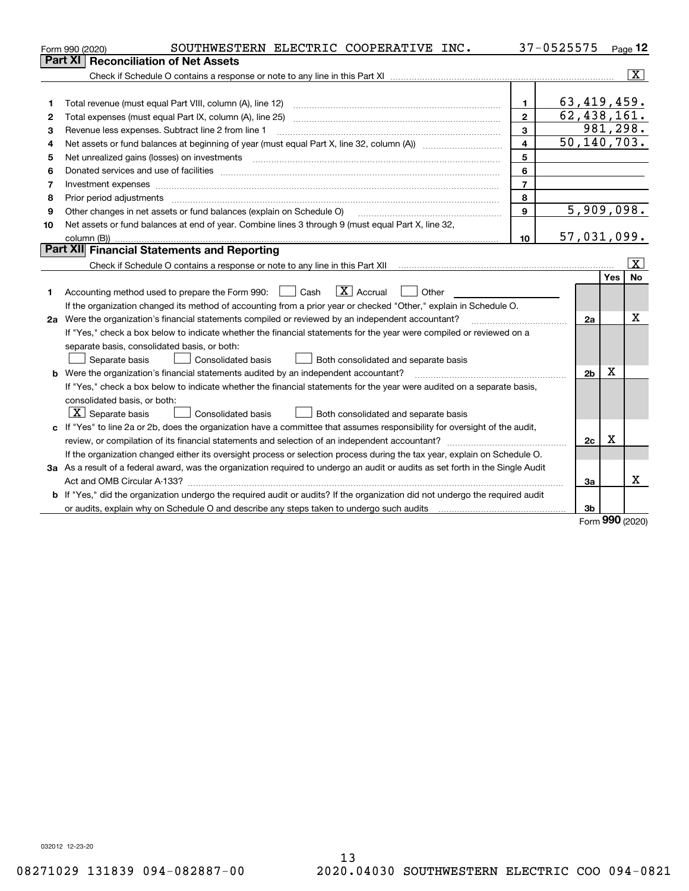|    | SOUTHWESTERN ELECTRIC COOPERATIVE INC.<br>Form 990 (2020)                                                                       | 37-0525575     |                            |     | Page $12$               |
|----|---------------------------------------------------------------------------------------------------------------------------------|----------------|----------------------------|-----|-------------------------|
|    | <b>Reconciliation of Net Assets</b><br><b>Part XI</b>                                                                           |                |                            |     |                         |
|    |                                                                                                                                 |                |                            |     | $\overline{\mathbf{X}}$ |
|    |                                                                                                                                 |                |                            |     |                         |
| 1  | Total revenue (must equal Part VIII, column (A), line 12)                                                                       | $\mathbf{1}$   | 63,419,459.                |     |                         |
| 2  | Total expenses (must equal Part IX, column (A), line 25)                                                                        | $\overline{2}$ | $\overline{62, 438, 161.}$ |     |                         |
| 3  | Revenue less expenses. Subtract line 2 from line 1                                                                              | 3              |                            |     | 981,298.                |
| 4  |                                                                                                                                 | 4              | 50, 140, 703.              |     |                         |
| 5  | Net unrealized gains (losses) on investments                                                                                    | 5              |                            |     |                         |
| 6  |                                                                                                                                 | 6              |                            |     |                         |
| 7  | Investment expenses www.communication.com/www.communication.com/www.communication.com/www.com                                   | $\overline{7}$ |                            |     |                         |
| 8  | Prior period adjustments                                                                                                        | 8              |                            |     |                         |
| 9  | Other changes in net assets or fund balances (explain on Schedule O)                                                            | 9              | 5,909,098.                 |     |                         |
| 10 | Net assets or fund balances at end of year. Combine lines 3 through 9 (must equal Part X, line 32,                              |                |                            |     |                         |
|    |                                                                                                                                 | 10             | 57,031,099.                |     |                         |
|    | Part XII Financial Statements and Reporting                                                                                     |                |                            |     |                         |
|    |                                                                                                                                 |                |                            |     | $\overline{\mathtt{x}}$ |
|    |                                                                                                                                 |                |                            | Yes | No                      |
| 1  | $\boxed{\mathbf{X}}$ Accrual<br>Accounting method used to prepare the Form 990: <u>I</u> Cash<br>Other                          |                |                            |     |                         |
|    | If the organization changed its method of accounting from a prior year or checked "Other," explain in Schedule O.               |                |                            |     |                         |
|    | 2a Were the organization's financial statements compiled or reviewed by an independent accountant?                              |                | 2a                         |     | x                       |
|    | If "Yes," check a box below to indicate whether the financial statements for the year were compiled or reviewed on a            |                |                            |     |                         |
|    | separate basis, consolidated basis, or both:                                                                                    |                |                            |     |                         |
|    | Consolidated basis<br>Separate basis<br>Both consolidated and separate basis                                                    |                |                            |     |                         |
|    | <b>b</b> Were the organization's financial statements audited by an independent accountant?                                     |                | 2 <sub>b</sub>             | х   |                         |
|    | If "Yes," check a box below to indicate whether the financial statements for the year were audited on a separate basis,         |                |                            |     |                         |
|    | consolidated basis, or both:                                                                                                    |                |                            |     |                         |
|    | $ \mathbf{X} $ Separate basis<br><b>Consolidated basis</b><br>Both consolidated and separate basis                              |                |                            |     |                         |
|    | c If "Yes" to line 2a or 2b, does the organization have a committee that assumes responsibility for oversight of the audit,     |                |                            |     |                         |
|    | review, or compilation of its financial statements and selection of an independent accountant?                                  |                | 2c                         | x   |                         |
|    | If the organization changed either its oversight process or selection process during the tax year, explain on Schedule O.       |                |                            |     |                         |
|    | 3a As a result of a federal award, was the organization required to undergo an audit or audits as set forth in the Single Audit |                |                            |     |                         |
|    |                                                                                                                                 |                | За                         |     | x                       |
|    | b If "Yes," did the organization undergo the required audit or audits? If the organization did not undergo the required audit   |                |                            |     |                         |
|    | or audits, explain why on Schedule O and describe any steps taken to undergo such audits                                        |                | 3b                         |     |                         |

Form (2020) **990**

032012 12-23-20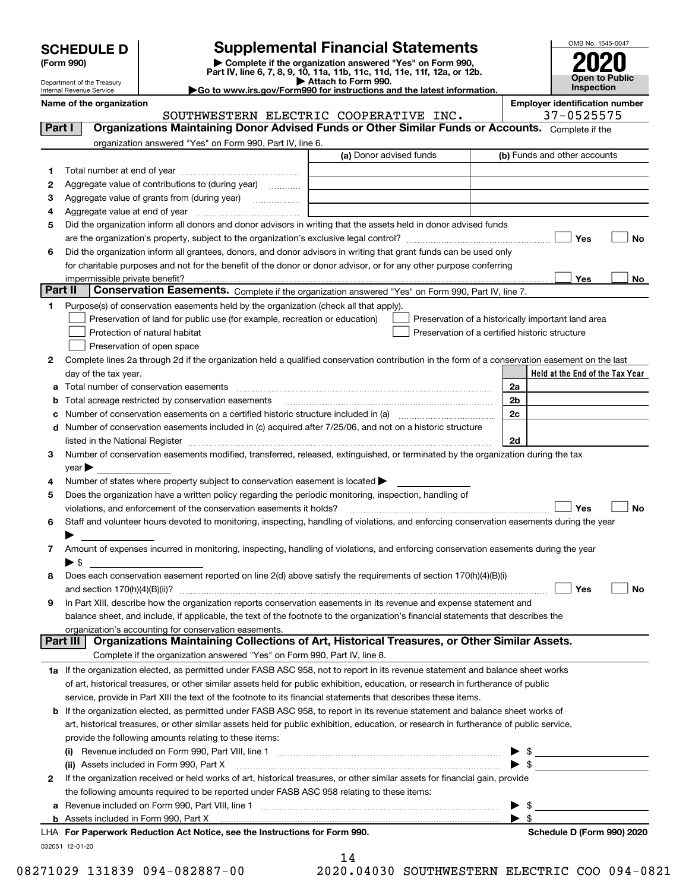|  | <b>SCHEDULE D</b> |  |  |  |
|--|-------------------|--|--|--|
|--|-------------------|--|--|--|

Department of the Treasury Internal Revenue Service

## **SCHEDULE D Supplemental Financial Statements**

(Form 990)<br>
Pepartment of the Treasury<br>
Department of the Treasury<br>
Department of the Treasury<br>
Department of the Treasury<br> **Co to www.irs.gov/Form990 for instructions and the latest information.**<br> **Co to www.irs.gov/Form9** 

| ►Go to www.irs.gov/Form990 for instructions and the latest informat |  |  |
|---------------------------------------------------------------------|--|--|
|                                                                     |  |  |



|         | Name of the organization<br>SOUTHWESTERN ELECTRIC COOPERATIVE INC.                                                                                                                                                             |                          |      | <b>Employer identification number</b><br>37-0525575 |                            |
|---------|--------------------------------------------------------------------------------------------------------------------------------------------------------------------------------------------------------------------------------|--------------------------|------|-----------------------------------------------------|----------------------------|
| Part I  | Organizations Maintaining Donor Advised Funds or Other Similar Funds or Accounts. Complete if the                                                                                                                              |                          |      |                                                     |                            |
|         | organization answered "Yes" on Form 990, Part IV, line 6.                                                                                                                                                                      |                          |      |                                                     |                            |
|         | (a) Donor advised funds                                                                                                                                                                                                        |                          |      | (b) Funds and other accounts                        |                            |
| 1       |                                                                                                                                                                                                                                |                          |      |                                                     |                            |
| 2       | Aggregate value of contributions to (during year)                                                                                                                                                                              |                          |      |                                                     |                            |
| 3       |                                                                                                                                                                                                                                |                          |      |                                                     |                            |
| 4       |                                                                                                                                                                                                                                |                          |      |                                                     |                            |
| 5       | Did the organization inform all donors and donor advisors in writing that the assets held in donor advised funds                                                                                                               |                          |      |                                                     |                            |
|         |                                                                                                                                                                                                                                |                          |      | Yes                                                 | <b>No</b>                  |
| 6       | Did the organization inform all grantees, donors, and donor advisors in writing that grant funds can be used only                                                                                                              |                          |      |                                                     |                            |
|         | for charitable purposes and not for the benefit of the donor or donor advisor, or for any other purpose conferring                                                                                                             |                          |      |                                                     |                            |
|         | impermissible private benefit?                                                                                                                                                                                                 |                          |      | Yes                                                 | No                         |
| Part II | Conservation Easements. Complete if the organization answered "Yes" on Form 990, Part IV, line 7.                                                                                                                              |                          |      |                                                     |                            |
| 1       | Purpose(s) of conservation easements held by the organization (check all that apply).                                                                                                                                          |                          |      |                                                     |                            |
|         | Preservation of land for public use (for example, recreation or education)<br>Preservation of a historically important land area                                                                                               |                          |      |                                                     |                            |
|         | Protection of natural habitat<br>Preservation of a certified historic structure                                                                                                                                                |                          |      |                                                     |                            |
|         | Preservation of open space                                                                                                                                                                                                     |                          |      |                                                     |                            |
| 2       | Complete lines 2a through 2d if the organization held a qualified conservation contribution in the form of a conservation easement on the last                                                                                 |                          |      |                                                     |                            |
|         | day of the tax year.                                                                                                                                                                                                           |                          |      | Held at the End of the Tax Year                     |                            |
|         | a Total number of conservation easements                                                                                                                                                                                       | 2a                       |      |                                                     |                            |
| b       | Total acreage restricted by conservation easements                                                                                                                                                                             | 2b                       |      |                                                     |                            |
| c       |                                                                                                                                                                                                                                | 2c                       |      |                                                     |                            |
|         | d Number of conservation easements included in (c) acquired after 7/25/06, and not on a historic structure                                                                                                                     |                          |      |                                                     |                            |
|         | listed in the National Register [[11] matter contract the state of the state of the National Register [11] matter contract the National Register [11] matter contract the National Register [11] matter contract the National  | 2d                       |      |                                                     |                            |
| з       | Number of conservation easements modified, transferred, released, extinguished, or terminated by the organization during the tax                                                                                               |                          |      |                                                     |                            |
|         | $year \blacktriangleright$                                                                                                                                                                                                     |                          |      |                                                     |                            |
| 4       | Number of states where property subject to conservation easement is located >                                                                                                                                                  |                          |      |                                                     |                            |
| 5       | Does the organization have a written policy regarding the periodic monitoring, inspection, handling of                                                                                                                         |                          |      |                                                     |                            |
|         | violations, and enforcement of the conservation easements it holds?                                                                                                                                                            |                          |      | Yes                                                 | <b>No</b>                  |
| 6       | Staff and volunteer hours devoted to monitoring, inspecting, handling of violations, and enforcing conservation easements during the year                                                                                      |                          |      |                                                     |                            |
|         |                                                                                                                                                                                                                                |                          |      |                                                     |                            |
| 7       | Amount of expenses incurred in monitoring, inspecting, handling of violations, and enforcing conservation easements during the year                                                                                            |                          |      |                                                     |                            |
|         | $\blacktriangleright$ \$                                                                                                                                                                                                       |                          |      |                                                     |                            |
| 8       | Does each conservation easement reported on line 2(d) above satisfy the requirements of section 170(h)(4)(B)(i)                                                                                                                |                          |      |                                                     |                            |
|         |                                                                                                                                                                                                                                |                          |      | Yes                                                 | No                         |
|         | In Part XIII, describe how the organization reports conservation easements in its revenue and expense statement and                                                                                                            |                          |      |                                                     |                            |
|         | balance sheet, and include, if applicable, the text of the footnote to the organization's financial statements that describes the                                                                                              |                          |      |                                                     |                            |
|         | organization's accounting for conservation easements.                                                                                                                                                                          |                          |      |                                                     |                            |
|         | Organizations Maintaining Collections of Art, Historical Treasures, or Other Similar Assets.<br>Part III                                                                                                                       |                          |      |                                                     |                            |
|         | Complete if the organization answered "Yes" on Form 990, Part IV, line 8.                                                                                                                                                      |                          |      |                                                     |                            |
|         | 1a If the organization elected, as permitted under FASB ASC 958, not to report in its revenue statement and balance sheet works                                                                                                |                          |      |                                                     |                            |
|         | of art, historical treasures, or other similar assets held for public exhibition, education, or research in furtherance of public                                                                                              |                          |      |                                                     |                            |
|         | service, provide in Part XIII the text of the footnote to its financial statements that describes these items.                                                                                                                 |                          |      |                                                     |                            |
|         | <b>b</b> If the organization elected, as permitted under FASB ASC 958, to report in its revenue statement and balance sheet works of                                                                                           |                          |      |                                                     |                            |
|         | art, historical treasures, or other similar assets held for public exhibition, education, or research in furtherance of public service,                                                                                        |                          |      |                                                     |                            |
|         | provide the following amounts relating to these items:                                                                                                                                                                         |                          |      |                                                     |                            |
|         |                                                                                                                                                                                                                                |                          |      | $\triangleright$ \$                                 |                            |
|         |                                                                                                                                                                                                                                | $\blacktriangleright$ \$ |      |                                                     |                            |
| 2       | If the organization received or held works of art, historical treasures, or other similar assets for financial gain, provide                                                                                                   |                          |      |                                                     |                            |
|         | the following amounts required to be reported under FASB ASC 958 relating to these items:                                                                                                                                      |                          |      |                                                     |                            |
|         | a Revenue included on Form 990, Part VIII, line 1 [2000] [2000] [2000] [2000] [2000] [2000] [2000] [2000] [2000                                                                                                                | ▶                        | - \$ |                                                     |                            |
|         | b Assets included in Form 990, Part X [11, 12] Marshall Marson and Assets included in Form 990, Part X [11, 12] Marshall Marson and Marson and Assets included in Form 990, Part X [11] Marson and Marson and Marson and Marso | $\blacktriangleright$ \$ |      |                                                     |                            |
|         | LHA For Paperwork Reduction Act Notice, see the Instructions for Form 990.                                                                                                                                                     |                          |      |                                                     | Schedule D (Form 990) 2020 |
|         | 032051 12-01-20                                                                                                                                                                                                                |                          |      |                                                     |                            |

14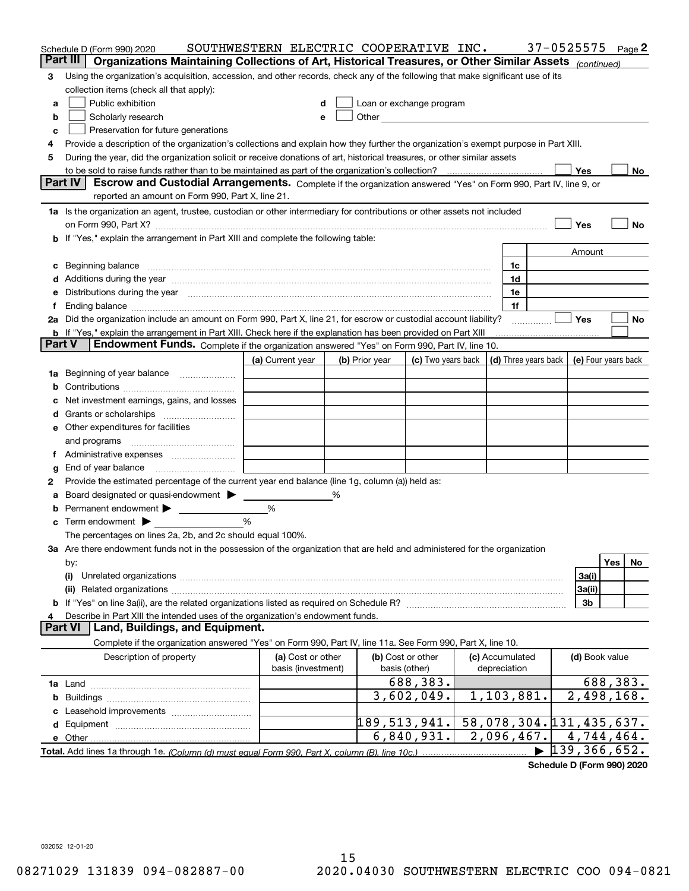|        | Schedule D (Form 990) 2020                                                                                                                                                                                                                                                                                                                                                                                                                                      | SOUTHWESTERN ELECTRIC COOPERATIVE INC. |   |                                                                                                                                                                                                                               |                    |                 | 37-0525575                                 |     | Page 2 |
|--------|-----------------------------------------------------------------------------------------------------------------------------------------------------------------------------------------------------------------------------------------------------------------------------------------------------------------------------------------------------------------------------------------------------------------------------------------------------------------|----------------------------------------|---|-------------------------------------------------------------------------------------------------------------------------------------------------------------------------------------------------------------------------------|--------------------|-----------------|--------------------------------------------|-----|--------|
|        | Part III<br>Organizations Maintaining Collections of Art, Historical Treasures, or Other Similar Assets (continued)                                                                                                                                                                                                                                                                                                                                             |                                        |   |                                                                                                                                                                                                                               |                    |                 |                                            |     |        |
| З      | Using the organization's acquisition, accession, and other records, check any of the following that make significant use of its                                                                                                                                                                                                                                                                                                                                 |                                        |   |                                                                                                                                                                                                                               |                    |                 |                                            |     |        |
|        | collection items (check all that apply):                                                                                                                                                                                                                                                                                                                                                                                                                        |                                        |   |                                                                                                                                                                                                                               |                    |                 |                                            |     |        |
| a      | Public exhibition                                                                                                                                                                                                                                                                                                                                                                                                                                               |                                        |   | Loan or exchange program                                                                                                                                                                                                      |                    |                 |                                            |     |        |
| b      | Scholarly research                                                                                                                                                                                                                                                                                                                                                                                                                                              |                                        |   | Other and the contract of the contract of the contract of the contract of the contract of the contract of the contract of the contract of the contract of the contract of the contract of the contract of the contract of the |                    |                 |                                            |     |        |
| c      | Preservation for future generations                                                                                                                                                                                                                                                                                                                                                                                                                             |                                        |   |                                                                                                                                                                                                                               |                    |                 |                                            |     |        |
| 4      | Provide a description of the organization's collections and explain how they further the organization's exempt purpose in Part XIII.                                                                                                                                                                                                                                                                                                                            |                                        |   |                                                                                                                                                                                                                               |                    |                 |                                            |     |        |
| 5      | During the year, did the organization solicit or receive donations of art, historical treasures, or other similar assets                                                                                                                                                                                                                                                                                                                                        |                                        |   |                                                                                                                                                                                                                               |                    |                 |                                            |     |        |
|        | to be sold to raise funds rather than to be maintained as part of the organization's collection?                                                                                                                                                                                                                                                                                                                                                                |                                        |   |                                                                                                                                                                                                                               |                    |                 | Yes                                        |     | No.    |
|        | <b>Part IV</b><br>Escrow and Custodial Arrangements. Complete if the organization answered "Yes" on Form 990, Part IV, line 9, or<br>reported an amount on Form 990, Part X, line 21.                                                                                                                                                                                                                                                                           |                                        |   |                                                                                                                                                                                                                               |                    |                 |                                            |     |        |
|        |                                                                                                                                                                                                                                                                                                                                                                                                                                                                 |                                        |   |                                                                                                                                                                                                                               |                    |                 |                                            |     |        |
|        | 1a Is the organization an agent, trustee, custodian or other intermediary for contributions or other assets not included                                                                                                                                                                                                                                                                                                                                        |                                        |   |                                                                                                                                                                                                                               |                    |                 |                                            |     |        |
|        | <b>b</b> If "Yes," explain the arrangement in Part XIII and complete the following table:                                                                                                                                                                                                                                                                                                                                                                       |                                        |   |                                                                                                                                                                                                                               |                    |                 | Yes                                        |     | No     |
|        |                                                                                                                                                                                                                                                                                                                                                                                                                                                                 |                                        |   |                                                                                                                                                                                                                               |                    |                 | Amount                                     |     |        |
|        |                                                                                                                                                                                                                                                                                                                                                                                                                                                                 |                                        |   |                                                                                                                                                                                                                               |                    | 1c              |                                            |     |        |
|        | Beginning balance measurements and the contract of the contract of the contract of the contract of the contract of the contract of the contract of the contract of the contract of the contract of the contract of the contrac<br>Additions during the year manufactured and an anti-manufactured and the year manufactured and all the year manufactured and all the year manufactured and all the year manufactured and all the year manufactured and all the |                                        |   |                                                                                                                                                                                                                               |                    | 1d              |                                            |     |        |
|        | Distributions during the year manufactured and continuum and the year manufactured and the year manufactured and the year manufactured and the year manufactured and the year manufactured and the year manufactured and the y                                                                                                                                                                                                                                  |                                        |   |                                                                                                                                                                                                                               |                    | 1e              |                                            |     |        |
|        |                                                                                                                                                                                                                                                                                                                                                                                                                                                                 |                                        |   |                                                                                                                                                                                                                               |                    | 1f              |                                            |     |        |
|        | 2a Did the organization include an amount on Form 990, Part X, line 21, for escrow or custodial account liability?                                                                                                                                                                                                                                                                                                                                              |                                        |   |                                                                                                                                                                                                                               |                    |                 | Yes                                        |     | No     |
|        | <b>b</b> If "Yes," explain the arrangement in Part XIII. Check here if the explanation has been provided on Part XIII                                                                                                                                                                                                                                                                                                                                           |                                        |   |                                                                                                                                                                                                                               |                    |                 |                                            |     |        |
| Part V | Endowment Funds. Complete if the organization answered "Yes" on Form 990, Part IV, line 10.                                                                                                                                                                                                                                                                                                                                                                     |                                        |   |                                                                                                                                                                                                                               |                    |                 |                                            |     |        |
|        |                                                                                                                                                                                                                                                                                                                                                                                                                                                                 | (a) Current year                       |   | (b) Prior year                                                                                                                                                                                                                | (c) Two years back |                 | (d) Three years back   (e) Four years back |     |        |
| 1a     | Beginning of year balance                                                                                                                                                                                                                                                                                                                                                                                                                                       |                                        |   |                                                                                                                                                                                                                               |                    |                 |                                            |     |        |
|        |                                                                                                                                                                                                                                                                                                                                                                                                                                                                 |                                        |   |                                                                                                                                                                                                                               |                    |                 |                                            |     |        |
|        | Net investment earnings, gains, and losses                                                                                                                                                                                                                                                                                                                                                                                                                      |                                        |   |                                                                                                                                                                                                                               |                    |                 |                                            |     |        |
|        |                                                                                                                                                                                                                                                                                                                                                                                                                                                                 |                                        |   |                                                                                                                                                                                                                               |                    |                 |                                            |     |        |
| е      | Other expenditures for facilities                                                                                                                                                                                                                                                                                                                                                                                                                               |                                        |   |                                                                                                                                                                                                                               |                    |                 |                                            |     |        |
|        | and programs                                                                                                                                                                                                                                                                                                                                                                                                                                                    |                                        |   |                                                                                                                                                                                                                               |                    |                 |                                            |     |        |
|        |                                                                                                                                                                                                                                                                                                                                                                                                                                                                 |                                        |   |                                                                                                                                                                                                                               |                    |                 |                                            |     |        |
| g      | End of year balance                                                                                                                                                                                                                                                                                                                                                                                                                                             |                                        |   |                                                                                                                                                                                                                               |                    |                 |                                            |     |        |
| 2      | Provide the estimated percentage of the current year end balance (line 1g, column (a)) held as:                                                                                                                                                                                                                                                                                                                                                                 |                                        |   |                                                                                                                                                                                                                               |                    |                 |                                            |     |        |
|        | Board designated or quasi-endowment                                                                                                                                                                                                                                                                                                                                                                                                                             |                                        | % |                                                                                                                                                                                                                               |                    |                 |                                            |     |        |
|        | Permanent endowment                                                                                                                                                                                                                                                                                                                                                                                                                                             | %                                      |   |                                                                                                                                                                                                                               |                    |                 |                                            |     |        |
| с      | Term endowment $\blacktriangleright$                                                                                                                                                                                                                                                                                                                                                                                                                            | %                                      |   |                                                                                                                                                                                                                               |                    |                 |                                            |     |        |
|        | The percentages on lines 2a, 2b, and 2c should equal 100%.                                                                                                                                                                                                                                                                                                                                                                                                      |                                        |   |                                                                                                                                                                                                                               |                    |                 |                                            |     |        |
|        | 3a Are there endowment funds not in the possession of the organization that are held and administered for the organization                                                                                                                                                                                                                                                                                                                                      |                                        |   |                                                                                                                                                                                                                               |                    |                 |                                            |     |        |
|        | by:                                                                                                                                                                                                                                                                                                                                                                                                                                                             |                                        |   |                                                                                                                                                                                                                               |                    |                 |                                            | Yes | No     |
|        | (i)                                                                                                                                                                                                                                                                                                                                                                                                                                                             |                                        |   |                                                                                                                                                                                                                               |                    |                 | 3a(i)                                      |     |        |
|        | <b>b</b> If "Yes" on line 3a(ii), are the related organizations listed as required on Schedule R?                                                                                                                                                                                                                                                                                                                                                               |                                        |   |                                                                                                                                                                                                                               |                    |                 | 3a(ii)<br>3b                               |     |        |
|        | Describe in Part XIII the intended uses of the organization's endowment funds.                                                                                                                                                                                                                                                                                                                                                                                  |                                        |   |                                                                                                                                                                                                                               |                    |                 |                                            |     |        |
|        | Land, Buildings, and Equipment.<br>Part VI                                                                                                                                                                                                                                                                                                                                                                                                                      |                                        |   |                                                                                                                                                                                                                               |                    |                 |                                            |     |        |
|        | Complete if the organization answered "Yes" on Form 990, Part IV, line 11a. See Form 990, Part X, line 10.                                                                                                                                                                                                                                                                                                                                                      |                                        |   |                                                                                                                                                                                                                               |                    |                 |                                            |     |        |
|        | Description of property                                                                                                                                                                                                                                                                                                                                                                                                                                         | (a) Cost or other                      |   |                                                                                                                                                                                                                               | (b) Cost or other  | (c) Accumulated | (d) Book value                             |     |        |
|        |                                                                                                                                                                                                                                                                                                                                                                                                                                                                 | basis (investment)                     |   | basis (other)                                                                                                                                                                                                                 |                    | depreciation    |                                            |     |        |
|        |                                                                                                                                                                                                                                                                                                                                                                                                                                                                 |                                        |   |                                                                                                                                                                                                                               | 688,383.           |                 | 688,383.                                   |     |        |
| b      |                                                                                                                                                                                                                                                                                                                                                                                                                                                                 |                                        |   |                                                                                                                                                                                                                               | 3,602,049.         | 1,103,881.      | $\overline{2,498,168}$ .                   |     |        |
|        | Leasehold improvements                                                                                                                                                                                                                                                                                                                                                                                                                                          |                                        |   |                                                                                                                                                                                                                               |                    |                 |                                            |     |        |
|        |                                                                                                                                                                                                                                                                                                                                                                                                                                                                 |                                        |   | 189,513,941.                                                                                                                                                                                                                  |                    |                 | 58,078,304. 131,435,637.                   |     |        |
|        | e Other                                                                                                                                                                                                                                                                                                                                                                                                                                                         |                                        |   |                                                                                                                                                                                                                               | 6,840,931.         | 2,096,467.      | 4,744,464.                                 |     |        |
|        | Total. Add lines 1a through 1e. (Column (d) must equal Form 990. Part X. column (B). line 10c.)                                                                                                                                                                                                                                                                                                                                                                 |                                        |   |                                                                                                                                                                                                                               |                    |                 | 139, 366, 652.                             |     |        |

**Schedule D (Form 990) 2020**

032052 12-01-20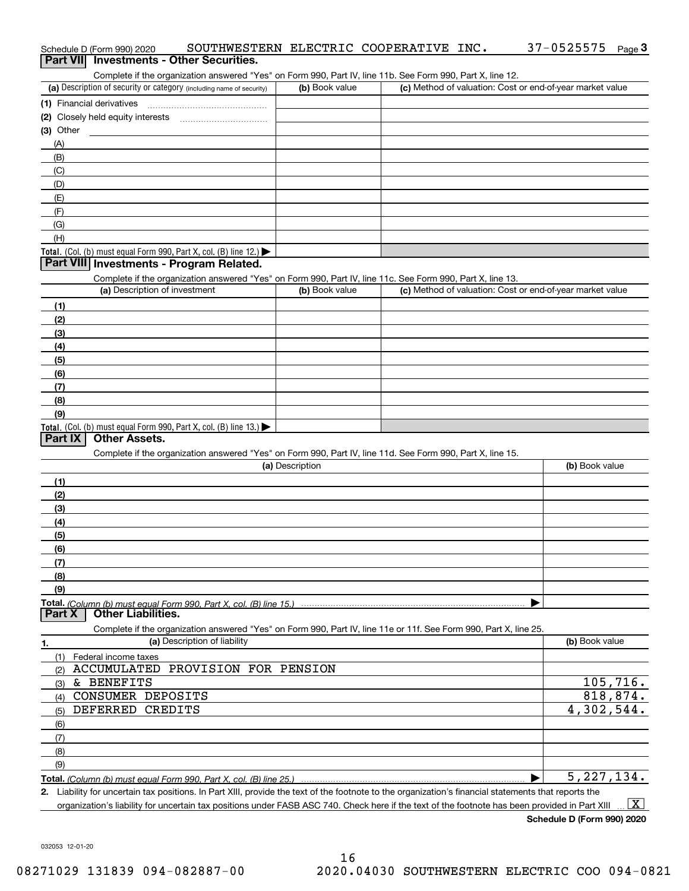| Complete if the organization answered "Yes" on Form 990, Part IV, line 11b. See Form 990, Part X, line 12.                                           |                 |                                                           |                |
|------------------------------------------------------------------------------------------------------------------------------------------------------|-----------------|-----------------------------------------------------------|----------------|
| (a) Description of security or category (including name of security)                                                                                 | (b) Book value  | (c) Method of valuation: Cost or end-of-year market value |                |
| (1) Financial derivatives                                                                                                                            |                 |                                                           |                |
| (2) Closely held equity interests                                                                                                                    |                 |                                                           |                |
| $(3)$ Other                                                                                                                                          |                 |                                                           |                |
| (A)                                                                                                                                                  |                 |                                                           |                |
| (B)                                                                                                                                                  |                 |                                                           |                |
|                                                                                                                                                      |                 |                                                           |                |
| (C)                                                                                                                                                  |                 |                                                           |                |
| (D)                                                                                                                                                  |                 |                                                           |                |
| (E)                                                                                                                                                  |                 |                                                           |                |
| (F)                                                                                                                                                  |                 |                                                           |                |
| (G)                                                                                                                                                  |                 |                                                           |                |
| (H)                                                                                                                                                  |                 |                                                           |                |
| Total. (Col. (b) must equal Form 990, Part X, col. (B) line 12.) $\blacktriangleright$                                                               |                 |                                                           |                |
| Part VIII Investments - Program Related.                                                                                                             |                 |                                                           |                |
| Complete if the organization answered "Yes" on Form 990, Part IV, line 11c. See Form 990, Part X, line 13.                                           |                 |                                                           |                |
| (a) Description of investment                                                                                                                        | (b) Book value  | (c) Method of valuation: Cost or end-of-year market value |                |
| (1)                                                                                                                                                  |                 |                                                           |                |
|                                                                                                                                                      |                 |                                                           |                |
| (2)                                                                                                                                                  |                 |                                                           |                |
| (3)                                                                                                                                                  |                 |                                                           |                |
| (4)                                                                                                                                                  |                 |                                                           |                |
| (5)                                                                                                                                                  |                 |                                                           |                |
| (6)                                                                                                                                                  |                 |                                                           |                |
| (7)                                                                                                                                                  |                 |                                                           |                |
| (8)                                                                                                                                                  |                 |                                                           |                |
| (9)                                                                                                                                                  |                 |                                                           |                |
| Total. (Col. (b) must equal Form 990, Part X, col. (B) line 13.)                                                                                     |                 |                                                           |                |
| <b>Part IX</b><br><b>Other Assets.</b>                                                                                                               |                 |                                                           |                |
| Complete if the organization answered "Yes" on Form 990, Part IV, line 11d. See Form 990, Part X, line 15.                                           |                 |                                                           |                |
|                                                                                                                                                      | (a) Description |                                                           | (b) Book value |
| (1)                                                                                                                                                  |                 |                                                           |                |
| (2)                                                                                                                                                  |                 |                                                           |                |
| (3)                                                                                                                                                  |                 |                                                           |                |
| (4)                                                                                                                                                  |                 |                                                           |                |
|                                                                                                                                                      |                 |                                                           |                |
| (5)                                                                                                                                                  |                 |                                                           |                |
| (6)                                                                                                                                                  |                 |                                                           |                |
| (7)                                                                                                                                                  |                 |                                                           |                |
| (8)                                                                                                                                                  |                 |                                                           |                |
| (9)                                                                                                                                                  |                 |                                                           |                |
|                                                                                                                                                      |                 |                                                           |                |
| <b>Other Liabilities.</b><br>Part X                                                                                                                  |                 |                                                           |                |
| Complete if the organization answered "Yes" on Form 990, Part IV, line 11e or 11f. See Form 990, Part X, line 25.                                    |                 |                                                           |                |
| (a) Description of liability<br>1.                                                                                                                   |                 |                                                           | (b) Book value |
| (1)<br>Federal income taxes                                                                                                                          |                 |                                                           |                |
| <b>ACCUMULATED</b><br>PROVISION FOR PENSION<br>(2)                                                                                                   |                 |                                                           |                |
| & BENEFITS<br>(3)                                                                                                                                    |                 |                                                           | 105,716.       |
| CONSUMER DEPOSITS<br>(4)                                                                                                                             |                 |                                                           | 818,874.       |
| DEFERRED CREDITS<br>(5)                                                                                                                              |                 |                                                           | 4,302,544.     |
|                                                                                                                                                      |                 |                                                           |                |
| (6)                                                                                                                                                  |                 |                                                           |                |
| (7)                                                                                                                                                  |                 |                                                           |                |
| (8)                                                                                                                                                  |                 |                                                           |                |
| (9)                                                                                                                                                  |                 |                                                           |                |
|                                                                                                                                                      |                 |                                                           | 5, 227, 134.   |
| 2. Liability for uncertain tax positions. In Part XIII, provide the text of the footnote to the organization's financial statements that reports the |                 |                                                           |                |

Schedule D (Form 990) 2020 SOUTHWESTERN ELECTRIC COOPERATIVE INC **.** 37-0525575 <sub>Page</sub> 3<br>| **Part VII** | Investments - Other Securities.

organization's liability for uncertain tax positions under FASB ASC 740. Check here if the text of the footnote has been provided in Part XIII  $\,$  ...  $\overline{\rm X}$ 

**Schedule D (Form 990) 2020**

032053 12-01-20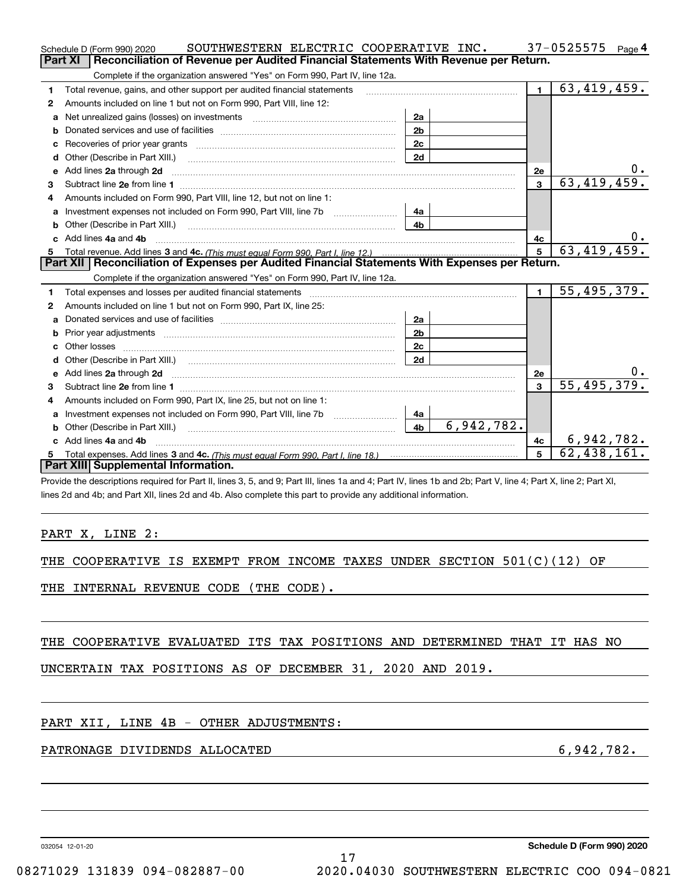|                | SOUTHWESTERN ELECTRIC COOPERATIVE INC.<br>Schedule D (Form 990) 2020                                                                                                                                                           |                              |                | 37-0525575<br>Page 4 |
|----------------|--------------------------------------------------------------------------------------------------------------------------------------------------------------------------------------------------------------------------------|------------------------------|----------------|----------------------|
| <b>Part XI</b> | Reconciliation of Revenue per Audited Financial Statements With Revenue per Return.                                                                                                                                            |                              |                |                      |
|                | Complete if the organization answered "Yes" on Form 990, Part IV, line 12a.                                                                                                                                                    |                              |                |                      |
| 1.             | Total revenue, gains, and other support per audited financial statements                                                                                                                                                       |                              | $\blacksquare$ | 63,419,459.          |
| 2              | Amounts included on line 1 but not on Form 990, Part VIII, line 12:                                                                                                                                                            |                              |                |                      |
| a              |                                                                                                                                                                                                                                | 2a                           |                |                      |
| b              |                                                                                                                                                                                                                                | 2 <sub>b</sub>               |                |                      |
|                | Recoveries of prior year grants [10001] Recoveries of prior year grants [10001] Recoveries of prior year grants                                                                                                                | 2c                           |                |                      |
| d              | Other (Describe in Part XIII.)                                                                                                                                                                                                 | 2d                           |                |                      |
| е              | Add lines 2a through 2d                                                                                                                                                                                                        |                              | 2e             |                      |
| з              |                                                                                                                                                                                                                                |                              | 3              | 63,419,459.          |
| 4              | Amounts included on Form 990, Part VIII, line 12, but not on line 1:                                                                                                                                                           |                              |                |                      |
|                | Investment expenses not included on Form 990, Part VIII, line 7b                                                                                                                                                               | 4a                           |                |                      |
| b              | Other (Describe in Part XIII.) [1001] [2010] [2010] [2010] [3010] [3010] [3010] [3010] [3010] [3010] [3010] [3010] [3010] [3010] [3010] [3010] [3010] [3010] [3010] [3010] [3010] [3010] [3010] [3010] [3010] [3010] [3010] [3 | 4b                           |                |                      |
|                | c Add lines 4a and 4b                                                                                                                                                                                                          |                              | 4c             |                      |
|                | Total revenue. Add lines 3 and 4c. (This must equal Form 990, Part I, line 12.)                                                                                                                                                |                              | 5              | 63,419,459.          |
|                | Part XII   Reconciliation of Expenses per Audited Financial Statements With Expenses per Return.                                                                                                                               |                              |                |                      |
|                | Complete if the organization answered "Yes" on Form 990, Part IV, line 12a.                                                                                                                                                    |                              |                |                      |
| 1              | Total expenses and losses per audited financial statements                                                                                                                                                                     |                              | $\blacksquare$ | 55,495,379.          |
| 2              | Amounts included on line 1 but not on Form 990, Part IX, line 25:                                                                                                                                                              |                              |                |                      |
| a              |                                                                                                                                                                                                                                | 2a                           |                |                      |
| b              |                                                                                                                                                                                                                                | 2 <sub>b</sub>               |                |                      |
|                | Other losses                                                                                                                                                                                                                   | 2c                           |                |                      |
| d              |                                                                                                                                                                                                                                | 2d                           |                |                      |
| е              | Add lines 2a through 2d                                                                                                                                                                                                        |                              | 2e             |                      |
| з              |                                                                                                                                                                                                                                |                              | 3              | 55,495,379.          |
| 4              | Amounts included on Form 990, Part IX, line 25, but not on line 1:                                                                                                                                                             |                              |                |                      |
| a              | Investment expenses not included on Form 990, Part VIII, line 7b                                                                                                                                                               | 4a                           |                |                      |
| b              | Other (Describe in Part XIII.) <b>Construction Contract Construction</b> Construction Construction Construction Const                                                                                                          | 6,942,782.<br>4 <sub>b</sub> |                |                      |
|                | c Add lines 4a and 4b                                                                                                                                                                                                          |                              | 4c             | 6,942,782.           |
|                |                                                                                                                                                                                                                                |                              | 5              | 62,438,161.          |
|                | Part XIII Supplemental Information.                                                                                                                                                                                            |                              |                |                      |
|                | Provide the descriptions required for Part II, lines 3, 5, and 9; Part III, lines 1a and 4; Part IV, lines 1b and 2b; Part V, line 4; Part X, line 2; Part XI,                                                                 |                              |                |                      |
|                | lines 2d and 4b; and Part XII, lines 2d and 4b. Also complete this part to provide any additional information.                                                                                                                 |                              |                |                      |
|                |                                                                                                                                                                                                                                |                              |                |                      |
|                |                                                                                                                                                                                                                                |                              |                |                      |
|                | PART X, LINE 2:                                                                                                                                                                                                                |                              |                |                      |
|                |                                                                                                                                                                                                                                |                              |                |                      |
|                | THE COOPERATIVE IS EXEMPT FROM INCOME TAXES UNDER SECTION $501(C)(12)$ OF                                                                                                                                                      |                              |                |                      |
|                |                                                                                                                                                                                                                                |                              |                |                      |
|                | THE INTERNAL REVENUE CODE (THE CODE).                                                                                                                                                                                          |                              |                |                      |
|                |                                                                                                                                                                                                                                |                              |                |                      |
|                |                                                                                                                                                                                                                                |                              |                |                      |
|                |                                                                                                                                                                                                                                |                              |                |                      |
|                | THE COOPERATIVE EVALUATED ITS TAX POSITIONS AND DETERMINED THAT IT HAS NO                                                                                                                                                      |                              |                |                      |
|                |                                                                                                                                                                                                                                |                              |                |                      |

17

## UNCERTAIN TAX POSITIONS AS OF DECEMBER 31, 2020 AND 2019.

### PART XII, LINE 4B - OTHER ADJUSTMENTS:

## PATRONAGE DIVIDENDS ALLOCATED 6,942,782.

032054 12-01-20

**Schedule D (Form 990) 2020**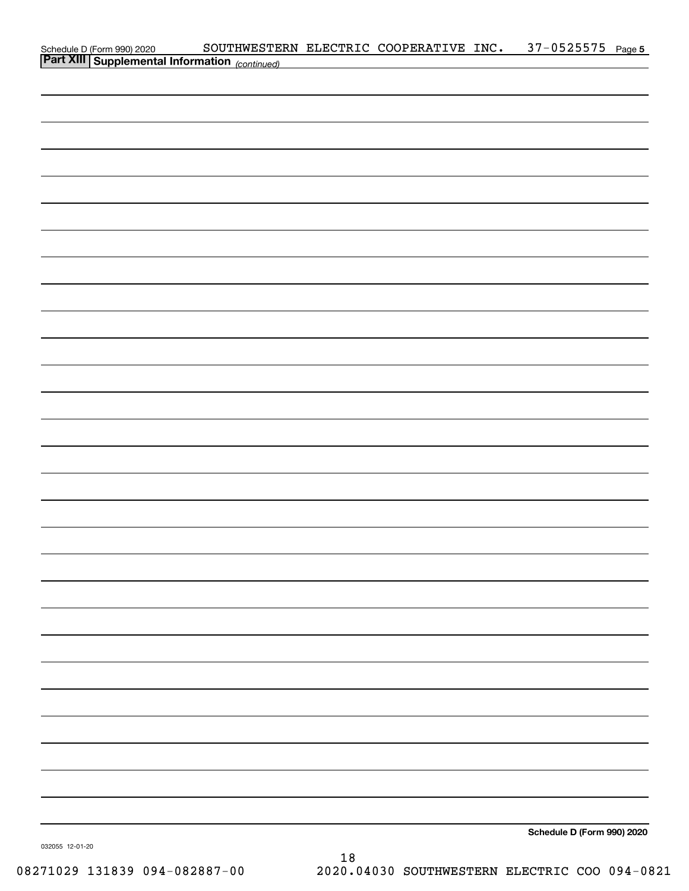|                                                                                                   | SOUTHWESTERN ELECTRIC COOPERATIVE INC. 37-0525575 Page 5 |  |                            |  |
|---------------------------------------------------------------------------------------------------|----------------------------------------------------------|--|----------------------------|--|
| Schedule D (Form 990) 2020 SOUTHWESTER<br><b>Part XIII   Supplemental Information</b> (continued) |                                                          |  |                            |  |
|                                                                                                   |                                                          |  |                            |  |
|                                                                                                   |                                                          |  |                            |  |
|                                                                                                   |                                                          |  |                            |  |
|                                                                                                   |                                                          |  |                            |  |
|                                                                                                   |                                                          |  |                            |  |
|                                                                                                   |                                                          |  |                            |  |
|                                                                                                   |                                                          |  |                            |  |
|                                                                                                   |                                                          |  |                            |  |
|                                                                                                   |                                                          |  |                            |  |
|                                                                                                   |                                                          |  |                            |  |
|                                                                                                   |                                                          |  |                            |  |
|                                                                                                   |                                                          |  |                            |  |
|                                                                                                   |                                                          |  |                            |  |
|                                                                                                   |                                                          |  |                            |  |
|                                                                                                   |                                                          |  |                            |  |
|                                                                                                   |                                                          |  |                            |  |
|                                                                                                   |                                                          |  |                            |  |
|                                                                                                   |                                                          |  |                            |  |
|                                                                                                   |                                                          |  |                            |  |
|                                                                                                   |                                                          |  |                            |  |
|                                                                                                   |                                                          |  |                            |  |
|                                                                                                   |                                                          |  |                            |  |
|                                                                                                   |                                                          |  |                            |  |
|                                                                                                   |                                                          |  |                            |  |
|                                                                                                   |                                                          |  |                            |  |
|                                                                                                   |                                                          |  |                            |  |
|                                                                                                   |                                                          |  |                            |  |
|                                                                                                   |                                                          |  |                            |  |
|                                                                                                   |                                                          |  |                            |  |
|                                                                                                   |                                                          |  |                            |  |
|                                                                                                   |                                                          |  |                            |  |
|                                                                                                   |                                                          |  |                            |  |
|                                                                                                   |                                                          |  |                            |  |
|                                                                                                   |                                                          |  |                            |  |
|                                                                                                   |                                                          |  |                            |  |
|                                                                                                   |                                                          |  |                            |  |
|                                                                                                   |                                                          |  |                            |  |
|                                                                                                   |                                                          |  |                            |  |
|                                                                                                   |                                                          |  |                            |  |
|                                                                                                   |                                                          |  |                            |  |
|                                                                                                   |                                                          |  |                            |  |
|                                                                                                   |                                                          |  |                            |  |
|                                                                                                   |                                                          |  | Schedule D (Form 990) 2020 |  |

18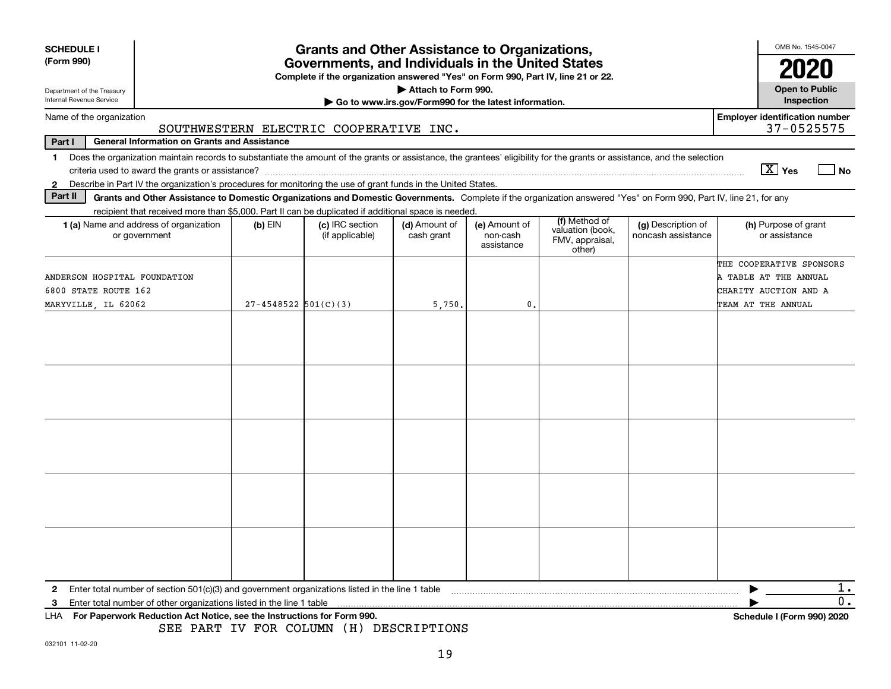| <b>SCHEDULE I</b><br>(Form 990)                                                                                                                                                |                                                                                                                                       |                          | <b>Grants and Other Assistance to Organizations,</b>                                                                                                                                                                                                                      |                             |                                         |                                                                |                                          | OMB No. 1545-0047<br>2020                                                                        |  |  |
|--------------------------------------------------------------------------------------------------------------------------------------------------------------------------------|---------------------------------------------------------------------------------------------------------------------------------------|--------------------------|---------------------------------------------------------------------------------------------------------------------------------------------------------------------------------------------------------------------------------------------------------------------------|-----------------------------|-----------------------------------------|----------------------------------------------------------------|------------------------------------------|--------------------------------------------------------------------------------------------------|--|--|
|                                                                                                                                                                                | Governments, and Individuals in the United States<br>Complete if the organization answered "Yes" on Form 990, Part IV, line 21 or 22. |                          |                                                                                                                                                                                                                                                                           |                             |                                         |                                                                |                                          |                                                                                                  |  |  |
| Department of the Treasury<br>Internal Revenue Service                                                                                                                         | <b>Open to Public</b><br><b>Inspection</b>                                                                                            |                          |                                                                                                                                                                                                                                                                           |                             |                                         |                                                                |                                          |                                                                                                  |  |  |
| <b>Employer identification number</b><br>Name of the organization                                                                                                              |                                                                                                                                       |                          |                                                                                                                                                                                                                                                                           |                             |                                         |                                                                |                                          |                                                                                                  |  |  |
|                                                                                                                                                                                |                                                                                                                                       |                          | SOUTHWESTERN ELECTRIC COOPERATIVE INC.                                                                                                                                                                                                                                    |                             |                                         |                                                                |                                          | 37-0525575                                                                                       |  |  |
| <b>General Information on Grants and Assistance</b><br>Part I                                                                                                                  |                                                                                                                                       |                          |                                                                                                                                                                                                                                                                           |                             |                                         |                                                                |                                          |                                                                                                  |  |  |
| Does the organization maintain records to substantiate the amount of the grants or assistance, the grantees' eligibility for the grants or assistance, and the selection<br>1. |                                                                                                                                       |                          |                                                                                                                                                                                                                                                                           |                             |                                         |                                                                |                                          |                                                                                                  |  |  |
|                                                                                                                                                                                |                                                                                                                                       |                          |                                                                                                                                                                                                                                                                           |                             |                                         |                                                                |                                          | $\boxed{\text{X}}$ Yes<br>l No                                                                   |  |  |
| 2 Describe in Part IV the organization's procedures for monitoring the use of grant funds in the United States.<br>Part II                                                     |                                                                                                                                       |                          |                                                                                                                                                                                                                                                                           |                             |                                         |                                                                |                                          |                                                                                                  |  |  |
|                                                                                                                                                                                |                                                                                                                                       |                          | Grants and Other Assistance to Domestic Organizations and Domestic Governments. Complete if the organization answered "Yes" on Form 990, Part IV, line 21, for any<br>recipient that received more than \$5,000. Part II can be duplicated if additional space is needed. |                             |                                         |                                                                |                                          |                                                                                                  |  |  |
| 1 (a) Name and address of organization<br>or government                                                                                                                        |                                                                                                                                       | $(b)$ EIN                | (c) IRC section<br>(if applicable)                                                                                                                                                                                                                                        | (d) Amount of<br>cash grant | (e) Amount of<br>non-cash<br>assistance | (f) Method of<br>valuation (book,<br>FMV, appraisal,<br>other) | (g) Description of<br>noncash assistance | (h) Purpose of grant<br>or assistance                                                            |  |  |
| ANDERSON HOSPITAL FOUNDATION<br>6800 STATE ROUTE 162<br>MARYVILLE, IL 62062                                                                                                    |                                                                                                                                       | $27 - 4548522$ 501(C)(3) |                                                                                                                                                                                                                                                                           | 5,750.                      | 0.                                      |                                                                |                                          | THE COOPERATIVE SPONSORS<br>A TABLE AT THE ANNUAL<br>CHARITY AUCTION AND A<br>TEAM AT THE ANNUAL |  |  |
|                                                                                                                                                                                |                                                                                                                                       |                          |                                                                                                                                                                                                                                                                           |                             |                                         |                                                                |                                          |                                                                                                  |  |  |
|                                                                                                                                                                                |                                                                                                                                       |                          |                                                                                                                                                                                                                                                                           |                             |                                         |                                                                |                                          |                                                                                                  |  |  |
|                                                                                                                                                                                |                                                                                                                                       |                          |                                                                                                                                                                                                                                                                           |                             |                                         |                                                                |                                          |                                                                                                  |  |  |
|                                                                                                                                                                                |                                                                                                                                       |                          |                                                                                                                                                                                                                                                                           |                             |                                         |                                                                |                                          |                                                                                                  |  |  |
|                                                                                                                                                                                |                                                                                                                                       |                          |                                                                                                                                                                                                                                                                           |                             |                                         |                                                                |                                          |                                                                                                  |  |  |
|                                                                                                                                                                                |                                                                                                                                       |                          |                                                                                                                                                                                                                                                                           |                             |                                         |                                                                |                                          |                                                                                                  |  |  |
|                                                                                                                                                                                |                                                                                                                                       |                          |                                                                                                                                                                                                                                                                           |                             |                                         |                                                                |                                          |                                                                                                  |  |  |
|                                                                                                                                                                                |                                                                                                                                       |                          |                                                                                                                                                                                                                                                                           |                             |                                         |                                                                |                                          |                                                                                                  |  |  |
| Enter total number of section 501(c)(3) and government organizations listed in the line 1 table<br>$\mathbf{2}$                                                                |                                                                                                                                       |                          |                                                                                                                                                                                                                                                                           |                             |                                         |                                                                |                                          | 1.                                                                                               |  |  |
| Enter total number of other organizations listed in the line 1 table<br>з                                                                                                      |                                                                                                                                       |                          |                                                                                                                                                                                                                                                                           |                             |                                         |                                                                |                                          | 0.                                                                                               |  |  |
| For Paperwork Reduction Act Notice, see the Instructions for Form 990.<br>LHA.                                                                                                 |                                                                                                                                       |                          | SEE PART IV FOR COLUMN (H) DESCRIPTIONS                                                                                                                                                                                                                                   |                             |                                         |                                                                |                                          | Schedule I (Form 990) 2020                                                                       |  |  |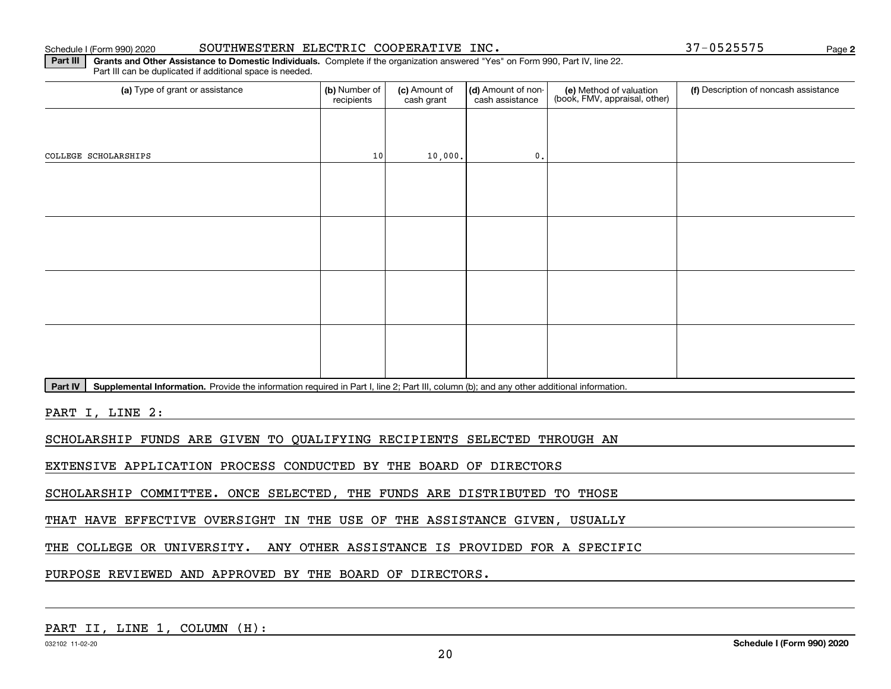#### Schedule I (Form 990) 2020 **SOUTHWESTERN** ELECTRIC COOPERATIVE INC. 37-0525575 <sub>Page</sub>

**2**

**Part III** | Grants and Other Assistance to Domestic Individuals. Complete if the organization answered "Yes" on Form 990, Part IV, line 22. Part III can be duplicated if additional space is needed.

| (a) Type of grant or assistance                                                                                                                      | (b) Number of<br>recipients | (c) Amount of<br>cash grant | (d) Amount of non-<br>cash assistance | (e) Method of valuation<br>(book, FMV, appraisal, other) | (f) Description of noncash assistance |  |  |  |  |  |
|------------------------------------------------------------------------------------------------------------------------------------------------------|-----------------------------|-----------------------------|---------------------------------------|----------------------------------------------------------|---------------------------------------|--|--|--|--|--|
|                                                                                                                                                      |                             |                             |                                       |                                                          |                                       |  |  |  |  |  |
| COLLEGE SCHOLARSHIPS                                                                                                                                 | 10                          | 10,000.                     | 0.                                    |                                                          |                                       |  |  |  |  |  |
|                                                                                                                                                      |                             |                             |                                       |                                                          |                                       |  |  |  |  |  |
|                                                                                                                                                      |                             |                             |                                       |                                                          |                                       |  |  |  |  |  |
|                                                                                                                                                      |                             |                             |                                       |                                                          |                                       |  |  |  |  |  |
|                                                                                                                                                      |                             |                             |                                       |                                                          |                                       |  |  |  |  |  |
|                                                                                                                                                      |                             |                             |                                       |                                                          |                                       |  |  |  |  |  |
|                                                                                                                                                      |                             |                             |                                       |                                                          |                                       |  |  |  |  |  |
|                                                                                                                                                      |                             |                             |                                       |                                                          |                                       |  |  |  |  |  |
|                                                                                                                                                      |                             |                             |                                       |                                                          |                                       |  |  |  |  |  |
| Part IV<br>Supplemental Information. Provide the information required in Part I, line 2; Part III, column (b); and any other additional information. |                             |                             |                                       |                                                          |                                       |  |  |  |  |  |
| PART I, LINE 2:                                                                                                                                      |                             |                             |                                       |                                                          |                                       |  |  |  |  |  |

SCHOLARSHIP FUNDS ARE GIVEN TO QUALIFYING RECIPIENTS SELECTED THROUGH AN

EXTENSIVE APPLICATION PROCESS CONDUCTED BY THE BOARD OF DIRECTORS

SCHOLARSHIP COMMITTEE. ONCE SELECTED, THE FUNDS ARE DISTRIBUTED TO THOSE

THAT HAVE EFFECTIVE OVERSIGHT IN THE USE OF THE ASSISTANCE GIVEN, USUALLY

THE COLLEGE OR UNIVERSITY. ANY OTHER ASSISTANCE IS PROVIDED FOR A SPECIFIC

PURPOSE REVIEWED AND APPROVED BY THE BOARD OF DIRECTORS.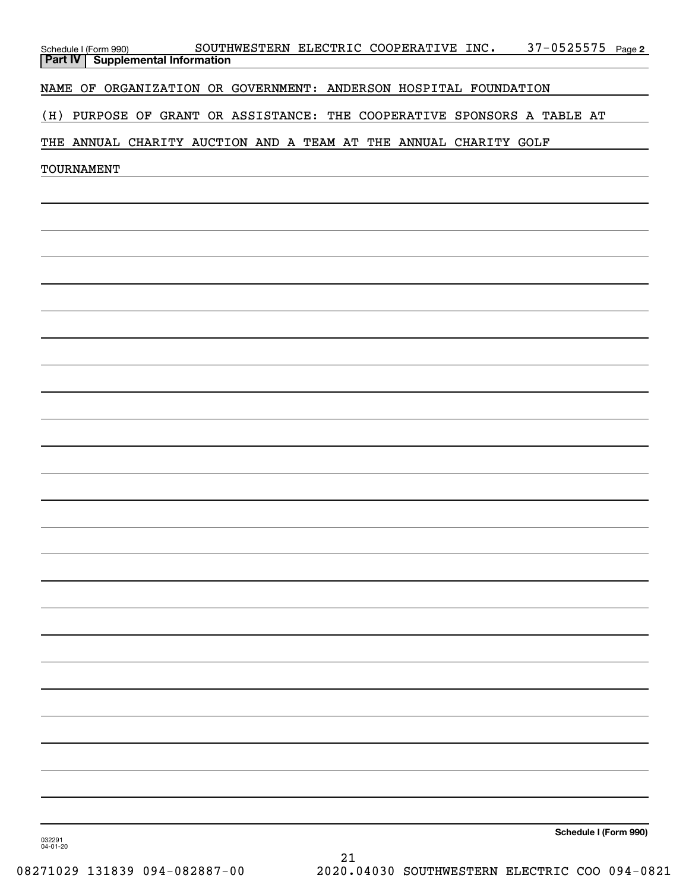| <b>Part IV</b>     | Schedule I (Form 990)                                            |  | <b>Supplemental Information</b> |  |  |  |  | SOUTHWESTERN ELECTRIC COOPERATIVE INC. |  |  |  |                                                                     | $37 - 0525575$ Page 2 |
|--------------------|------------------------------------------------------------------|--|---------------------------------|--|--|--|--|----------------------------------------|--|--|--|---------------------------------------------------------------------|-----------------------|
|                    | NAME OF ORGANIZATION OR GOVERNMENT: ANDERSON HOSPITAL FOUNDATION |  |                                 |  |  |  |  |                                        |  |  |  |                                                                     |                       |
| (H)                |                                                                  |  |                                 |  |  |  |  |                                        |  |  |  | PURPOSE OF GRANT OR ASSISTANCE: THE COOPERATIVE SPONSORS A TABLE AT |                       |
|                    | THE ANNUAL CHARITY AUCTION AND A TEAM AT THE ANNUAL CHARITY GOLF |  |                                 |  |  |  |  |                                        |  |  |  |                                                                     |                       |
|                    | TOURNAMENT                                                       |  |                                 |  |  |  |  |                                        |  |  |  |                                                                     |                       |
|                    |                                                                  |  |                                 |  |  |  |  |                                        |  |  |  |                                                                     |                       |
|                    |                                                                  |  |                                 |  |  |  |  |                                        |  |  |  |                                                                     |                       |
|                    |                                                                  |  |                                 |  |  |  |  |                                        |  |  |  |                                                                     |                       |
|                    |                                                                  |  |                                 |  |  |  |  |                                        |  |  |  |                                                                     |                       |
|                    |                                                                  |  |                                 |  |  |  |  |                                        |  |  |  |                                                                     |                       |
|                    |                                                                  |  |                                 |  |  |  |  |                                        |  |  |  |                                                                     |                       |
|                    |                                                                  |  |                                 |  |  |  |  |                                        |  |  |  |                                                                     |                       |
|                    |                                                                  |  |                                 |  |  |  |  |                                        |  |  |  |                                                                     |                       |
|                    |                                                                  |  |                                 |  |  |  |  |                                        |  |  |  |                                                                     |                       |
|                    |                                                                  |  |                                 |  |  |  |  |                                        |  |  |  |                                                                     |                       |
|                    |                                                                  |  |                                 |  |  |  |  |                                        |  |  |  |                                                                     |                       |
|                    |                                                                  |  |                                 |  |  |  |  |                                        |  |  |  |                                                                     |                       |
|                    |                                                                  |  |                                 |  |  |  |  |                                        |  |  |  |                                                                     |                       |
|                    |                                                                  |  |                                 |  |  |  |  |                                        |  |  |  |                                                                     |                       |
|                    |                                                                  |  |                                 |  |  |  |  |                                        |  |  |  |                                                                     |                       |
|                    |                                                                  |  |                                 |  |  |  |  |                                        |  |  |  |                                                                     |                       |
|                    |                                                                  |  |                                 |  |  |  |  |                                        |  |  |  |                                                                     |                       |
|                    |                                                                  |  |                                 |  |  |  |  |                                        |  |  |  |                                                                     |                       |
|                    |                                                                  |  |                                 |  |  |  |  |                                        |  |  |  |                                                                     |                       |
|                    |                                                                  |  |                                 |  |  |  |  |                                        |  |  |  |                                                                     |                       |
|                    |                                                                  |  |                                 |  |  |  |  |                                        |  |  |  |                                                                     |                       |
|                    |                                                                  |  |                                 |  |  |  |  |                                        |  |  |  |                                                                     |                       |
|                    |                                                                  |  |                                 |  |  |  |  |                                        |  |  |  |                                                                     | Schedule I (Form 990) |
| 032291<br>04-01-20 |                                                                  |  |                                 |  |  |  |  |                                        |  |  |  |                                                                     |                       |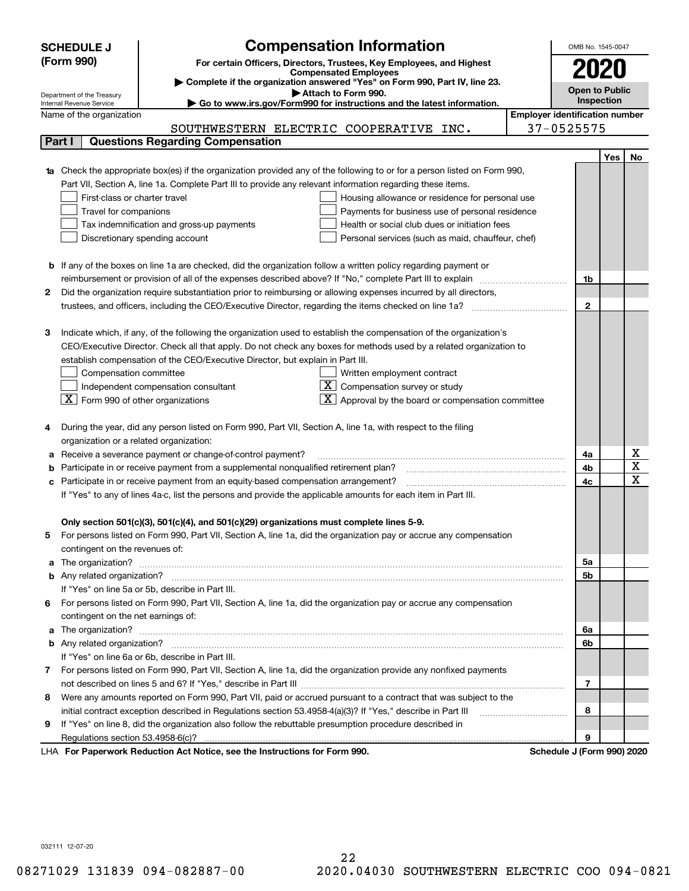|                                                                                                               | <b>SCHEDULE J</b>                                                                | <b>Compensation Information</b>                                                                                             |                                       | OMB No. 1545-0047 |     |                                                  |  |  |
|---------------------------------------------------------------------------------------------------------------|----------------------------------------------------------------------------------|-----------------------------------------------------------------------------------------------------------------------------|---------------------------------------|-------------------|-----|--------------------------------------------------|--|--|
|                                                                                                               | (Form 990)                                                                       | For certain Officers, Directors, Trustees, Key Employees, and Highest                                                       |                                       |                   |     |                                                  |  |  |
|                                                                                                               |                                                                                  | <b>Compensated Employees</b>                                                                                                |                                       |                   |     |                                                  |  |  |
|                                                                                                               |                                                                                  | Complete if the organization answered "Yes" on Form 990, Part IV, line 23.                                                  |                                       | Open to Public    |     |                                                  |  |  |
|                                                                                                               | Department of the Treasury<br>Internal Revenue Service                           | Attach to Form 990.<br>Go to www.irs.gov/Form990 for instructions and the latest information.                               |                                       | Inspection        |     |                                                  |  |  |
|                                                                                                               | Name of the organization                                                         |                                                                                                                             | <b>Employer identification number</b> |                   |     |                                                  |  |  |
|                                                                                                               |                                                                                  | SOUTHWESTERN ELECTRIC COOPERATIVE INC.                                                                                      | 37-0525575                            |                   |     |                                                  |  |  |
|                                                                                                               | Part I                                                                           | <b>Questions Regarding Compensation</b>                                                                                     |                                       |                   |     |                                                  |  |  |
|                                                                                                               |                                                                                  |                                                                                                                             |                                       |                   | Yes | No                                               |  |  |
|                                                                                                               |                                                                                  | 1a Check the appropriate box(es) if the organization provided any of the following to or for a person listed on Form 990,   |                                       |                   |     |                                                  |  |  |
|                                                                                                               |                                                                                  | Part VII, Section A, line 1a. Complete Part III to provide any relevant information regarding these items.                  |                                       |                   |     |                                                  |  |  |
|                                                                                                               | First-class or charter travel                                                    | Housing allowance or residence for personal use                                                                             |                                       |                   |     |                                                  |  |  |
|                                                                                                               | Travel for companions                                                            | Payments for business use of personal residence                                                                             |                                       |                   |     |                                                  |  |  |
|                                                                                                               |                                                                                  | Tax indemnification and gross-up payments<br>Health or social club dues or initiation fees                                  |                                       |                   |     |                                                  |  |  |
|                                                                                                               |                                                                                  | Discretionary spending account<br>Personal services (such as maid, chauffeur, chef)                                         |                                       |                   |     |                                                  |  |  |
|                                                                                                               |                                                                                  |                                                                                                                             |                                       |                   |     |                                                  |  |  |
|                                                                                                               |                                                                                  | <b>b</b> If any of the boxes on line 1a are checked, did the organization follow a written policy regarding payment or      |                                       |                   |     |                                                  |  |  |
|                                                                                                               |                                                                                  | reimbursement or provision of all of the expenses described above? If "No," complete Part III to explain                    |                                       | 1b                |     |                                                  |  |  |
| 2                                                                                                             |                                                                                  | Did the organization require substantiation prior to reimbursing or allowing expenses incurred by all directors,            |                                       |                   |     |                                                  |  |  |
|                                                                                                               |                                                                                  |                                                                                                                             |                                       | $\mathbf{2}$      |     |                                                  |  |  |
|                                                                                                               |                                                                                  |                                                                                                                             |                                       |                   |     |                                                  |  |  |
| з                                                                                                             |                                                                                  | Indicate which, if any, of the following the organization used to establish the compensation of the organization's          |                                       |                   |     |                                                  |  |  |
|                                                                                                               |                                                                                  | CEO/Executive Director. Check all that apply. Do not check any boxes for methods used by a related organization to          |                                       |                   |     |                                                  |  |  |
|                                                                                                               |                                                                                  | establish compensation of the CEO/Executive Director, but explain in Part III.                                              |                                       |                   |     |                                                  |  |  |
|                                                                                                               | Compensation committee                                                           | Written employment contract                                                                                                 |                                       |                   |     |                                                  |  |  |
|                                                                                                               |                                                                                  | ΧI<br>Compensation survey or study<br>Independent compensation consultant                                                   |                                       |                   |     |                                                  |  |  |
|                                                                                                               | $\boxed{\textbf{X}}$ Form 990 of other organizations                             | Approval by the board or compensation committee                                                                             |                                       |                   |     |                                                  |  |  |
|                                                                                                               |                                                                                  |                                                                                                                             |                                       |                   |     |                                                  |  |  |
|                                                                                                               |                                                                                  | During the year, did any person listed on Form 990, Part VII, Section A, line 1a, with respect to the filing                |                                       |                   |     |                                                  |  |  |
|                                                                                                               | organization or a related organization:                                          |                                                                                                                             |                                       |                   |     |                                                  |  |  |
|                                                                                                               |                                                                                  | Receive a severance payment or change-of-control payment?                                                                   |                                       | 4a                |     | $\underline{x}$                                  |  |  |
|                                                                                                               |                                                                                  | Participate in or receive payment from a supplemental nonqualified retirement plan?                                         |                                       | 4b                |     | $\overline{\mathtt{x}}$<br>$\overline{\text{x}}$ |  |  |
| c                                                                                                             | Participate in or receive payment from an equity-based compensation arrangement? |                                                                                                                             |                                       |                   |     |                                                  |  |  |
| If "Yes" to any of lines 4a-c, list the persons and provide the applicable amounts for each item in Part III. |                                                                                  |                                                                                                                             |                                       |                   |     |                                                  |  |  |
|                                                                                                               |                                                                                  |                                                                                                                             |                                       |                   |     |                                                  |  |  |
|                                                                                                               |                                                                                  | Only section 501(c)(3), 501(c)(4), and 501(c)(29) organizations must complete lines 5-9.                                    |                                       |                   |     |                                                  |  |  |
| 5                                                                                                             |                                                                                  | For persons listed on Form 990, Part VII, Section A, line 1a, did the organization pay or accrue any compensation           |                                       |                   |     |                                                  |  |  |
|                                                                                                               | contingent on the revenues of:                                                   |                                                                                                                             |                                       |                   |     |                                                  |  |  |
|                                                                                                               |                                                                                  | a The organization? <b>Manual Community Community</b> Community Community Community Community Community Community Community |                                       | 5а                |     |                                                  |  |  |
|                                                                                                               |                                                                                  |                                                                                                                             |                                       | 5b                |     |                                                  |  |  |
|                                                                                                               |                                                                                  | If "Yes" on line 5a or 5b, describe in Part III.                                                                            |                                       |                   |     |                                                  |  |  |
| 6.                                                                                                            |                                                                                  | For persons listed on Form 990, Part VII, Section A, line 1a, did the organization pay or accrue any compensation           |                                       |                   |     |                                                  |  |  |
|                                                                                                               | contingent on the net earnings of:                                               |                                                                                                                             |                                       |                   |     |                                                  |  |  |
|                                                                                                               |                                                                                  |                                                                                                                             |                                       | 6a                |     |                                                  |  |  |
|                                                                                                               |                                                                                  |                                                                                                                             |                                       | 6b                |     |                                                  |  |  |
|                                                                                                               |                                                                                  | If "Yes" on line 6a or 6b, describe in Part III.                                                                            |                                       |                   |     |                                                  |  |  |
|                                                                                                               |                                                                                  | 7 For persons listed on Form 990, Part VII, Section A, line 1a, did the organization provide any nonfixed payments          |                                       | 7                 |     |                                                  |  |  |
|                                                                                                               |                                                                                  |                                                                                                                             |                                       |                   |     |                                                  |  |  |
| 8                                                                                                             |                                                                                  | Were any amounts reported on Form 990, Part VII, paid or accrued pursuant to a contract that was subject to the             |                                       |                   |     |                                                  |  |  |
|                                                                                                               |                                                                                  | initial contract exception described in Regulations section 53.4958-4(a)(3)? If "Yes," describe in Part III                 |                                       | 8                 |     |                                                  |  |  |
| 9                                                                                                             |                                                                                  | If "Yes" on line 8, did the organization also follow the rebuttable presumption procedure described in                      |                                       |                   |     |                                                  |  |  |
|                                                                                                               | Regulations section 53.4958-6(c)?                                                | ruerk Reduction Act Notice, and the Instructions for Ferm 000                                                               | Schodule, L. Ecrop 000), 2020         | 9                 |     |                                                  |  |  |

LHA For Paperwork Reduction Act Notice, see the Instructions for Form 990. Schedule J (Form 990) 2020

032111 12-07-20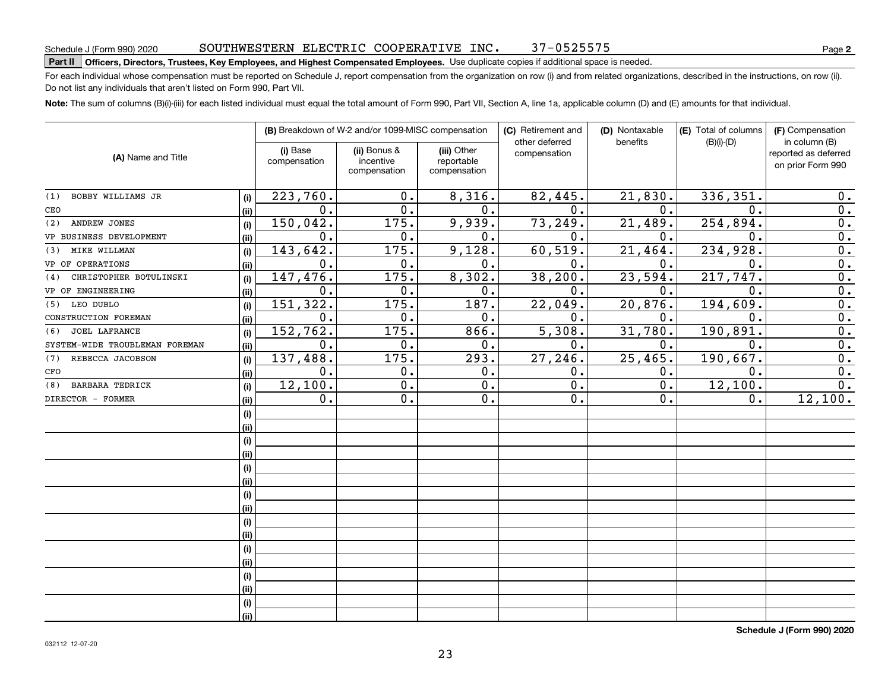#### SOUTHWESTERN ELECTRIC COOPERATIVE INC. 37-0525575

## **Part II Officers, Directors, Trustees, Key Employees, and Highest Compensated Employees.**  Schedule J (Form 990) 2020 Page Use duplicate copies if additional space is needed.

For each individual whose compensation must be reported on Schedule J, report compensation from the organization on row (i) and from related organizations, described in the instructions, on row (ii). Do not list any individuals that aren't listed on Form 990, Part VII.

**Note:**  The sum of columns (B)(i)-(iii) for each listed individual must equal the total amount of Form 990, Part VII, Section A, line 1a, applicable column (D) and (E) amounts for that individual.

| (A) Name and Title             |      |                          | (B) Breakdown of W-2 and/or 1099-MISC compensation |                                           | (C) Retirement and<br>other deferred | (D) Nontaxable<br>benefits | (E) Total of columns | (F) Compensation                                           |  |
|--------------------------------|------|--------------------------|----------------------------------------------------|-------------------------------------------|--------------------------------------|----------------------------|----------------------|------------------------------------------------------------|--|
|                                |      | (i) Base<br>compensation | (ii) Bonus &<br>incentive<br>compensation          | (iii) Other<br>reportable<br>compensation | compensation                         |                            | $(B)(i)-(D)$         | in column (B)<br>reported as deferred<br>on prior Form 990 |  |
| BOBBY WILLIAMS JR<br>(1)       | (i)  | 223,760.                 | $0$ .                                              | 8,316.                                    | 82,445.                              | 21,830.                    | 336, 351.            | 0.                                                         |  |
| CEO                            | (ii) | 0.                       | 0.                                                 | 0.                                        | $\mathbf 0$ .                        | $\mathbf{0}$ .             | 0.                   | 0.                                                         |  |
| ANDREW JONES<br>(2)            | (i)  | 150,042.                 | 175.                                               | 9,939.                                    | 73,249.                              | 21, 489.                   | 254,894.             | $\overline{0}$ .                                           |  |
| VP BUSINESS DEVELOPMENT        | (ii) | 0.                       | 0.                                                 | 0.                                        | 0.                                   | 0.                         | 0.                   | $\overline{0}$ .                                           |  |
| MIKE WILLMAN<br>(3)            | (i)  | 143, 642.                | 175.                                               | 9,128.                                    | 60, 519.                             | 21,464.                    | 234,928.             | $\overline{0}$ .                                           |  |
| VP OF OPERATIONS               | (ii) | 0.                       | 0.                                                 | 0.                                        | 0.                                   | 0.                         | 0.                   | $\overline{0}$ .                                           |  |
| CHRISTOPHER BOTULINSKI<br>(4)  | (i)  | 147,476.                 | 175.                                               | 8,302.                                    | 38, 200.                             | 23,594.                    | 217,747.             | $\overline{0}$ .                                           |  |
| VP OF ENGINEERING              | (ii) | 0.                       | 0.                                                 | 0.                                        | 0.                                   | 0.                         | $\mathbf 0$ .        | $\overline{0}$ .                                           |  |
| LEO DUBLO<br>(5)               | (i)  | 151,322.                 | 175.                                               | 187.                                      | 22,049.                              | 20,876.                    | 194,609.             | $\overline{0}$ .                                           |  |
| CONSTRUCTION FOREMAN           | (ii) | 0.                       | 0.                                                 | 0.                                        | 0.                                   | 0.                         | 0.                   | $\overline{0}$ .                                           |  |
| <b>JOEL LAFRANCE</b><br>(6)    | (i)  | 152,762.                 | 175.                                               | 866.                                      | 5,308.                               | 31,780.                    | 190,891.             | $\overline{0}$ .                                           |  |
| SYSTEM-WIDE TROUBLEMAN FOREMAN | (ii) | 0.                       | 0.                                                 | 0.                                        | 0.                                   | 0.                         | 0.                   | $\overline{0}$ .                                           |  |
| REBECCA JACOBSON<br>(7)        | (i)  | 137,488.                 | 175.                                               | 293.                                      | 27,246.                              | 25,465.                    | 190,667.             | $\mathbf 0$ .                                              |  |
| CFO                            | (ii) | 0.                       | 0.                                                 | 0.                                        | 0.                                   | Ο.                         | 0.                   | 0.                                                         |  |
| <b>BARBARA TEDRICK</b><br>(8)  | (i)  | 12,100.                  | $\overline{0}$ .                                   | $\overline{0}$ .                          | 0.                                   | $\overline{0}$ .           | 12,100.              | $\overline{0}$ .                                           |  |
| DIRECTOR - FORMER              | (ii) | 0.                       | $\overline{0}$ .                                   | 0.                                        | 0.                                   | 0.                         | 0.                   | 12,100.                                                    |  |
|                                | (i)  |                          |                                                    |                                           |                                      |                            |                      |                                                            |  |
|                                | (ii) |                          |                                                    |                                           |                                      |                            |                      |                                                            |  |
|                                | (i)  |                          |                                                    |                                           |                                      |                            |                      |                                                            |  |
|                                | (ii) |                          |                                                    |                                           |                                      |                            |                      |                                                            |  |
|                                | (i)  |                          |                                                    |                                           |                                      |                            |                      |                                                            |  |
|                                | (ii) |                          |                                                    |                                           |                                      |                            |                      |                                                            |  |
|                                | (i)  |                          |                                                    |                                           |                                      |                            |                      |                                                            |  |
|                                | (ii) |                          |                                                    |                                           |                                      |                            |                      |                                                            |  |
|                                | (i)  |                          |                                                    |                                           |                                      |                            |                      |                                                            |  |
|                                | (ii) |                          |                                                    |                                           |                                      |                            |                      |                                                            |  |
|                                | (i)  |                          |                                                    |                                           |                                      |                            |                      |                                                            |  |
|                                | (ii) |                          |                                                    |                                           |                                      |                            |                      |                                                            |  |
|                                | (i)  |                          |                                                    |                                           |                                      |                            |                      |                                                            |  |
|                                | (ii) |                          |                                                    |                                           |                                      |                            |                      |                                                            |  |
|                                | (i)  |                          |                                                    |                                           |                                      |                            |                      |                                                            |  |
|                                | (ii) |                          |                                                    |                                           |                                      |                            |                      |                                                            |  |

**Schedule J (Form 990) 2020**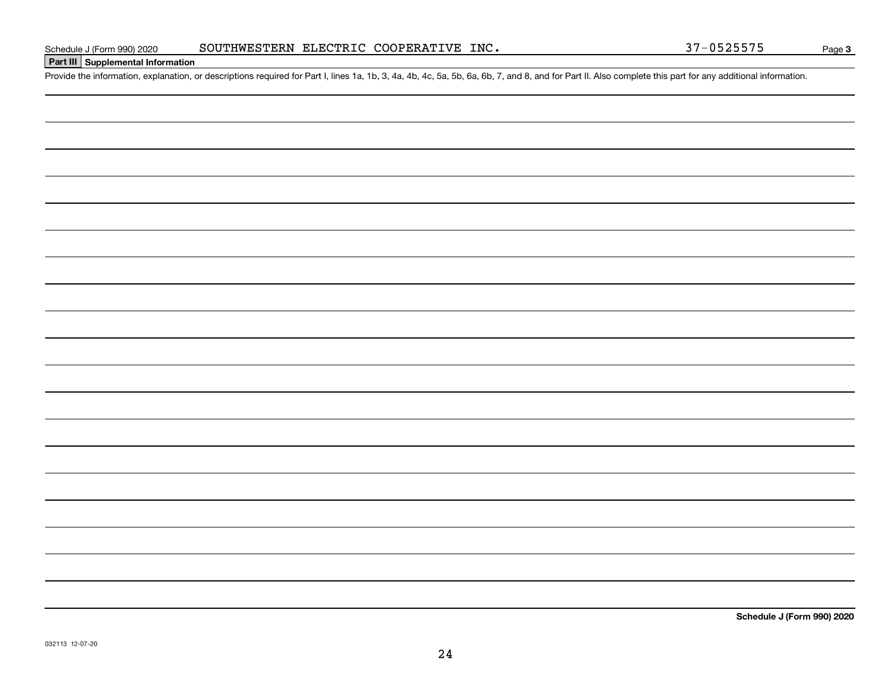### **Part III Supplemental Information**

Schedule J (Form 990) 2020 SOUTHWESTERN ELECTRIC COOPERATIVE INC.<br>Part III Supplemental Information<br>Provide the information, explanation, or descriptions required for Part I, lines 1a, 1b, 3, 4a, 4b, 4c, 5a, 5b, 6a, 6b, 7,

**Schedule J (Form 990) 2020**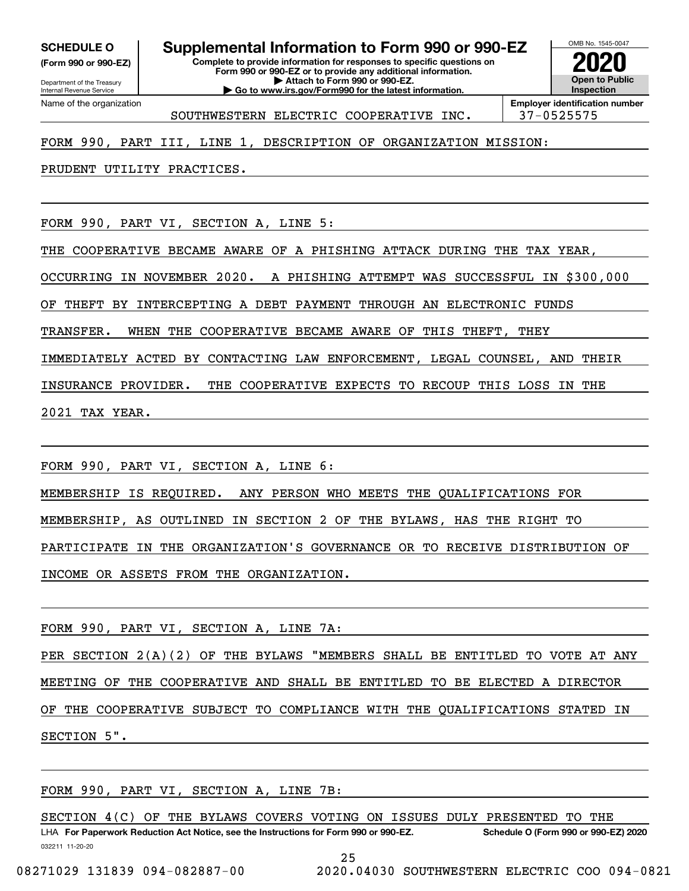**(Form 990 or 990-EZ)**

Department of the Treasury Internal Revenue Service Name of the organization

# **SCHEDULE O Supplemental Information to Form 990 or 990-EZ**

**Complete to provide information for responses to specific questions on Form 990 or 990-EZ or to provide any additional information. | Attach to Form 990 or 990-EZ. | Go to www.irs.gov/Form990 for the latest information.**



SOUTHWESTERN ELECTRIC COOPERATIVE INC. 37-0525575

#### FORM 990, PART III, LINE 1, DESCRIPTION OF ORGANIZATION MISSION:

PRUDENT UTILITY PRACTICES.

FORM 990, PART VI, SECTION A, LINE 5:

THE COOPERATIVE BECAME AWARE OF A PHISHING ATTACK DURING THE TAX YEAR,

OCCURRING IN NOVEMBER 2020. A PHISHING ATTEMPT WAS SUCCESSFUL IN \$300,000

OF THEFT BY INTERCEPTING A DEBT PAYMENT THROUGH AN ELECTRONIC FUNDS

TRANSFER. WHEN THE COOPERATIVE BECAME AWARE OF THIS THEFT, THEY

IMMEDIATELY ACTED BY CONTACTING LAW ENFORCEMENT, LEGAL COUNSEL, AND THEIR

INSURANCE PROVIDER. THE COOPERATIVE EXPECTS TO RECOUP THIS LOSS IN THE

2021 TAX YEAR.

FORM 990, PART VI, SECTION A, LINE 6:

MEMBERSHIP IS REQUIRED. ANY PERSON WHO MEETS THE QUALIFICATIONS FOR

MEMBERSHIP, AS OUTLINED IN SECTION 2 OF THE BYLAWS, HAS THE RIGHT TO

PARTICIPATE IN THE ORGANIZATION'S GOVERNANCE OR TO RECEIVE DISTRIBUTION OF

INCOME OR ASSETS FROM THE ORGANIZATION.

FORM 990, PART VI, SECTION A, LINE 7A:

PER SECTION 2(A)(2) OF THE BYLAWS "MEMBERS SHALL BE ENTITLED TO VOTE AT ANY MEETING OF THE COOPERATIVE AND SHALL BE ENTITLED TO BE ELECTED A DIRECTOR OF THE COOPERATIVE SUBJECT TO COMPLIANCE WITH THE QUALIFICATIONS STATED IN

SECTION 5".

FORM 990, PART VI, SECTION A, LINE 7B:

032211 11-20-20 LHA For Paperwork Reduction Act Notice, see the Instructions for Form 990 or 990-EZ. Schedule O (Form 990 or 990-EZ) 2020 SECTION 4(C) OF THE BYLAWS COVERS VOTING ON ISSUES DULY PRESENTED TO THE

25

08271029 131839 094-082887-00 2020.04030 SOUTHWESTERN ELECTRIC COO 094-0821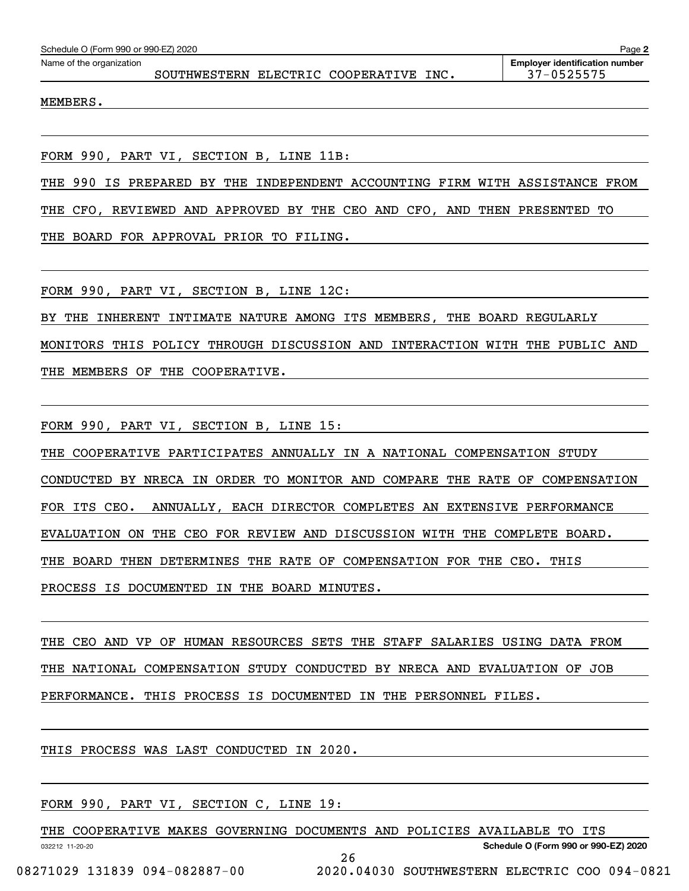| Schedule O (Form 990 or 990-EZ) 2020 | Page 2                                 |  |  |                                                     |
|--------------------------------------|----------------------------------------|--|--|-----------------------------------------------------|
| Name of the organization             | SOUTHWESTERN ELECTRIC COOPERATIVE INC. |  |  | <b>Employer identification number</b><br>37-0525575 |
| MEMBERS.                             |                                        |  |  |                                                     |
|                                      |                                        |  |  |                                                     |

FORM 990, PART VI, SECTION B, LINE 11B:

THE 990 IS PREPARED BY THE INDEPENDENT ACCOUNTING FIRM WITH ASSISTANCE FROM

THE CFO, REVIEWED AND APPROVED BY THE CEO AND CFO, AND THEN PRESENTED TO

THE BOARD FOR APPROVAL PRIOR TO FILING.

FORM 990, PART VI, SECTION B, LINE 12C:

BY THE INHERENT INTIMATE NATURE AMONG ITS MEMBERS, THE BOARD REGULARLY MONITORS THIS POLICY THROUGH DISCUSSION AND INTERACTION WITH THE PUBLIC AND THE MEMBERS OF THE COOPERATIVE.

FORM 990, PART VI, SECTION B, LINE 15:

THE COOPERATIVE PARTICIPATES ANNUALLY IN A NATIONAL COMPENSATION STUDY CONDUCTED BY NRECA IN ORDER TO MONITOR AND COMPARE THE RATE OF COMPENSATION FOR ITS CEO. ANNUALLY, EACH DIRECTOR COMPLETES AN EXTENSIVE PERFORMANCE EVALUATION ON THE CEO FOR REVIEW AND DISCUSSION WITH THE COMPLETE BOARD. THE BOARD THEN DETERMINES THE RATE OF COMPENSATION FOR THE CEO. THIS PROCESS IS DOCUMENTED IN THE BOARD MINUTES.

THE CEO AND VP OF HUMAN RESOURCES SETS THE STAFF SALARIES USING DATA FROM THE NATIONAL COMPENSATION STUDY CONDUCTED BY NRECA AND EVALUATION OF JOB PERFORMANCE. THIS PROCESS IS DOCUMENTED IN THE PERSONNEL FILES.

THIS PROCESS WAS LAST CONDUCTED IN 2020.

FORM 990, PART VI, SECTION C, LINE 19:

THE COOPERATIVE MAKES GOVERNING DOCUMENTS AND POLICIES AVAILABLE TO ITS

26

**Schedule O (Form 990 or 990-EZ) 2020**

032212 11-20-20